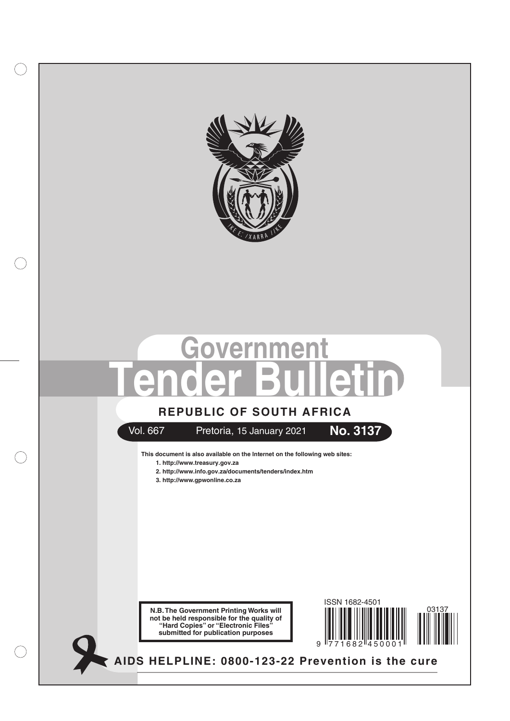

# **Government Tender Bulletin**

# **REPUBLIC OF SOUTH AFRICA**



# Vol. 667 Pretoria, 15 January 2021 **No. 3137**



**This document is also available on the Internet on the following web sites: 1. http://www.treasury.gov.za**

- **2. http://www.info.gov.za/documents/tenders/index.htm**
- **3. http://www.gpwonline.co.za**





**AIDS HELPLINE: 0800-123-22 Prevention is the cure**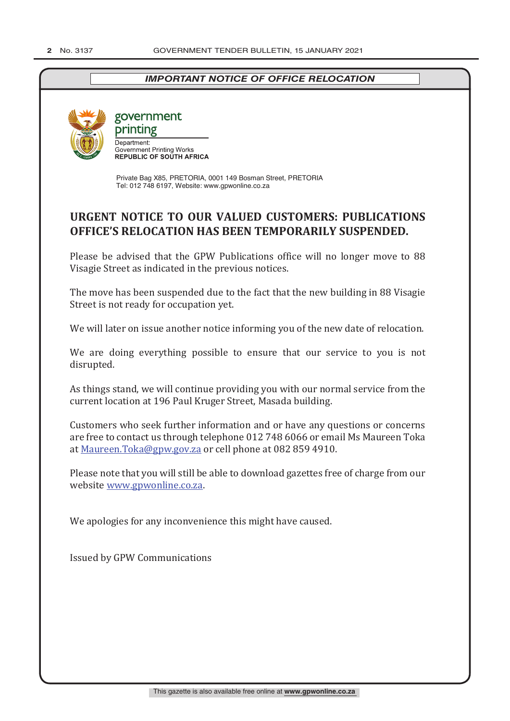# *IMPORTANT NOTICE OF OFFICE RELOCATION*



government printing Department: **Government Printing Works<br>REPUBLIC OF SOUTH AFRICA** 

Private Bag X85, PRETORIA, 0001 149 Bosman Street, PRETORIA Tel: 012 748 6197, Website: www.gpwonline.co.za

# **URGENT NOTICE TO OUR VALUED CUSTOMERS: PUBLICATIONS OFFICE'S RELOCATION HAS BEEN TEMPORARILY SUSPENDED.**

Please be advised that the GPW Publications office will no longer move to 88 Visagie Street as indicated in the previous notices.

The move has been suspended due to the fact that the new building in 88 Visagie Street is not ready for occupation yet.

We will later on issue another notice informing you of the new date of relocation.

We are doing everything possible to ensure that our service to you is not disrupted.

As things stand, we will continue providing you with our normal service from the current location at 196 Paul Kruger Street, Masada building.

Customers who seek further information and or have any questions or concerns are free to contact us through telephone 012 748 6066 or email Ms Maureen Toka at Maureen.Toka@gpw.gov.za or cell phone at 082 859 4910.

Please note that you will still be able to download gazettes free of charge from our website www.gpwonline.co.za.

We apologies for any inconvenience this might have caused.

Issued by GPW Communications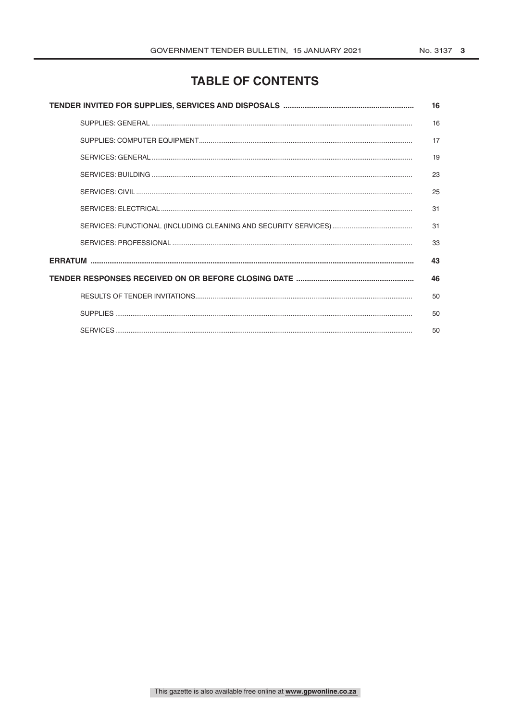# **TABLE OF CONTENTS**

| 16 |
|----|
| 16 |
| 17 |
| 19 |
| 23 |
| 25 |
| 31 |
| 31 |
| 33 |
| 43 |
| 46 |
| 50 |
| 50 |
| 50 |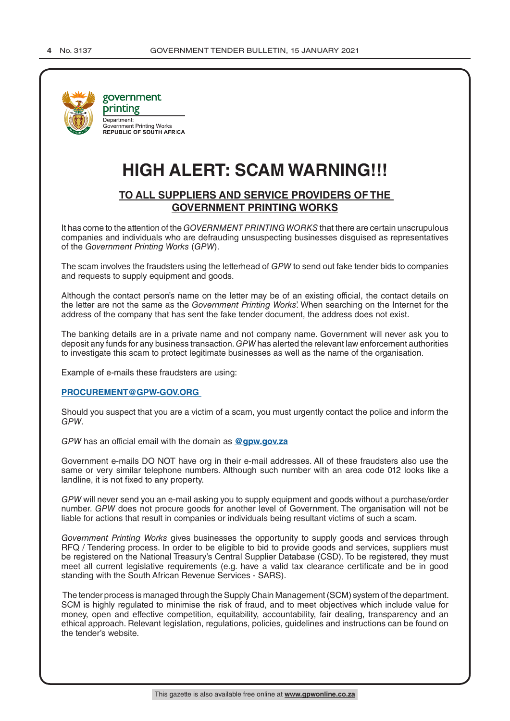

# **HIGH ALERT: SCAM WARNING!!!**

# **TO ALL SUPPLIERS AND SERVICE PROVIDERS OF THE GOVERNMENT PRINTING WORKS**

It has come to the attention of the *GOVERNMENT PRINTING WORKS* that there are certain unscrupulous companies and individuals who are defrauding unsuspecting businesses disguised as representatives of the *Government Printing Works* (*GPW*).

The scam involves the fraudsters using the letterhead of *GPW* to send out fake tender bids to companies and requests to supply equipment and goods.

Although the contact person's name on the letter may be of an existing official, the contact details on the letter are not the same as the *Government Printing Works*'. When searching on the Internet for the address of the company that has sent the fake tender document, the address does not exist.

The banking details are in a private name and not company name. Government will never ask you to deposit any funds for any business transaction. *GPW* has alerted the relevant law enforcement authorities to investigate this scam to protect legitimate businesses as well as the name of the organisation.

Example of e-mails these fraudsters are using:

# **PROCUREMENT@GPW-GOV.ORG**

Should you suspect that you are a victim of a scam, you must urgently contact the police and inform the *GPW*.

*GPW* has an official email with the domain as **@gpw.gov.za**

Government e-mails DO NOT have org in their e-mail addresses. All of these fraudsters also use the same or very similar telephone numbers. Although such number with an area code 012 looks like a landline, it is not fixed to any property.

*GPW* will never send you an e-mail asking you to supply equipment and goods without a purchase/order number. *GPW* does not procure goods for another level of Government. The organisation will not be liable for actions that result in companies or individuals being resultant victims of such a scam.

*Government Printing Works* gives businesses the opportunity to supply goods and services through RFQ / Tendering process. In order to be eligible to bid to provide goods and services, suppliers must be registered on the National Treasury's Central Supplier Database (CSD). To be registered, they must meet all current legislative requirements (e.g. have a valid tax clearance certificate and be in good standing with the South African Revenue Services - SARS).

 The tender process is managed through the Supply Chain Management (SCM) system of the department. SCM is highly regulated to minimise the risk of fraud, and to meet objectives which include value for money, open and effective competition, equitability, accountability, fair dealing, transparency and an ethical approach. Relevant legislation, regulations, policies, guidelines and instructions can be found on the tender's website.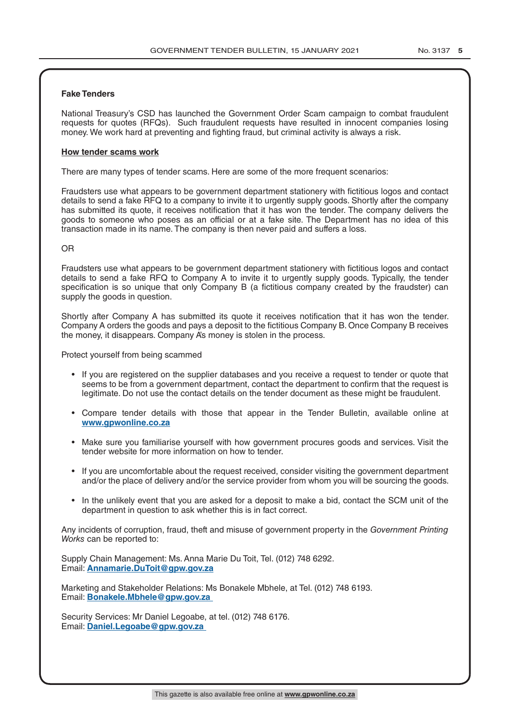# **Fake Tenders**

National Treasury's CSD has launched the Government Order Scam campaign to combat fraudulent requests for quotes (RFQs). Such fraudulent requests have resulted in innocent companies losing money. We work hard at preventing and fighting fraud, but criminal activity is always a risk.

# **How tender scams work**

There are many types of tender scams. Here are some of the more frequent scenarios:

Fraudsters use what appears to be government department stationery with fictitious logos and contact details to send a fake RFQ to a company to invite it to urgently supply goods. Shortly after the company has submitted its quote, it receives notification that it has won the tender. The company delivers the goods to someone who poses as an official or at a fake site. The Department has no idea of this transaction made in its name. The company is then never paid and suffers a loss.

# OR

Fraudsters use what appears to be government department stationery with fictitious logos and contact details to send a fake RFQ to Company A to invite it to urgently supply goods. Typically, the tender specification is so unique that only Company B (a fictitious company created by the fraudster) can supply the goods in question.

Shortly after Company A has submitted its quote it receives notification that it has won the tender. Company A orders the goods and pays a deposit to the fictitious Company B. Once Company B receives the money, it disappears. Company A's money is stolen in the process.

Protect yourself from being scammed

- If you are registered on the supplier databases and you receive a request to tender or quote that seems to be from a government department, contact the department to confirm that the request is legitimate. Do not use the contact details on the tender document as these might be fraudulent.
- Compare tender details with those that appear in the Tender Bulletin, available online at **www.gpwonline.co.za**
- Make sure you familiarise yourself with how government procures goods and services. Visit the tender website for more information on how to tender.
- If you are uncomfortable about the request received, consider visiting the government department and/or the place of delivery and/or the service provider from whom you will be sourcing the goods.
- In the unlikely event that you are asked for a deposit to make a bid, contact the SCM unit of the department in question to ask whether this is in fact correct.

Any incidents of corruption, fraud, theft and misuse of government property in the *Government Printing Works* can be reported to:

Supply Chain Management: Ms. Anna Marie Du Toit, Tel. (012) 748 6292. Email: **Annamarie.DuToit@gpw.gov.za**

Marketing and Stakeholder Relations: Ms Bonakele Mbhele, at Tel. (012) 748 6193. Email: **Bonakele.Mbhele@gpw.gov.za** 

Security Services: Mr Daniel Legoabe, at tel. (012) 748 6176. Email: **Daniel.Legoabe@gpw.gov.za**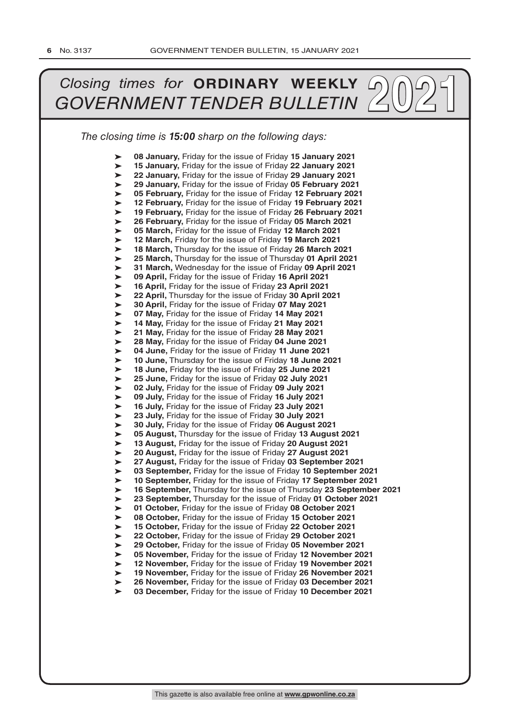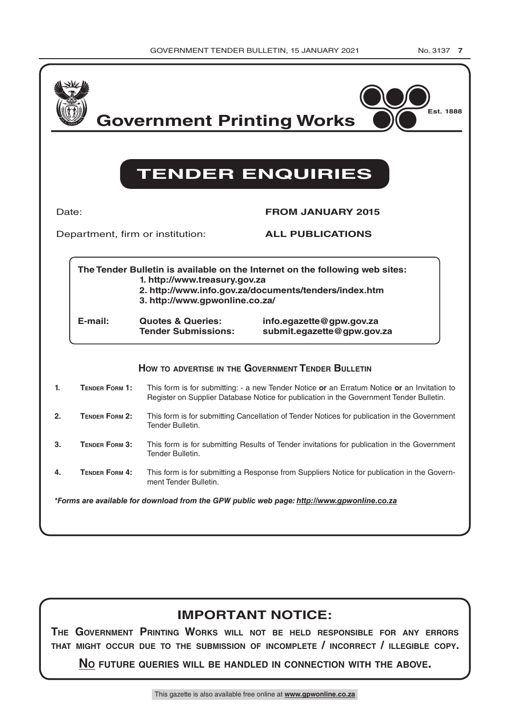| GOVERNMENT TENDER BULLETIN, 15 JANUARY 2021 |  |  |  |
|---------------------------------------------|--|--|--|

|    |                       | <b>Government Printing Works</b>                                | Est. 1888<br><b>TENDER ENQUIRIES</b>                                                                                                                                                   |
|----|-----------------------|-----------------------------------------------------------------|----------------------------------------------------------------------------------------------------------------------------------------------------------------------------------------|
|    | Date:                 |                                                                 | <b>FROM JANUARY 2015</b>                                                                                                                                                               |
|    |                       | Department, firm or institution:                                | <b>ALL PUBLICATIONS</b>                                                                                                                                                                |
|    |                       | 1. http://www.treasury.gov.za<br>3. http://www.gpwonline.co.za/ | The Tender Bulletin is available on the Internet on the following web sites:<br>2. http://www.info.gov.za/documents/tenders/index.htm                                                  |
|    | E-mail:               | <b>Quotes &amp; Queries:</b><br><b>Tender Submissions:</b>      | info.egazette@gpw.gov.za<br>submit.egazette@gpw.gov.za                                                                                                                                 |
|    |                       |                                                                 | <b>HOW TO ADVERTISE IN THE GOVERNMENT TENDER BULLETIN</b>                                                                                                                              |
| 1. | <b>TENDER FORM 1:</b> |                                                                 | This form is for submitting: - a new Tender Notice or an Erratum Notice or an Invitation to<br>Register on Supplier Database Notice for publication in the Government Tender Bulletin. |
| 2. | <b>TENDER FORM 2:</b> | Tender Bulletin.                                                | This form is for submitting Cancellation of Tender Notices for publication in the Government                                                                                           |
| З. | <b>TENDER FORM 3:</b> | Tender Bulletin.                                                | This form is for submitting Results of Tender invitations for publication in the Government                                                                                            |
| 4. | <b>TENDER FORM 4:</b> | ment Tender Bulletin.                                           | This form is for submitting a Response from Suppliers Notice for publication in the Govern-                                                                                            |
|    |                       |                                                                 | *Forms are available for download from the GPW public web page: http://www.gpwonline.co.za                                                                                             |

# **IMPORTANT NOTICE:**

**tHe Government PrintinG worKs will not Be Held resPonsiBle For anY errors tHat miGHt oCCur due to tHe suBmission oF inComPlete / inCorreCt / illeGiBle CoPY.**

**no Future Queries will Be Handled in ConneCtion witH tHe aBove.**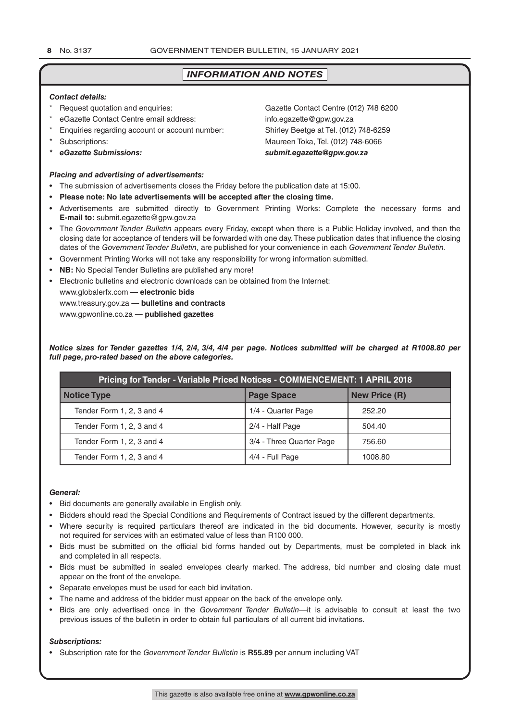# *INFORMATION AND NOTES*

#### *Contact details:*

- 
- eGazette Contact Centre email address: info.egazette@gpw.gov.za
- Enquiries regarding account or account number: Shirley Beetge at Tel. (012) 748-6259
- 
- 

#### *Placing and advertising of advertisements:*

- The submission of advertisements closes the Friday before the publication date at 15:00.
- **Please note: No late advertisements will be accepted after the closing time.**
- Advertisements are submitted directly to Government Printing Works: Complete the necessary forms and **E-mail to:** submit.egazette@gpw.gov.za
- The *Government Tender Bulletin* appears every Friday, except when there is a Public Holiday involved, and then the closing date for acceptance of tenders will be forwarded with one day. These publication dates that influence the closing dates of the *Government Tender Bulletin*, are published for your convenience in each *Government Tender Bulletin*.
- Government Printing Works will not take any responsibility for wrong information submitted.
- **NB:** No Special Tender Bulletins are published any more!
- Electronic bulletins and electronic downloads can be obtained from the Internet:

www.globalerfx.com — **electronic bids**

www.treasury.gov.za — **bulletins and contracts**

www.gpwonline.co.za — **published gazettes**

*Notice sizes for Tender gazettes 1/4, 2/4, 3/4, 4/4 per page. Notices submitted will be charged at R1008.80 per full page, pro-rated based on the above categories.*

| Pricing for Tender - Variable Priced Notices - COMMENCEMENT: 1 APRIL 2018 |                          |                      |  |
|---------------------------------------------------------------------------|--------------------------|----------------------|--|
| <b>Notice Type</b>                                                        | <b>Page Space</b>        | <b>New Price (R)</b> |  |
| Tender Form 1, 2, 3 and 4                                                 | 1/4 - Quarter Page       | 252.20               |  |
| Tender Form 1, 2, 3 and 4                                                 | 2/4 - Half Page          | 504.40               |  |
| Tender Form 1, 2, 3 and 4                                                 | 3/4 - Three Quarter Page | 756.60               |  |
| Tender Form 1, 2, 3 and 4                                                 | 4/4 - Full Page          | 1008.80              |  |

#### *General:*

- Bid documents are generally available in English only.
- Bidders should read the Special Conditions and Requirements of Contract issued by the different departments.
- Where security is required particulars thereof are indicated in the bid documents. However, security is mostly not required for services with an estimated value of less than R100 000.
- Bids must be submitted on the official bid forms handed out by Departments, must be completed in black ink and completed in all respects.
- Bids must be submitted in sealed envelopes clearly marked. The address, bid number and closing date must appear on the front of the envelope.
- Separate envelopes must be used for each bid invitation.
- The name and address of the bidder must appear on the back of the envelope only.
- Bids are only advertised once in the *Government Tender Bulletin*—it is advisable to consult at least the two previous issues of the bulletin in order to obtain full particulars of all current bid invitations.

## *Subscriptions:*

• Subscription rate for the *Government Tender Bulletin* is **R55.89** per annum including VAT

\* Request quotation and enquiries: Gazette Contact Centre (012) 748 6200 \* Subscriptions: Maureen Toka, Tel. (012) 748-6066 *\* eGazette Submissions: submit.egazette@gpw.gov.za*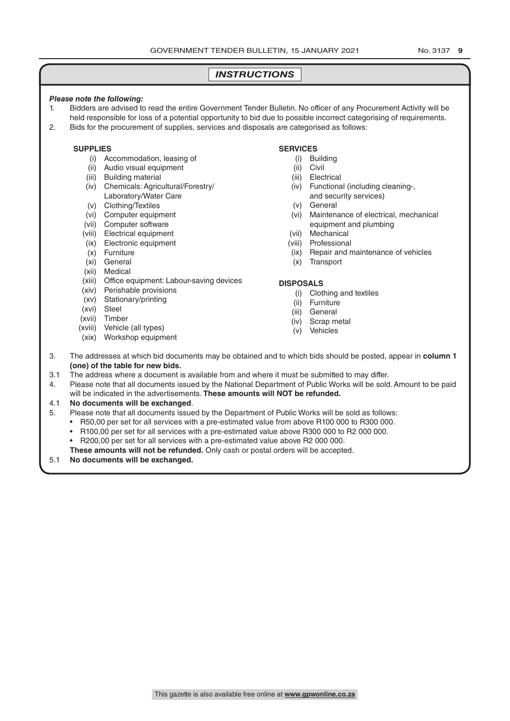# *INSTRUCTIONS*

#### *Please note the following:*

- 1. Bidders are advised to read the entire Government Tender Bulletin. No officer of any Procurement Activity will be held responsible for loss of a potential opportunity to bid due to possible incorrect categorising of requirements.
- 2. Bids for the procurement of supplies, services and disposals are categorised as follows:

#### **SUPPLIES**

- (i) Accommodation, leasing of
- (ii) Audio visual equipment
- (iii) Building material
- (iv) Chemicals: Agricultural/Forestry/ Laboratory/Water Care
- (v) Clothing/Textiles
- (vi) Computer equipment
- (vii) Computer software
- (viii) Electrical equipment
- (ix) Electronic equipment
- (x) Furniture
- (xi) General
- (xii) Medical
- (xiii) Office equipment: Labour-saving devices
- (xiv) Perishable provisions
- (xv) Stationary/printing
- (xvi) Steel
- (xvii) Timber
- (xviii) Vehicle (all types)
- (xix) Workshop equipment

#### **SERVICES**

- (i) Building
- (ii) Civil
- (iii) Electrical
- (iv) Functional (including cleaning-,
	- and security services)
- (v) General
- (vi) Maintenance of electrical, mechanical equipment and plumbing
- (vii) Mechanical
- (viii) Professional
- (ix) Repair and maintenance of vehicles
- (x) Transport

#### **DISPOSALS**

- (i) Clothing and textiles
- (ii) Furniture
- (iii) General
- (iv) Scrap metal
- (v) Vehicles
- 3. The addresses at which bid documents may be obtained and to which bids should be posted, appear in **column 1 (one) of the table for new bids.**
- 3.1 The address where a document is available from and where it must be submitted to may differ.
- 4. Please note that all documents issued by the National Department of Public Works will be sold. Amount to be paid will be indicated in the advertisements. **These amounts will NOT be refunded.**

#### 4.1 **No documents will be exchanged**.

- 5. Please note that all documents issued by the Department of Public Works will be sold as follows:
	- R50,00 per set for all services with a pre-estimated value from above R100 000 to R300 000.
	- R100,00 per set for all services with a pre-estimated value above R300 000 to R2 000 000.
	- R200,00 per set for all services with a pre-estimated value above R2 000 000.
	- **These amounts will not be refunded.** Only cash or postal orders will be accepted.

# 5.1 **No documents will be exchanged.**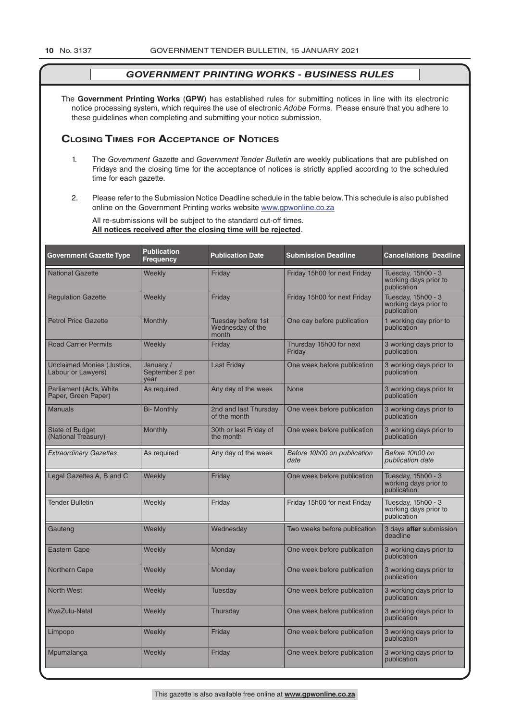The **Government Printing Works** (**GPW**) has established rules for submitting notices in line with its electronic notice processing system, which requires the use of electronic *Adobe* Forms. Please ensure that you adhere to these guidelines when completing and submitting your notice submission.

# **Closing Times for ACCepTAnCe of noTiCes**

- 1. The *Government Gazette* and *Government Tender Bulletin* are weekly publications that are published on Fridays and the closing time for the acceptance of notices is strictly applied according to the scheduled time for each gazette.
- 2. Please refer to the Submission Notice Deadline schedule in the table below. This schedule is also published online on the Government Printing works website www.gpwonline.co.za

All re-submissions will be subject to the standard cut-off times. **All notices received after the closing time will be rejected**.

| <b>Government Gazette Type</b>                   | <b>Publication</b><br><b>Frequency</b> | <b>Publication Date</b>                         | <b>Submission Deadline</b>          | <b>Cancellations Deadline</b>                              |
|--------------------------------------------------|----------------------------------------|-------------------------------------------------|-------------------------------------|------------------------------------------------------------|
| <b>National Gazette</b>                          | Weekly                                 | Friday                                          | Friday 15h00 for next Friday        | Tuesday, 15h00 - 3<br>working days prior to<br>publication |
| <b>Regulation Gazette</b>                        | Weekly                                 | Friday                                          | Friday 15h00 for next Friday        | Tuesday, 15h00 - 3<br>working days prior to<br>publication |
| <b>Petrol Price Gazette</b>                      | Monthly                                | Tuesday before 1st<br>Wednesday of the<br>month | One day before publication          | 1 working day prior to<br>publication                      |
| <b>Road Carrier Permits</b>                      | Weekly                                 | Friday                                          | Thursday 15h00 for next<br>Friday   | 3 working days prior to<br>publication                     |
| Unclaimed Monies (Justice,<br>Labour or Lawyers) | January /<br>September 2 per<br>vear   | <b>Last Friday</b>                              | One week before publication         | 3 working days prior to<br>publication                     |
| Parliament (Acts, White<br>Paper, Green Paper)   | As required                            | Any day of the week                             | None                                | 3 working days prior to<br>publication                     |
| <b>Manuals</b>                                   | <b>Bi- Monthly</b>                     | 2nd and last Thursday<br>of the month           | One week before publication         | 3 working days prior to<br>publication                     |
| <b>State of Budget</b><br>(National Treasury)    | Monthly                                | 30th or last Friday of<br>the month             | One week before publication         | 3 working days prior to<br>publication                     |
| <b>Extraordinary Gazettes</b>                    | As required                            | Any day of the week                             | Before 10h00 on publication<br>date | Before 10h00 on<br>publication date                        |
| Legal Gazettes A, B and C                        | Weekly                                 | Friday                                          | One week before publication         | Tuesday, 15h00 - 3<br>working days prior to<br>publication |
| <b>Tender Bulletin</b>                           | Weekly                                 | Friday                                          | Friday 15h00 for next Friday        | Tuesday, 15h00 - 3<br>working days prior to<br>publication |
| Gauteng                                          | Weekly                                 | Wednesday                                       | Two weeks before publication        | 3 days after submission<br>deadline                        |
| <b>Eastern Cape</b>                              | Weekly                                 | Monday                                          | One week before publication         | 3 working days prior to<br>publication                     |
| <b>Northern Cape</b>                             | Weekly                                 | Monday                                          | One week before publication         | 3 working days prior to<br>publication                     |
| <b>North West</b>                                | Weekly                                 | Tuesday                                         | One week before publication         | 3 working days prior to<br>publication                     |
| <b>KwaZulu-Natal</b>                             | Weekly                                 | Thursday                                        | One week before publication         | 3 working days prior to<br>publication                     |
| Limpopo                                          | Weekly                                 | Friday                                          | One week before publication         | 3 working days prior to<br>publication                     |
| Mpumalanga                                       | Weekly                                 | Friday                                          | One week before publication         | 3 working days prior to<br>publication                     |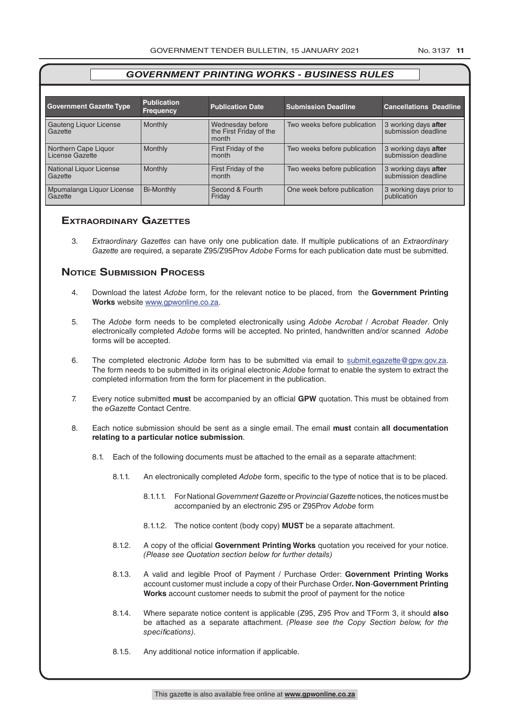| <b>Government Gazette Type</b>          | <b>Publication</b><br><b>Frequency</b> | <b>Publication Date</b>                              | <b>Submission Deadline</b>   | <b>Cancellations Deadline</b>               |
|-----------------------------------------|----------------------------------------|------------------------------------------------------|------------------------------|---------------------------------------------|
|                                         | Monthly                                |                                                      |                              |                                             |
| Gauteng Liquor License<br>Gazette       |                                        | Wednesday before<br>the First Friday of the<br>month | Two weeks before publication | 3 working days after<br>submission deadline |
| Northern Cape Liquor<br>License Gazette | <b>Monthly</b>                         | First Friday of the<br>month                         | Two weeks before publication | 3 working days after<br>submission deadline |
| National Liquor License<br>Gazette      | <b>Monthly</b>                         | First Friday of the<br>month                         | Two weeks before publication | 3 working days after<br>submission deadline |
| Mpumalanga Liquor License<br>Gazette    | <b>Bi-Monthly</b>                      | Second & Fourth<br>Friday                            | One week before publication  | 3 working days prior to<br>publication      |

# **exTrAordinAry gAzeTTes**

3. *Extraordinary Gazettes* can have only one publication date. If multiple publications of an *Extraordinary Gazette* are required, a separate Z95/Z95Prov *Adobe* Forms for each publication date must be submitted.

# **NOTICE SUBMISSION PROCESS**

- 4. Download the latest *Adobe* form, for the relevant notice to be placed, from the **Government Printing Works** website www.gpwonline.co.za.
- 5. The *Adobe* form needs to be completed electronically using *Adobe Acrobat* / *Acrobat Reader*. Only electronically completed *Adobe* forms will be accepted. No printed, handwritten and/or scanned *Adobe* forms will be accepted.
- 6. The completed electronic *Adobe* form has to be submitted via email to submit.egazette@gpw.gov.za. The form needs to be submitted in its original electronic *Adobe* format to enable the system to extract the completed information from the form for placement in the publication.
- 7. Every notice submitted **must** be accompanied by an official **GPW** quotation. This must be obtained from the *eGazette* Contact Centre.
- 8. Each notice submission should be sent as a single email. The email **must** contain **all documentation relating to a particular notice submission**.
	- 8.1. Each of the following documents must be attached to the email as a separate attachment:
		- 8.1.1. An electronically completed *Adobe* form, specific to the type of notice that is to be placed.
			- 8.1.1.1. For National *Government Gazette* or *Provincial Gazette* notices, the notices must be accompanied by an electronic Z95 or Z95Prov *Adobe* form
			- 8.1.1.2. The notice content (body copy) **MUST** be a separate attachment.
		- 8.1.2. A copy of the official **Government Printing Works** quotation you received for your notice. *(Please see Quotation section below for further details)*
		- 8.1.3. A valid and legible Proof of Payment / Purchase Order: **Government Printing Works** account customer must include a copy of their Purchase Order*.* **Non**-**Government Printing Works** account customer needs to submit the proof of payment for the notice
		- 8.1.4. Where separate notice content is applicable (Z95, Z95 Prov and TForm 3, it should **also** be attached as a separate attachment. *(Please see the Copy Section below, for the specifications)*.
		- 8.1.5. Any additional notice information if applicable.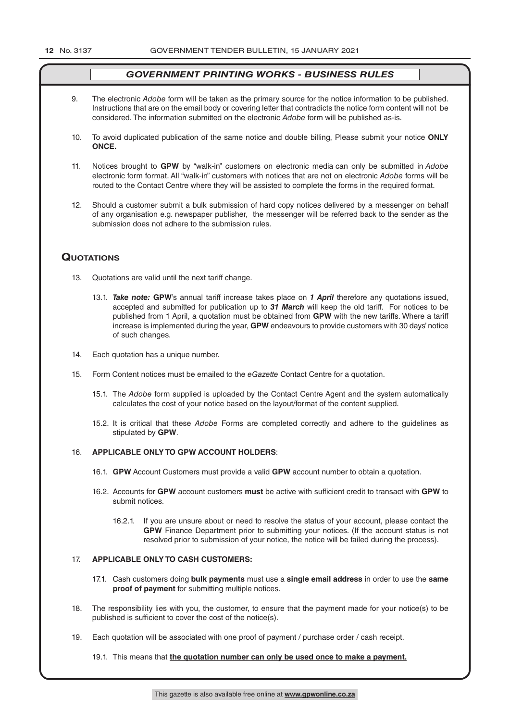- 9. The electronic *Adobe* form will be taken as the primary source for the notice information to be published. Instructions that are on the email body or covering letter that contradicts the notice form content will not be considered. The information submitted on the electronic *Adobe* form will be published as-is.
- 10. To avoid duplicated publication of the same notice and double billing, Please submit your notice **ONLY ONCE.**
- 11. Notices brought to **GPW** by "walk-in" customers on electronic media can only be submitted in *Adobe* electronic form format. All "walk-in" customers with notices that are not on electronic *Adobe* forms will be routed to the Contact Centre where they will be assisted to complete the forms in the required format.
- 12. Should a customer submit a bulk submission of hard copy notices delivered by a messenger on behalf of any organisation e.g. newspaper publisher, the messenger will be referred back to the sender as the submission does not adhere to the submission rules.

# **QuoTATions**

- 13. Quotations are valid until the next tariff change.
	- 13.1. *Take note:* **GPW**'s annual tariff increase takes place on *1 April* therefore any quotations issued, accepted and submitted for publication up to *31 March* will keep the old tariff. For notices to be published from 1 April, a quotation must be obtained from **GPW** with the new tariffs. Where a tariff increase is implemented during the year, **GPW** endeavours to provide customers with 30 days' notice of such changes.
- 14. Each quotation has a unique number.
- 15. Form Content notices must be emailed to the *eGazette* Contact Centre for a quotation.
	- 15.1. The *Adobe* form supplied is uploaded by the Contact Centre Agent and the system automatically calculates the cost of your notice based on the layout/format of the content supplied.
	- 15.2. It is critical that these *Adobe* Forms are completed correctly and adhere to the guidelines as stipulated by **GPW**.

#### 16. **APPLICABLE ONLY TO GPW ACCOUNT HOLDERS**:

- 16.1. **GPW** Account Customers must provide a valid **GPW** account number to obtain a quotation.
- 16.2. Accounts for **GPW** account customers **must** be active with sufficient credit to transact with **GPW** to submit notices.
	- 16.2.1. If you are unsure about or need to resolve the status of your account, please contact the **GPW** Finance Department prior to submitting your notices. (If the account status is not resolved prior to submission of your notice, the notice will be failed during the process).

# 17. **APPLICABLE ONLY TO CASH CUSTOMERS:**

- 17.1. Cash customers doing **bulk payments** must use a **single email address** in order to use the **same proof of payment** for submitting multiple notices.
- 18. The responsibility lies with you, the customer, to ensure that the payment made for your notice(s) to be published is sufficient to cover the cost of the notice(s).
- 19. Each quotation will be associated with one proof of payment / purchase order / cash receipt.

19.1. This means that **the quotation number can only be used once to make a payment.**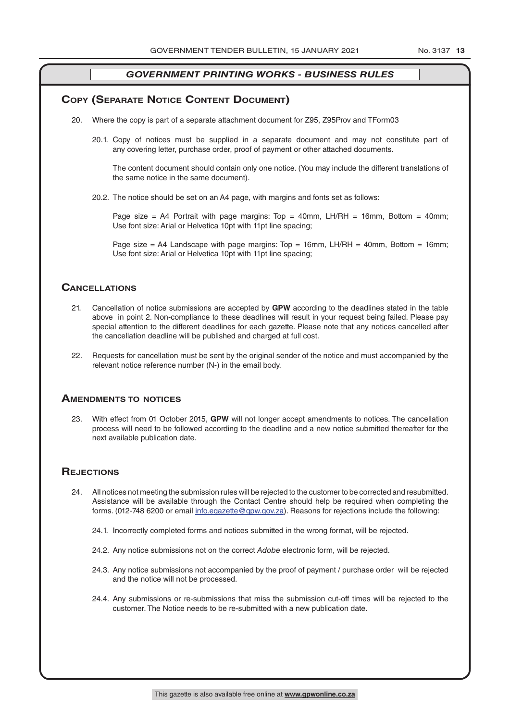# **COPY (SEPARATE NOTICE CONTENT DOCUMENT)**

- 20. Where the copy is part of a separate attachment document for Z95, Z95Prov and TForm03
	- 20.1. Copy of notices must be supplied in a separate document and may not constitute part of any covering letter, purchase order, proof of payment or other attached documents.

The content document should contain only one notice. (You may include the different translations of the same notice in the same document).

20.2. The notice should be set on an A4 page, with margins and fonts set as follows:

Page size = A4 Portrait with page margins: Top = 40mm, LH/RH = 16mm, Bottom = 40mm; Use font size: Arial or Helvetica 10pt with 11pt line spacing;

Page size = A4 Landscape with page margins: Top = 16mm, LH/RH = 40mm, Bottom = 16mm; Use font size: Arial or Helvetica 10pt with 11pt line spacing;

# **CAnCellATions**

- 21. Cancellation of notice submissions are accepted by **GPW** according to the deadlines stated in the table above in point 2. Non-compliance to these deadlines will result in your request being failed. Please pay special attention to the different deadlines for each gazette. Please note that any notices cancelled after the cancellation deadline will be published and charged at full cost.
- 22. Requests for cancellation must be sent by the original sender of the notice and must accompanied by the relevant notice reference number (N-) in the email body.

#### **AmendmenTs To noTiCes**

23. With effect from 01 October 2015, **GPW** will not longer accept amendments to notices. The cancellation process will need to be followed according to the deadline and a new notice submitted thereafter for the next available publication date.

# **REJECTIONS**

- 24. All notices not meeting the submission rules will be rejected to the customer to be corrected and resubmitted. Assistance will be available through the Contact Centre should help be required when completing the forms. (012-748 6200 or email info.egazette@gpw.gov.za). Reasons for rejections include the following:
	- 24.1. Incorrectly completed forms and notices submitted in the wrong format, will be rejected.
	- 24.2. Any notice submissions not on the correct *Adobe* electronic form, will be rejected.
	- 24.3. Any notice submissions not accompanied by the proof of payment / purchase order will be rejected and the notice will not be processed.
	- 24.4. Any submissions or re-submissions that miss the submission cut-off times will be rejected to the customer. The Notice needs to be re-submitted with a new publication date.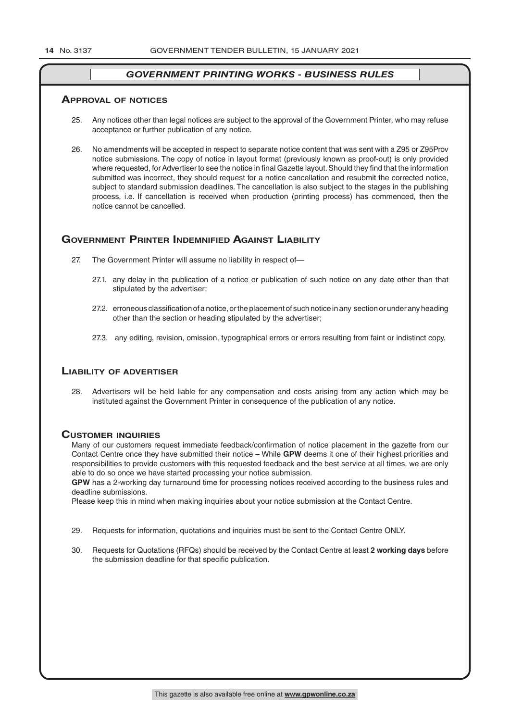#### **ApprovAl of noTiCes**

- 25. Any notices other than legal notices are subject to the approval of the Government Printer, who may refuse acceptance or further publication of any notice.
- 26. No amendments will be accepted in respect to separate notice content that was sent with a Z95 or Z95Prov notice submissions. The copy of notice in layout format (previously known as proof-out) is only provided where requested, for Advertiser to see the notice in final Gazette layout. Should they find that the information submitted was incorrect, they should request for a notice cancellation and resubmit the corrected notice, subject to standard submission deadlines. The cancellation is also subject to the stages in the publishing process, i.e. If cancellation is received when production (printing process) has commenced, then the notice cannot be cancelled.

# **GOVERNMENT PRINTER INDEMNIFIED AGAINST LIABILITY**

- 27. The Government Printer will assume no liability in respect of—
	- 27.1. any delay in the publication of a notice or publication of such notice on any date other than that stipulated by the advertiser;
	- 27.2. erroneous classification of a notice, or the placement of such notice in any section or under any heading other than the section or heading stipulated by the advertiser;
	- 27.3. any editing, revision, omission, typographical errors or errors resulting from faint or indistinct copy.

## **liAbiliTy of AdverTiser**

28. Advertisers will be held liable for any compensation and costs arising from any action which may be instituted against the Government Printer in consequence of the publication of any notice.

#### **CusTomer inQuiries**

Many of our customers request immediate feedback/confirmation of notice placement in the gazette from our Contact Centre once they have submitted their notice – While **GPW** deems it one of their highest priorities and responsibilities to provide customers with this requested feedback and the best service at all times, we are only able to do so once we have started processing your notice submission.

**GPW** has a 2-working day turnaround time for processing notices received according to the business rules and deadline submissions.

Please keep this in mind when making inquiries about your notice submission at the Contact Centre.

- 29. Requests for information, quotations and inquiries must be sent to the Contact Centre ONLY.
- 30. Requests for Quotations (RFQs) should be received by the Contact Centre at least **2 working days** before the submission deadline for that specific publication.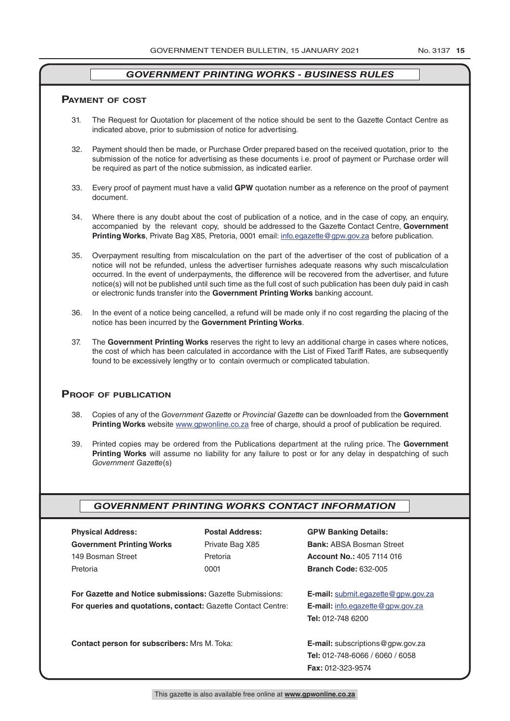# **pAymenT of CosT**

- 31. The Request for Quotation for placement of the notice should be sent to the Gazette Contact Centre as indicated above, prior to submission of notice for advertising.
- 32. Payment should then be made, or Purchase Order prepared based on the received quotation, prior to the submission of the notice for advertising as these documents i.e. proof of payment or Purchase order will be required as part of the notice submission, as indicated earlier.
- 33. Every proof of payment must have a valid **GPW** quotation number as a reference on the proof of payment document.
- 34. Where there is any doubt about the cost of publication of a notice, and in the case of copy, an enquiry, accompanied by the relevant copy, should be addressed to the Gazette Contact Centre, **Government Printing Works**, Private Bag X85, Pretoria, 0001 email: info.egazette@gpw.gov.za before publication.
- 35. Overpayment resulting from miscalculation on the part of the advertiser of the cost of publication of a notice will not be refunded, unless the advertiser furnishes adequate reasons why such miscalculation occurred. In the event of underpayments, the difference will be recovered from the advertiser, and future notice(s) will not be published until such time as the full cost of such publication has been duly paid in cash or electronic funds transfer into the **Government Printing Works** banking account.
- 36. In the event of a notice being cancelled, a refund will be made only if no cost regarding the placing of the notice has been incurred by the **Government Printing Works**.
- 37. The **Government Printing Works** reserves the right to levy an additional charge in cases where notices, the cost of which has been calculated in accordance with the List of Fixed Tariff Rates, are subsequently found to be excessively lengthy or to contain overmuch or complicated tabulation.

# **proof of publiCATion**

- 38. Copies of any of the *Government Gazette* or *Provincial Gazette* can be downloaded from the **Government Printing Works** website www.gpwonline.co.za free of charge, should a proof of publication be required.
- 39. Printed copies may be ordered from the Publications department at the ruling price. The **Government Printing Works** will assume no liability for any failure to post or for any delay in despatching of such *Government Gazette*(s)

# *GOVERNMENT PRINTING WORKS CONTACT INFORMATION*

| <b>Physical Address:</b>                                            | <b>Postal Address:</b> | <b>GPW Banking Details:</b>                 |
|---------------------------------------------------------------------|------------------------|---------------------------------------------|
| <b>Government Printing Works</b>                                    | Private Bag X85        | <b>Bank: ABSA Bosman Street</b>             |
| 149 Bosman Street                                                   | Pretoria               | <b>Account No.: 405 7114 016</b>            |
| Pretoria                                                            | 0001                   | <b>Branch Code: 632-005</b>                 |
|                                                                     |                        |                                             |
| <b>For Gazette and Notice submissions: Gazette Submissions:</b>     |                        | <b>E-mail:</b> submit.egazette@gpw.gov.za   |
| <b>For queries and quotations, contact: Gazette Contact Centre:</b> |                        | <b>E-mail:</b> info.egazette@gpw.gov.za     |
|                                                                     |                        | Tel: 012-748 6200                           |
|                                                                     |                        |                                             |
| <b>Contact person for subscribers: Mrs M. Toka:</b>                 |                        | <b>E-mail:</b> subscriptions $@$ gpw.gov.za |
|                                                                     |                        | <b>Tel: 012-748-6066 / 6060 / 6058</b>      |
|                                                                     |                        | <b>Fax: 012-323-9574</b>                    |
|                                                                     |                        |                                             |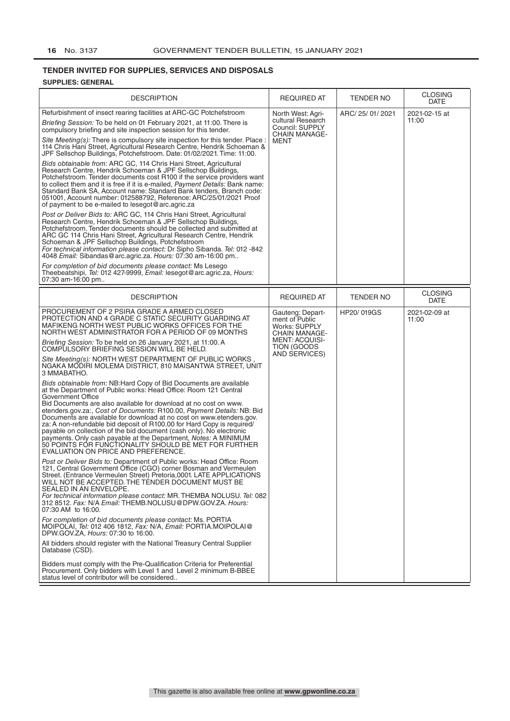# **TENDER INVITED FOR SUPPLIES, SERVICES AND DISPOSALS**

# **SUPPLIES: GENERAL**

| <b>DESCRIPTION</b>                                                                                                                                                                                                                                                                                                                                                                                                                                                                                                                                                                                                                                                                                                                                                                                                                                                                                                                                                                                                                                                                                                                                                                                                                                                                                                                                                                                                                                                                                                                                                                                                                                                                                                                                                                                                                                                                                                                                                                                                                                                                                             | <b>REQUIRED AT</b>                                                                                                                          | <b>TENDER NO</b>  | <b>CLOSING</b><br>DATE        |
|----------------------------------------------------------------------------------------------------------------------------------------------------------------------------------------------------------------------------------------------------------------------------------------------------------------------------------------------------------------------------------------------------------------------------------------------------------------------------------------------------------------------------------------------------------------------------------------------------------------------------------------------------------------------------------------------------------------------------------------------------------------------------------------------------------------------------------------------------------------------------------------------------------------------------------------------------------------------------------------------------------------------------------------------------------------------------------------------------------------------------------------------------------------------------------------------------------------------------------------------------------------------------------------------------------------------------------------------------------------------------------------------------------------------------------------------------------------------------------------------------------------------------------------------------------------------------------------------------------------------------------------------------------------------------------------------------------------------------------------------------------------------------------------------------------------------------------------------------------------------------------------------------------------------------------------------------------------------------------------------------------------------------------------------------------------------------------------------------------------|---------------------------------------------------------------------------------------------------------------------------------------------|-------------------|-------------------------------|
| Refurbishment of insect rearing facilities at ARC-GC Potchefstroom<br>Briefing Session: To be held on 01 February 2021, at 11:00. There is<br>compulsory briefing and site inspection session for this tender.<br>Site Meeting(s): There is compulsory site inspection for this tender. Place :<br>114 Chris Hani Street, Agricultural Research Centre, Hendrik Schoeman &<br>JPF Sellschop Buildings, Potchefstroom. Date: 01/02/2021. Time: 11:00.<br>Bids obtainable from: ARC GC, 114 Chris Hani Street, Agricultural<br>Research Centre, Hendrik Schoeman & JPF Sellschop Buildings,<br>Potchefstroom. Tender documents cost R100 if the service providers want<br>to collect them and it is free if it is e-mailed, Payment Details: Bank name:<br>Standard Bank SA, Account name: Standard Bank tenders, Branch code:<br>051001, Account number: 012588792, Reference: ARC/25/01/2021 Proof<br>of payment to be e-mailed to lesegot@arc.agric.za<br>Post or Deliver Bids to: ARC GC, 114 Chris Hani Street, Agricultural<br>Research Centre, Hendrik Schoeman & JPF Sellschop Buildings,<br>Potchefstroom. Tender documents should be collected and submitted at<br>ARC GC 114 Chris Hani Street, Agricultural Research Centre, Hendrik<br>Schoeman & JPF Sellschop Buildings, Potchefstroom<br>For technical information please contact: Dr Sipho Sibanda. Tel: 012 -842<br>4048 Email: Sibandas@arc.agric.za. Hours: 07:30 am-16:00 pm<br>For completion of bid documents please contact: Ms Lesego<br>Theebeatshipi, Tel: 012 427-9999, Email: lesegot@arc.agric.za, Hours:<br>07:30 am-16:00 pm                                                                                                                                                                                                                                                                                                                                                                                                                                                                                                     | North West: Agri-<br>cultural Research<br>Council: SUPPLY<br><b>CHAIN MANAGE-</b><br><b>MENT</b>                                            | ARC/ 25/ 01/ 2021 | 2021-02-15 at<br>11:00        |
| <b>DESCRIPTION</b>                                                                                                                                                                                                                                                                                                                                                                                                                                                                                                                                                                                                                                                                                                                                                                                                                                                                                                                                                                                                                                                                                                                                                                                                                                                                                                                                                                                                                                                                                                                                                                                                                                                                                                                                                                                                                                                                                                                                                                                                                                                                                             | <b>REQUIRED AT</b>                                                                                                                          | <b>TENDER NO</b>  | <b>CLOSING</b><br><b>DATE</b> |
| PROCUREMENT OF 2 PSIRA GRADE A ARMED CLOSED<br>PROTECTION AND 4 GRADE C STATIC SECURITY GUARDING AT<br>MAFIKENG NORTH WEST PUBLIC WORKS OFFICES FOR THE<br>NORTH WEST ADMINISTRATOR FOR A PERIOD OF 09 MONTHS<br>Briefing Session: To be held on 26 January 2021, at 11:00. A<br>COMPULSORY BRIEFING SESSION WILL BE HELD.<br>Site Meeting(s): NORTH WEST DEPARTMENT OF PUBLIC WORKS<br>NGAKA MODIRI MOLEMA DISTRICT, 810 MAISANTWA STREET, UNIT<br>3 MMABATHO.<br>Bids obtainable from: NB: Hard Copy of Bid Documents are available at the Department of Public works: Head Office: Room 121 Central<br>Government Office<br>Bid Documents are also available for download at no cost on www.<br>etenders.gov.za:, Cost of Documents: R100.00, Payment Details: NB: Bid<br>Documents are available for download at no cost on www.etenders.gov.<br>za: A non-refundable bid deposit of R100.00 for Hard Copy is required/<br>payable on collection of the bid document (cash only). No electronic<br>payments. Only cash payable at the Department, Notes: A MINIMUM<br>50 POINTS FOR FUNCTIONALITY SHOULD BE MET FOR FURTHER<br>EVALUATION ON PRICE AND PREFERENCE.<br>Post or Deliver Bids to: Department of Public works: Head Office: Room<br>121, Central Government Office (CGO) corner Bosman and Vermeulen<br>Street. (Entrance Vermeulen Street) Pretoria,0001. LATE APPLICATIONS<br>WILL NOT BE ACCEPTED. THE TENDER DOCUMENT MUST BE<br>SEALED IN AN ENVELOPE.<br>For technical information please contact: MR. THEMBA NOLUSU. Tel: 082<br>312 8512. Fax: N/A Email: THEMB.NOLUSU@DPW.GOV.ZA. Hours:<br>07:30 AM to 16:00.<br>For completion of bid documents please contact: Ms. PORTIA<br>MOIPOLAI, Tel: 012 406 1812, Fax: N/A, Email: PORTIA.MOIPOLAI@<br>DPW.GOV.ZA, Hours: 07:30 to 16:00.<br>All bidders should register with the National Treasury Central Supplier<br>Database (CSD).<br>Bidders must comply with the Pre-Qualification Criteria for Preferential<br>Procurement. Only bidders with Level 1 and Level 2 minimum B-BBEE<br>status level of contributor will be considered | Gauteng: Depart-<br>ment of Public<br><b>Works: SUPPLY</b><br><b>CHAIN MANAGE-</b><br><b>MENT: ACQUISI-</b><br>TION (GOODS<br>AND SERVICES) | HP20/019GS        | 2021-02-09 at<br>11:00        |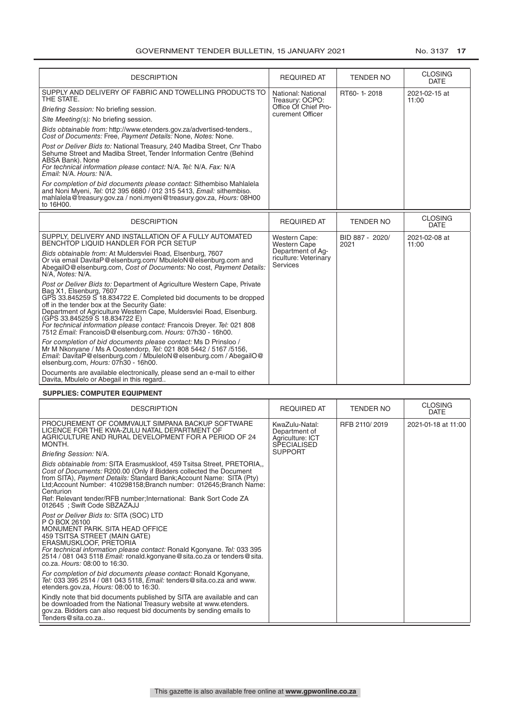# GOVERNMENT TENDER BULLETIN, 15 JANUARY 2021 No. 3137 17

| <b>DESCRIPTION</b>                                                                                                                                                                                                                                                                                                                                                                                                                                                                                                                                                                                                                                                                                                                                                                                           | <b>REQUIRED AT</b>                                                                | <b>TENDER NO</b> | <b>CLOSING</b><br><b>DATE</b> |
|--------------------------------------------------------------------------------------------------------------------------------------------------------------------------------------------------------------------------------------------------------------------------------------------------------------------------------------------------------------------------------------------------------------------------------------------------------------------------------------------------------------------------------------------------------------------------------------------------------------------------------------------------------------------------------------------------------------------------------------------------------------------------------------------------------------|-----------------------------------------------------------------------------------|------------------|-------------------------------|
| SUPPLY AND DELIVERY OF FABRIC AND TOWELLING PRODUCTS TO<br>THE STATE.<br>Briefing Session: No briefing session.<br>Site Meeting(s): No briefing session.<br>Bids obtainable from: http://www.etenders.gov.za/advertised-tenders.,<br>Cost of Documents: Free, Payment Details: None, Notes: None.<br>Post or Deliver Bids to: National Treasury, 240 Madiba Street, Cnr Thabo<br>Sehume Street and Madiba Street, Tender Information Centre (Behind<br>ABSA Bank). None<br>For technical information please contact: N/A. Tel: N/A. Fax: N/A<br>Email: N/A. Hours: N/A.<br>For completion of bid documents please contact: Sithembiso Mahlalela<br>and Noni Myeni, Tel: 012 395 6680 / 012 315 5413, Email: sithembiso.<br>mahlalela@treasury.gov.za / noni.myeni@treasury.gov.za, Hours: 08H00<br>to 16H00. | National: National<br>Treasury: OCPO:<br>Office Of Chief Pro-<br>curement Officer | RT60-1-2018      | 2021-02-15 at<br>11:00        |
| <b>DESCRIPTION</b>                                                                                                                                                                                                                                                                                                                                                                                                                                                                                                                                                                                                                                                                                                                                                                                           | <b>REQUIRED AT</b>                                                                | <b>TENDER NO</b> | <b>CLOSING</b>                |
| SUPPLY. DELIVERY AND INSTALLATION OF A FULLY AUTOMATED                                                                                                                                                                                                                                                                                                                                                                                                                                                                                                                                                                                                                                                                                                                                                       | <b>Western Cape:</b>                                                              | BID 887 - 2020/  | <b>DATE</b><br>2021-02-08 at  |
| BENCHTOP LIQUID HANDLER FOR PCR SETUP                                                                                                                                                                                                                                                                                                                                                                                                                                                                                                                                                                                                                                                                                                                                                                        | <b>Western Cape</b><br>Department of Aq-                                          | 2021             | 11:00                         |
| Bids obtainable from: At Muldersvlei Road, Elsenburg, 7607<br>Or via email DavitaP@elsenburg.com/ MbuleloN@elsenburg.com and<br>AbegailO@elsenburg.com, Cost of Documents: No cost, Payment Details:<br>N/A. Notes: N/A.                                                                                                                                                                                                                                                                                                                                                                                                                                                                                                                                                                                     | riculture: Veterinary<br>Services                                                 |                  |                               |
| Post or Deliver Bids to: Department of Agriculture Western Cape, Private<br>Bag X1, Elsenburg, 7607<br>GPS 33.845259 S 18.834722 E. Completed bid documents to be dropped<br>off in the tender box at the Security Gate:<br>Department of Agriculture Western Cape, Muldersvlei Road, Elsenburg.<br>(GPS 33.845259 S 18.834722 E)<br>For technical information please contact: Francois Dreyer. Tel: 021 808<br>7512 Email: FrancoisD@elsenburg.com. Hours: 07h30 - 16h00.                                                                                                                                                                                                                                                                                                                                   |                                                                                   |                  |                               |
| For completion of bid documents please contact: Ms D Prinsloo /<br>Mr M Nkonyane / Ms A Oostendorp, Tel: 021 808 5442 / 5167 /5156,<br>Email: DavitaP@elsenburg.com / MbuleloN@elsenburg.com / AbegailO@<br>elsenburg.com, Hours: 07h30 - 16h00.                                                                                                                                                                                                                                                                                                                                                                                                                                                                                                                                                             |                                                                                   |                  |                               |
| Documents are available electronically, please send an e-mail to either<br>Davita, Mbulelo or Abegail in this regard                                                                                                                                                                                                                                                                                                                                                                                                                                                                                                                                                                                                                                                                                         |                                                                                   |                  |                               |

# **SUPPLIES: COMPUTER EQUIPMENT**

| <b>DESCRIPTION</b>                                                                                                                                                                                                                                                                                                                                                            | <b>REQUIRED AT</b>                                                        | TENDER NO     | <b>CLOSING</b><br><b>DATE</b> |
|-------------------------------------------------------------------------------------------------------------------------------------------------------------------------------------------------------------------------------------------------------------------------------------------------------------------------------------------------------------------------------|---------------------------------------------------------------------------|---------------|-------------------------------|
| PROCUREMENT OF COMMVAULT SIMPANA BACKUP SOFTWARE<br>LICENCE FOR THE KWA-ZULU NATAL DEPARTMENT OF<br>AGRICULTURE AND RURAL DEVELOPMENT FOR A PERIOD OF 24<br>MONTH.                                                                                                                                                                                                            | KwaZulu-Natal:<br>Department of<br>Agriculture: ICT<br><b>SPECIALISED</b> | RFB 2110/2019 | 2021-01-18 at 11:00           |
| Briefing Session: N/A.                                                                                                                                                                                                                                                                                                                                                        | <b>SUPPORT</b>                                                            |               |                               |
| Bids obtainable from: SITA Erasmuskloof, 459 Tsitsa Street, PRETORIA.,<br>Cost of Documents: R200.00 (Only if Bidders collected the Document<br>from SITA), Payment Details: Standard Bank; Account Name: SITA (Pty)<br>Ltd: Account Number: 410298158: Branch number: 012645: Branch Name:<br>Centurion<br>Ref: Relevant tender/RFB number; International: Bank Sort Code ZA |                                                                           |               |                               |
| 012645 : Swift Code SBZAZAJJ                                                                                                                                                                                                                                                                                                                                                  |                                                                           |               |                               |
| Post or Deliver Bids to: SITA (SOC) LTD<br>P O BOX 26100<br>MONUMENT PARK. SITA HEAD OFFICE<br>459 TSITSA STREET (MAIN GATE)<br>ERASMUSKLOOF, PRETORIA<br>For technical information please contact: Ronald Kgonyane. Tel: 033 395<br>2514 / 081 043 5118 Email: ronald.kgonyane@sita.co.za or tenders@sita.<br>co.za. Hours: 08:00 to 16:30.                                  |                                                                           |               |                               |
| For completion of bid documents please contact: Ronald Kgonyane,<br>Tel: 033 395 2514 / 081 043 5118, Email: tenders@sita.co.za and www.<br>etenders.gov.za, <i>Hours:</i> 08:00 to 16:30.                                                                                                                                                                                    |                                                                           |               |                               |
| Kindly note that bid documents published by SITA are available and can<br>be downloaded from the National Treasury website at www.etenders.<br>gov.za. Bidders can also request bid documents by sending emails to<br>Tenders@sita.co.za                                                                                                                                      |                                                                           |               |                               |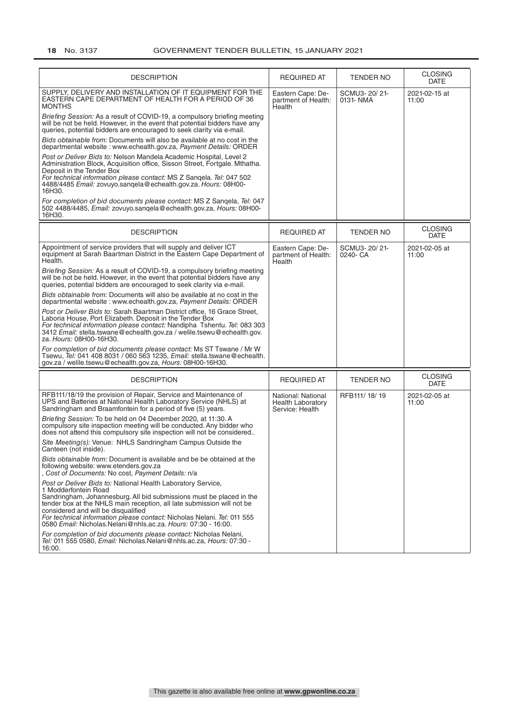| <b>DESCRIPTION</b>                                                                                                                                                                                                                                                                                                                                                                                                        | <b>REQUIRED AT</b>                                                | <b>TENDER NO</b>          | <b>CLOSING</b><br><b>DATE</b> |
|---------------------------------------------------------------------------------------------------------------------------------------------------------------------------------------------------------------------------------------------------------------------------------------------------------------------------------------------------------------------------------------------------------------------------|-------------------------------------------------------------------|---------------------------|-------------------------------|
| SUPPLY, DELIVERY AND INSTALLATION OF IT EQUIPMENT FOR THE<br>EASTERN CAPE DEPARTMENT OF HEALTH FOR A PERIOD OF 36<br><b>MONTHS</b>                                                                                                                                                                                                                                                                                        | Eastern Cape: De-<br>partment of Health:<br>Health                | SCMU3-20/21-<br>0131- NMA | 2021-02-15 at<br>11:00        |
| <i>Briefing Session:</i> As a result of COVID-19, a compulsory briefing meeting<br>will be not be held. However, in the event that potential bidders have any<br>queries, potential bidders are encouraged to seek clarity via e-mail.                                                                                                                                                                                    |                                                                   |                           |                               |
| Bids obtainable from: Documents will also be available at no cost in the<br>departmental website: www.echealth.gov.za, Payment Details: ORDER                                                                                                                                                                                                                                                                             |                                                                   |                           |                               |
| Post or Deliver Bids to: Nelson Mandela Academic Hospital, Level 2<br>Administration Block, Acquisition office, Sisson Street, Fortgale. Mthatha.<br>Deposit in the Tender Box<br>For technical information please contact: MS Z Sangela. Tel: 047 502<br>4488/4485 Email: zovuyo.sangela@echealth.gov.za. Hours: 08H00-<br>16H30.                                                                                        |                                                                   |                           |                               |
| For completion of bid documents please contact: MS Z Sangela, Tel: 047<br>502 4488/4485, Email: zovuyo.sangela@echealth.gov.za, Hours: 08H00-<br>16H30.                                                                                                                                                                                                                                                                   |                                                                   |                           |                               |
| <b>DESCRIPTION</b>                                                                                                                                                                                                                                                                                                                                                                                                        | <b>REQUIRED AT</b>                                                | <b>TENDER NO</b>          | <b>CLOSING</b><br><b>DATE</b> |
| Appointment of service providers that will supply and deliver ICT<br>equipment at Sarah Baartman District in the Eastern Cape Department of<br>Health.                                                                                                                                                                                                                                                                    | Eastern Cape: De-<br>partment of Health:<br>Health                | SCMU3-20/21-<br>0240- CA  | 2021-02-05 at<br>11:00        |
| Briefing Session: As a result of COVID-19, a compulsory briefing meeting<br>will be not be held. However, in the event that potential bidders have any<br>queries, potential bidders are encouraged to seek clarity via e-mail.                                                                                                                                                                                           |                                                                   |                           |                               |
| Bids obtainable from: Documents will also be available at no cost in the<br>departmental website: www.echealth.gov.za, Payment Details: ORDER                                                                                                                                                                                                                                                                             |                                                                   |                           |                               |
| Post or Deliver Bids to: Sarah Baartman District office, 16 Grace Street.<br>Laboria House, Port Elizabeth. Deposit in the Tender Box<br>For technical information please contact: Nandipha Tshentu. Tel: 083 303<br>3412 Email: stella.tswane@echealth.gov.za / welle.tsewu@echealth.gov.<br>za. Hours: 08H00-16H30.                                                                                                     |                                                                   |                           |                               |
| For completion of bid documents please contact: Ms ST Tswane / Mr W<br>Tsewu, Tel: 041 408 8031 / 060 563 1235, Email: stella.tswane@echealth.<br>gov.za / welile.tsewu@echealth.gov.za, Hours: 08H00-16H30.                                                                                                                                                                                                              |                                                                   |                           |                               |
| <b>DESCRIPTION</b>                                                                                                                                                                                                                                                                                                                                                                                                        | <b>REQUIRED AT</b>                                                | <b>TENDER NO</b>          | <b>CLOSING</b><br><b>DATE</b> |
| RFB111/18/19 the provision of Repair, Service and Maintenance of<br>UPS and Batteries at National Health Laboratory Service (NHLS) at<br>Sandringham and Braamfontein for a period of five (5) years.                                                                                                                                                                                                                     | National: National<br><b>Health Laboratory</b><br>Service: Health | RFB111/18/19              | 2021-02-05 at<br>11:00        |
| Briefing Session: To be held on 04 December 2020, at 11:30. A<br>compulsory site inspection meeting will be conducted. Any bidder who<br>does not attend this compulsory site inspection will not be considered                                                                                                                                                                                                           |                                                                   |                           |                               |
| Site Meeting(s): Venue: NHLS Sandringham Campus Outside the<br>Canteen (not inside).                                                                                                                                                                                                                                                                                                                                      |                                                                   |                           |                               |
| <i>Bids obtainable from:</i> Document is available and be be obtained at the<br>following website: www.etenders.gov.za<br>, Cost of Documents: No cost, Payment Details: n/a                                                                                                                                                                                                                                              |                                                                   |                           |                               |
| Post or Deliver Bids to: National Health Laboratory Service,<br>1 Modderfontein Road<br>Sandringham, Johannesburg. All bid submissions must be placed in the<br>tender box at the NHLS main reception, all late submission will not be<br>considered and will be disqualified<br>For technical information please contact: Nicholas Nelani. Tel: 011 555<br>0580 Email: Nicholas.Nelani@nhls.ac.za. Hours: 07:30 - 16:00. |                                                                   |                           |                               |
| For completion of bid documents please contact: Nicholas Nelani,<br>Tel: 011 555 0580, Email: Nicholas. Nelani@nhls.ac.za, Hours: 07:30 -<br>16:00.                                                                                                                                                                                                                                                                       |                                                                   |                           |                               |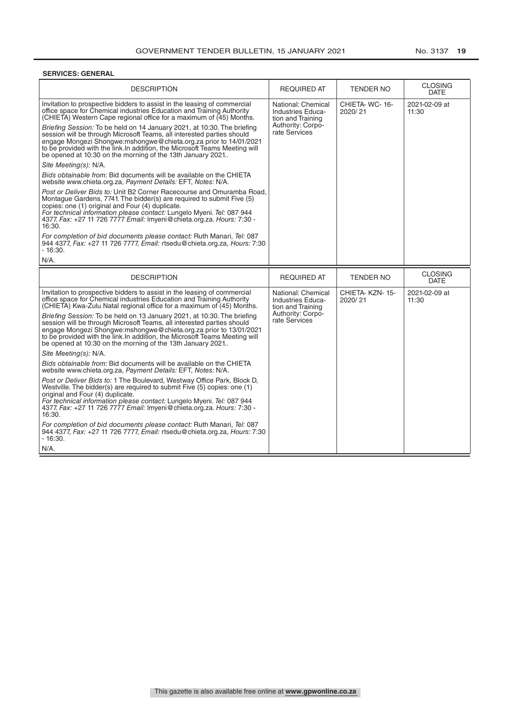# **SERVICES: GENERAL**

| <b>DESCRIPTION</b>                                                                                                                                                                                                                                                                                                                                                   | <b>REQUIRED AT</b>                                           | <b>TENDER NO</b>          | <b>CLOSING</b><br>DATE        |
|----------------------------------------------------------------------------------------------------------------------------------------------------------------------------------------------------------------------------------------------------------------------------------------------------------------------------------------------------------------------|--------------------------------------------------------------|---------------------------|-------------------------------|
| Invitation to prospective bidders to assist in the leasing of commercial<br>office space for Chemical industries Education and Training Authority<br>(CHIETA) Western Cape regional office for a maximum of (45) Months.                                                                                                                                             | National: Chemical<br>Industries Educa-<br>tion and Training | CHIETA-WC-16-<br>2020/21  | 2021-02-09 at<br>11:30        |
| Briefing Session: To be held on 14 January 2021, at 10:30. The briefing<br>session will be through Microsoft Teams, all interested parties should<br>engage Mongezi Shongwe: mshongwe@chieta.org.za prior to 14/01/2021<br>to be provided with the link. In addition, the Microsoft Teams Meeting will<br>be opened at 10:30 on the morning of the 13th January 2021 | Authority: Corpo-<br>rate Services                           |                           |                               |
| Site Meeting(s): N/A.                                                                                                                                                                                                                                                                                                                                                |                                                              |                           |                               |
| Bids obtainable from: Bid documents will be available on the CHIETA<br>website www.chieta.org.za, Payment Details: EFT, Notes: N/A.                                                                                                                                                                                                                                  |                                                              |                           |                               |
| Post or Deliver Bids to: Unit B2 Corner Racecourse and Omuramba Road,<br>Montague Gardens, 7741. The bidder(s) are required to submit Five (5)<br>copies: one (1) original and Four (4) duplicate.<br>For technical information please contact: Lungelo Myeni. Tel: 087 944<br>4377. Fax: +27 11 726 7777 Email: Imyeni@chieta.org.za. Hours: 7:30 -<br>16:30.       |                                                              |                           |                               |
| For completion of bid documents please contact: Ruth Manari, Tel: 087<br>944 4377, Fax: +27 11 726 7777, Email: rtsedu@chieta.org.za, Hours: 7:30<br>$-16:30.$                                                                                                                                                                                                       |                                                              |                           |                               |
| N/A.                                                                                                                                                                                                                                                                                                                                                                 |                                                              |                           |                               |
|                                                                                                                                                                                                                                                                                                                                                                      |                                                              |                           |                               |
| <b>DESCRIPTION</b>                                                                                                                                                                                                                                                                                                                                                   | <b>REQUIRED AT</b>                                           | <b>TENDER NO</b>          | <b>CLOSING</b><br><b>DATE</b> |
| Invitation to prospective bidders to assist in the leasing of commercial<br>office space for Chemical industries Education and Training Authority<br>(CHIETA) Kwa-Zulu Natal regional office for a maximum of (45) Months.                                                                                                                                           | National: Chemical<br>Industries Educa-<br>tion and Training | CHIETA-KZN-15-<br>2020/21 | 2021-02-09 at<br>11:30        |
| Briefing Session: To be held on 13 January 2021, at 10:30. The briefing<br>session will be through Microsoft Teams, all interested parties should<br>engage Mongezi Shongwe: mshongwe@chieta.org.za prior to 13/01/2021<br>to be provided with the link. In addition, the Microsoft Teams Meeting will<br>be opened at 10:30 on the morning of the 13th January 2021 | Authority: Corpo-<br>rate Services                           |                           |                               |
| Site Meeting(s): N/A.                                                                                                                                                                                                                                                                                                                                                |                                                              |                           |                               |
| Bids obtainable from: Bid documents will be available on the CHIETA<br>website www.chieta.org.za, Payment Details: EFT, Notes: N/A.                                                                                                                                                                                                                                  |                                                              |                           |                               |
| Post or Deliver Bids to: 1 The Boulevard, Westway Office Park, Block D,<br>Westville. The bidder(s) are required to submit Five (5) copies: one (1)<br>original and Four (4) duplicate.<br>For technical information please contact: Lungelo Myeni. Tel: 087 944<br>4377. Fax: +27 11 726 7777 Email: Imyeni@chieta.org.za. Hours: 7:30 -<br>16:30.                  |                                                              |                           |                               |
| For completion of bid documents please contact: Ruth Manari, Tel: 087<br>944 4377, Fax: +27 11 726 7777, Email: rtsedu@chieta.org.za, Hours: 7:30<br>$-16:30.$                                                                                                                                                                                                       |                                                              |                           |                               |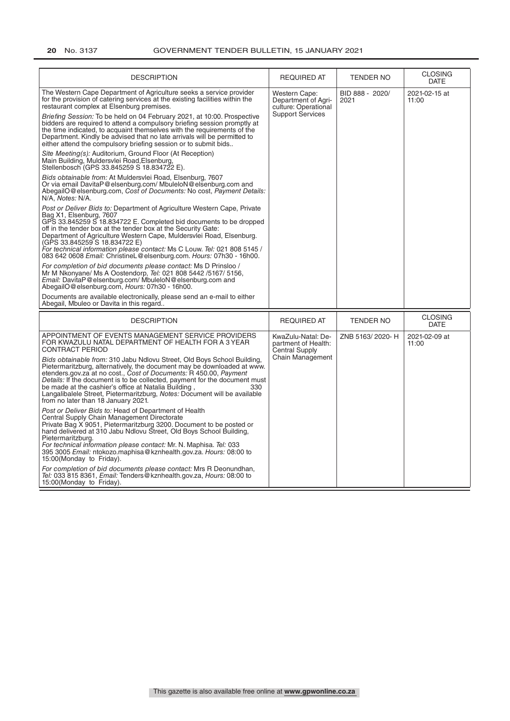| <b>DESCRIPTION</b>                                                                                                                                                                                                                                                                                                                                                                                                                                                                                     | <b>REQUIRED AT</b>                                           | <b>TENDER NO</b>        | <b>CLOSING</b><br><b>DATE</b> |
|--------------------------------------------------------------------------------------------------------------------------------------------------------------------------------------------------------------------------------------------------------------------------------------------------------------------------------------------------------------------------------------------------------------------------------------------------------------------------------------------------------|--------------------------------------------------------------|-------------------------|-------------------------------|
| The Western Cape Department of Agriculture seeks a service provider<br>for the provision of catering services at the existing facilities within the<br>restaurant complex at Elsenburg premises.                                                                                                                                                                                                                                                                                                       | Western Cape:<br>Department of Agri-<br>culture: Operational | BID 888 - 2020/<br>2021 | 2021-02-15 at<br>11:00        |
| Briefing Session: To be held on 04 February 2021, at 10:00. Prospective<br>bidders are required to attend a compulsory briefing session promptly at<br>the time indicated, to acquaint themselves with the requirements of the<br>Department. Kindly be advised that no late arrivals will be permitted to<br>either attend the compulsory briefing session or to submit bids                                                                                                                          | <b>Support Services</b>                                      |                         |                               |
| Site Meeting(s): Auditorium, Ground Floor (At Reception)<br>Main Building, Muldersvlei Road, Elsenburg,<br>Stellenbosch (GPS 33.845259 S 18.834722 E).                                                                                                                                                                                                                                                                                                                                                 |                                                              |                         |                               |
| Bids obtainable from: At Muldersvlei Road, Elsenburg, 7607<br>Or via email DavitaP@elsenburg.com/ MbuleloN@elsenburg.com and<br>AbegailO@elsenburg.com, Cost of Documents: No cost, Payment Details:<br>N/A. Notes: N/A.                                                                                                                                                                                                                                                                               |                                                              |                         |                               |
| Post or Deliver Bids to: Department of Agriculture Western Cape, Private<br>Bag X1, Elsenburg, 7607<br>GPS 33.845259 S 18.834722 E. Completed bid documents to be dropped<br>off in the tender box at the tender box at the Security Gate:<br>Department of Agriculture Western Cape, Muldersviei Road, Elsenburg.<br>(GPS 33.845259 S 18.834722 E)<br>For technical information please contact: Ms C Louw. Tel: 021 808 5145 /<br>083 642 0608 Email: ChristineL@elsenburg.com. Hours: 07h30 - 16h00. |                                                              |                         |                               |
| For completion of bid documents please contact: Ms D Prinsloo /<br>Mr M Nkonyane/ Ms A Oostendorp, Tel: 021 808 5442 /5167/ 5156,<br>Email: DavitaP@elsenburg.com/ MbuleloN@elsenburg.com and<br>AbegailO@elsenburg.com, Hours: 07h30 - 16h00.                                                                                                                                                                                                                                                         |                                                              |                         |                               |
| Documents are available electronically, please send an e-mail to either<br>Abegail, Mbuleo or Davita in this regard                                                                                                                                                                                                                                                                                                                                                                                    |                                                              |                         |                               |
| <b>DESCRIPTION</b>                                                                                                                                                                                                                                                                                                                                                                                                                                                                                     | <b>REQUIRED AT</b>                                           | <b>TENDER NO</b>        | <b>CLOSING</b><br><b>DATE</b> |
| APPOINTMENT OF EVENTS MANAGEMENT SERVICE PROVIDERS<br>FOR KWAZULU NATAL DEPARTMENT OF HEALTH FOR A 3 YEAR<br>CONTRACT PERIOD                                                                                                                                                                                                                                                                                                                                                                           | KwaZulu-Natal: De-<br>partment of Health:<br>Central Supply  | ZNB 5163/2020-H         | 2021-02-09 at<br>11:00        |
| Bids obtainable from: 310 Jabu Ndlovu Street, Old Boys School Building,<br>Pietermaritzburg, alternatively, the document may be downloaded at www.<br>etenders.gov.za at no cost., Cost of Documents: R 450.00, Payment<br>Details: If the document is to be collected, payment for the document must<br>be made at the cashier's office at Natalia Building,<br>330<br>Langalibalele Street, Pietermaritzburg, Notes: Document will be available<br>from no later than 18 January 2021.               | <b>Chain Management</b>                                      |                         |                               |
| Post or Deliver Bids to: Head of Department of Health<br>Central Supply Chain Management Directorate<br>Private Bag X 9051, Pietermaritzburg 3200. Document to be posted or<br>hand delivered at 310 Jabu Ndlovu Street, Old Boys School Building,<br>Pietermaritzburg.<br>For technical information please contact: Mr. N. Maphisa. Tel: 033<br>395 3005 Email: ntokozo.maphisa@kznhealth.gov.za. Hours: 08:00 to<br>15:00(Monday to Friday).                                                         |                                                              |                         |                               |
| For completion of bid documents please contact: Mrs R Deonundhan,<br><i>Tel:</i> 033 815 8361, <i>Email:</i> Tenders@kznhealth.gov.za, <i>Hours:</i> 08:00 to<br>15:00 (Monday to Friday).                                                                                                                                                                                                                                                                                                             |                                                              |                         |                               |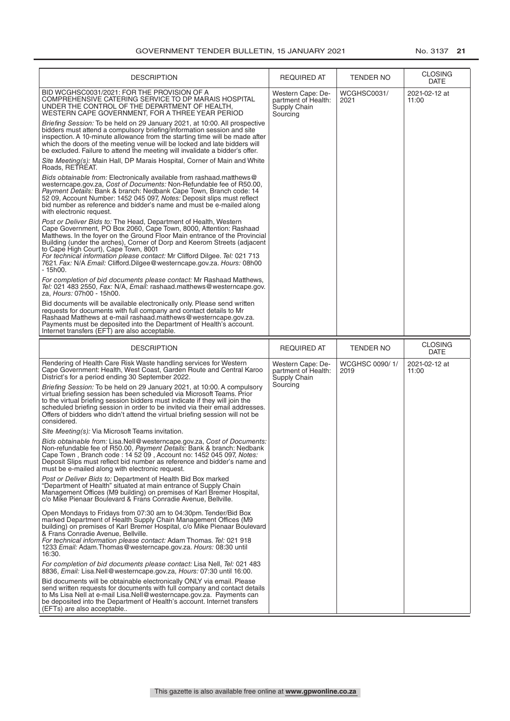# GOVERNMENT TENDER BULLETIN, 15 JANUARY 2021 No. 3137 21

| <b>DESCRIPTION</b>                                                                                                                                                                                                                                                                                                                                                                                                                                                                                          | <b>REQUIRED AT</b>                                                   | TENDER NO                  | <b>CLOSING</b><br><b>DATE</b> |
|-------------------------------------------------------------------------------------------------------------------------------------------------------------------------------------------------------------------------------------------------------------------------------------------------------------------------------------------------------------------------------------------------------------------------------------------------------------------------------------------------------------|----------------------------------------------------------------------|----------------------------|-------------------------------|
| BID WCGHSC0031/2021: FOR THE PROVISION OF A<br>COMPREHENSIVE CATERING SERVICE TO DP MARAIS HOSPITAL<br>UNDER THE CONTROL OF THE DEPARTMENT OF HEALTH.<br>WESTERN CAPE GOVERNMENT, FOR A THREE YEAR PERIOD                                                                                                                                                                                                                                                                                                   | Western Cape: De-<br>partment of Health:<br>Supply Chain<br>Sourcing | <b>WCGHSC0031/</b><br>2021 | 2021-02-12 at<br>11:00        |
| Briefing Session: To be held on 29 January 2021, at 10:00. All prospective<br>bidders must attend a compulsory briefing/information session and site<br>inspection. A 10-minute allowance from the starting time will be made after<br>which the doors of the meeting venue will be locked and late bidders will<br>be excluded. Failure to attend the meeting will invalidate a bidder's offer.                                                                                                            |                                                                      |                            |                               |
| Site Meeting(s): Main Hall, DP Marais Hospital, Corner of Main and White<br>Roads, RETREAT.                                                                                                                                                                                                                                                                                                                                                                                                                 |                                                                      |                            |                               |
| Bids obtainable from: Electronically available from rashaad.matthews@<br>westerncape.gov.za, Cost of Documents: Non-Refundable fee of R50.00,<br>Payment Details: Bank & branch: Nedbank Cape Town, Branch code: 14<br>52 09, Account Number: 1452 045 097, Notes: Deposit slips must reflect<br>bid number as reference and bidder's name and must be e-mailed along<br>with electronic request.                                                                                                           |                                                                      |                            |                               |
| Post or Deliver Bids to: The Head, Department of Health, Western<br>Cape Government, PO Box 2060, Cape Town, 8000, Attention: Rashaad<br>Matthews. In the foyer on the Ground Floor Main entrance of the Provincial<br>Building (under the arches), Corner of Dorp and Keerom Streets (adjacent<br>to Cape High Court), Cape Town, 8001<br>For technical information please contact: Mr Clifford Dilgee. Tel: 021 713<br>7621. Fax: N/A Email: Clifford.Dilgee@westerncape.gov.za. Hours: 08h00<br>- 15h00. |                                                                      |                            |                               |
| For completion of bid documents please contact: Mr Rashaad Matthews,<br>Tel: 021 483 2550, Fax: N/A, Email: rashaad.matthews@westerncape.gov.<br>za, Hours: 07h00 - 15h00.                                                                                                                                                                                                                                                                                                                                  |                                                                      |                            |                               |
| Bid documents will be available electronically only. Please send written<br>requests for documents with full company and contact details to Mr<br>Rashaad Matthews at e-mail rashaad.matthews@westerncape.gov.za.<br>Payments must be deposited into the Department of Health's account.<br>Internet transfers (EFT) are also acceptable.                                                                                                                                                                   |                                                                      |                            |                               |
|                                                                                                                                                                                                                                                                                                                                                                                                                                                                                                             |                                                                      |                            |                               |
| <b>DESCRIPTION</b>                                                                                                                                                                                                                                                                                                                                                                                                                                                                                          | <b>REQUIRED AT</b>                                                   | TENDER NO                  | <b>CLOSING</b><br><b>DATE</b> |
| Rendering of Health Care Risk Waste handling services for Western<br>Cape Government: Health, West Coast, Garden Route and Central Karoo<br>District's for a period ending 30 September 2022.                                                                                                                                                                                                                                                                                                               | Western Cape: De-<br>partment of Health:<br>Supply Chain             | WCGHSC 0090/1/<br>2019     | 2021-02-12 at<br>11:00        |
| Briefing Session: To be held on 29 January 2021, at 10:00. A compulsory<br>virtual briefing session has been scheduled via Microsoft Teams. Prior<br>to the virtual briefing session bidders must indicate if they will join the<br>scheduled briefing session in order to be invited via their email addresses.<br>Offers of bidders who didn't attend the virtual briefing session will not be<br>considered.                                                                                             | Sourcing                                                             |                            |                               |
| Site Meeting(s): Via Microsoft Teams invitation.                                                                                                                                                                                                                                                                                                                                                                                                                                                            |                                                                      |                            |                               |
| Bids obtainable from: Lisa.Nell@westerncape.gov.za, Cost of Documents:<br>Non-refundable fee of R50.00, Payment Details: Bank & branch: Nedbank<br>Cape Town, Branch code: 14 52 09, Account no: 1452 045 097, Notes:<br>Deposit Slips must reflect bid number as reference and bidder's name and<br>must be e-mailed along with electronic request.                                                                                                                                                        |                                                                      |                            |                               |
| Post or Deliver Bids to: Department of Health Bid Box marked<br>"Department of Health" situated at main entrance of Supply Chain<br>Management Offices (M9 building) on premises of Karl Bremer Hospital.<br>c/o Mike Pienaar Boulevard & Frans Conradie Avenue, Bellville.                                                                                                                                                                                                                                 |                                                                      |                            |                               |
| Open Mondays to Fridays from 07:30 am to 04:30pm. Tender/Bid Box<br>marked Department of Health Supply Chain Management Offices (M9<br>building) on premises of Karl Bremer Hospital, c/o Mike Pienaar Boulevard<br>& Frans Conradie Avenue, Bellville.<br>For technical information please contact: Adam Thomas. Tel: 021 918<br>1233 Email: Adam. Thomas@westerncape.gov.za. Hours: 08:30 until<br>16:30.                                                                                                 |                                                                      |                            |                               |
| For completion of bid documents please contact: Lisa Nell, Tel: 021 483<br>8836, <i>Email:</i> Lisa.Nell@westerncape.gov.za, <i>Hours:</i> 07:30 until 16:00.<br>Bid documents will be obtainable electronically ONLY via email. Please                                                                                                                                                                                                                                                                     |                                                                      |                            |                               |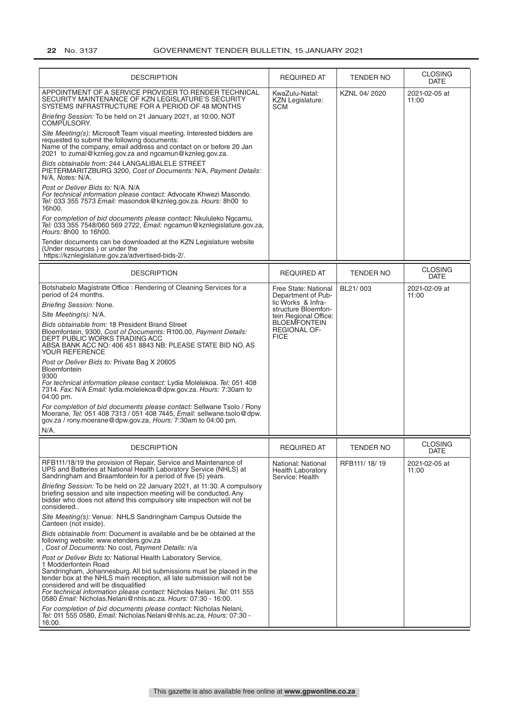| <b>DESCRIPTION</b>                                                                                                                                                                                                                                                                                                                                                                                                                                                                                                                                                                                                                                                                                                                                                                                                                                                                                                                                                                                                                                                                                                                                                                                                                                                                                 | <b>REQUIRED AT</b>                                                                                                                                                            | <b>TENDER NO</b> | <b>CLOSING</b><br><b>DATE</b> |
|----------------------------------------------------------------------------------------------------------------------------------------------------------------------------------------------------------------------------------------------------------------------------------------------------------------------------------------------------------------------------------------------------------------------------------------------------------------------------------------------------------------------------------------------------------------------------------------------------------------------------------------------------------------------------------------------------------------------------------------------------------------------------------------------------------------------------------------------------------------------------------------------------------------------------------------------------------------------------------------------------------------------------------------------------------------------------------------------------------------------------------------------------------------------------------------------------------------------------------------------------------------------------------------------------|-------------------------------------------------------------------------------------------------------------------------------------------------------------------------------|------------------|-------------------------------|
| APPOINTMENT OF A SERVICE PROVIDER TO RENDER TECHNICAL<br>SECURITY MAINTENANCE OF KZN LEGISLATURE'S SECURITY<br>SYSTEMS INFRASTRUCTURE FOR A PERIOD OF 48 MONTHS<br>Briefing Session: To be held on 21 January 2021, at 10:00. NOT<br>COMPULSORY.<br>Site Meeting(s): Microsoft Team visual meeting. Interested bidders are<br>requested to submit the following documents:<br>Name of the company, email address and contact on or before 20 Jan<br>2021 to zumal@kznleg.gov.za and ngcamun@kznleg.gov.za.<br>Bids obtainable from: 244 LANGALIBALELE STREET<br>PIETERMARITZBURG 3200, Cost of Documents: N/A, Payment Details:<br>N/A, Notes: N/A.<br>Post or Deliver Bids to: N/A. N/A<br>For technical information please contact: Advocate Khwezi Masondo.<br>Tel: 033 355 7573 Email: masondok@kznleg.gov.za. Hours: 8h00 to<br>16h00.<br>For completion of bid documents please contact: Nkululeko Ngcamu,<br>Tel: 033 355 7548/060 569 2722, Email: ngcamun@kznlegislature.gov.za,<br>Hours: 8h00 to 16h00.<br>Tender documents can be downloaded at the KZN Legislature website<br>(Under resources) or under the<br>https://kznlegislature.gov.za/advertised-bids-2/.                                                                                                                     | KwaZulu-Natal:<br>KZN Legislature:<br>SCM                                                                                                                                     | KZNL 04/2020     | 2021-02-05 at<br>11:00        |
| <b>DESCRIPTION</b>                                                                                                                                                                                                                                                                                                                                                                                                                                                                                                                                                                                                                                                                                                                                                                                                                                                                                                                                                                                                                                                                                                                                                                                                                                                                                 | <b>REQUIRED AT</b>                                                                                                                                                            | <b>TENDER NO</b> | <b>CLOSING</b><br><b>DATE</b> |
| Botshabelo Magistrate Office: Rendering of Cleaning Services for a<br>period of 24 months.<br>Briefing Session: None.<br>Site Meeting(s): N/A.<br>Bids obtainable from: 18 President Brand Street<br>Bloemfontein, 9300, Cost of Documents: R100.00, Payment Details:<br>DEPT PUBLIC WORKS TRADING ACC<br>ABSA BANK ACC NO: 406 451 8843 NB: PLEASE STATE BID NO. AS<br>YOUR REFERENCE<br>Post or Deliver Bids to: Private Bag X 20605<br><b>Bloemfontein</b><br>9300<br>For technical information please contact: Lydia Molelekoa. Tel: 051 408<br>7314. Fax: N/A Email: lydia.molelekoa@dpw.gov.za. Hours: 7:30am to<br>04:00 pm.<br>For completion of bid documents please contact: Sellwane Tsolo / Rony<br>Moerane, Tel: 051 408 7313 / 051 408 7445, Email: sellwane.tsolo@dpw.<br>gov.za / rony.moerane@dpw.gov.za, Hours: 7:30am to 04:00 pm.<br>N/A.                                                                                                                                                                                                                                                                                                                                                                                                                                      | Free State: National<br>Department of Pub-<br>lic Works & Infra-<br>structure Bloemfon-<br>tein Regional Office:<br><b>BLOEMFONTEIN</b><br><b>REGIONAL OF-</b><br><b>FICE</b> | BL21/003         | 2021-02-09 at<br>11:00        |
| <b>DESCRIPTION</b>                                                                                                                                                                                                                                                                                                                                                                                                                                                                                                                                                                                                                                                                                                                                                                                                                                                                                                                                                                                                                                                                                                                                                                                                                                                                                 | <b>REQUIRED AT</b>                                                                                                                                                            | TENDER NO        | <b>CLOSING</b><br>DAIL        |
| RFB111/18/19 the provision of Repair, Service and Maintenance of<br>UPS and Batteries at National Health Laboratory Service (NHLS) at<br>Sandringham and Braamfontein for a period of five (5) years.<br>Briefing Session: To be held on 22 January 2021, at 11:30. A compulsory<br>briefing session and site inspection meeting will be conducted. Any<br>bidder who does not attend this compulsory site inspection will not be<br>considered<br>Site Meeting(s): Venue: NHLS Sandringham Campus Outside the<br>Canteen (not inside).<br>Bids obtainable from: Document is available and be be obtained at the<br>following website: www.etenders.gov.za<br>Cost of Documents: No cost, Payment Details: n/a<br>Post or Deliver Bids to: National Health Laboratory Service,<br>1 Modderfontein Road<br>Sandringham, Johannesburg. All bid submissions must be placed in the<br>tender box at the NHLS main reception, all late submission will not be<br>considered and will be disqualified<br>For technical information please contact: Nicholas Nelani. Tel: 011 555<br>0580 Email: Nicholas. Nelani@nhls.ac.za. Hours: 07:30 - 16:00.<br>For completion of bid documents please contact: Nicholas Nelani,<br>Tel: 011 555 0580, Email: Nicholas.Nelani@nhls.ac.za, Hours: 07:30 -<br>16:00. | National: National<br><b>Health Laboratory</b><br>Service: Health                                                                                                             | RFB111/18/19     | 2021-02-05 at<br>11:00        |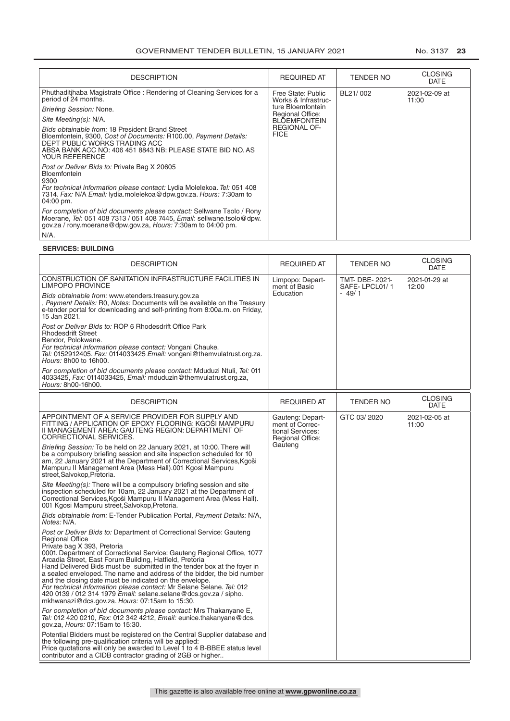| <b>DESCRIPTION</b>                                                                                                                                                                                                                        | <b>REQUIRED AT</b>                        | <b>TENDER NO</b> | <b>CLOSING</b><br><b>DATE</b> |
|-------------------------------------------------------------------------------------------------------------------------------------------------------------------------------------------------------------------------------------------|-------------------------------------------|------------------|-------------------------------|
| Phuthaditihaba Magistrate Office: Rendering of Cleaning Services for a<br>period of 24 months.                                                                                                                                            | Free State: Public<br>Works & Infrastruc- | BL21/002         | 2021-02-09 at<br>11:00        |
| Briefing Session: None.                                                                                                                                                                                                                   | ture Bloemfontein<br>Regional Office:     |                  |                               |
| Site Meeting(s): N/A.                                                                                                                                                                                                                     | <b>BLOEMFONTEIN</b>                       |                  |                               |
| Bids obtainable from: 18 President Brand Street<br>Bloemfontein, 9300, Cost of Documents: R100.00, Payment Details:<br>DEPT PUBLIC WORKS TRADING ACC<br>ABSA BANK ACC NO: 406 451 8843 NB: PLEASE STATE BID NO. AS<br>YOUR REFERENCE      | <b>REGIONAL OF-</b><br><b>FICE</b>        |                  |                               |
| Post or Deliver Bids to: Private Bag X 20605<br><b>Bloemfontein</b><br>9300<br>For technical information please contact: Lydia Molelekoa. Tel: 051 408<br>7314. Fax: N/A Email: Iydia.molelekoa@dpw.gov.za. Hours: 7:30am to<br>04:00 pm. |                                           |                  |                               |
| For completion of bid documents please contact: Sellwane Tsolo / Rony<br>Moerane, Tel: 051 408 7313 / 051 408 7445, Email: sellwane.tsolo@dpw.<br>gov.za / rony.moerane@dpw.gov.za, Hours: 7:30am to 04:00 pm.<br>N/A.                    |                                           |                  |                               |

# **SERVICES: BUILDING**

| <b>DESCRIPTION</b>                                                                                                                                                                                                                                                                                                                                                                                                                                                                                                                                                                                                                                                                                                                                                                                                                                                                                                                                                                                                                                                                                                                                                                                                                                                                                                                                                                                                                                                                                                                                                                                                                                                                                                                                                                                                                                                                                                                                                                                                                            | <b>REQUIRED AT</b>                                                                     | <b>TENDER NO</b>                            | <b>CLOSING</b><br><b>DATE</b> |
|-----------------------------------------------------------------------------------------------------------------------------------------------------------------------------------------------------------------------------------------------------------------------------------------------------------------------------------------------------------------------------------------------------------------------------------------------------------------------------------------------------------------------------------------------------------------------------------------------------------------------------------------------------------------------------------------------------------------------------------------------------------------------------------------------------------------------------------------------------------------------------------------------------------------------------------------------------------------------------------------------------------------------------------------------------------------------------------------------------------------------------------------------------------------------------------------------------------------------------------------------------------------------------------------------------------------------------------------------------------------------------------------------------------------------------------------------------------------------------------------------------------------------------------------------------------------------------------------------------------------------------------------------------------------------------------------------------------------------------------------------------------------------------------------------------------------------------------------------------------------------------------------------------------------------------------------------------------------------------------------------------------------------------------------------|----------------------------------------------------------------------------------------|---------------------------------------------|-------------------------------|
| CONSTRUCTION OF SANITATION INFRASTRUCTURE FACILITIES IN<br><b>LIMPOPO PROVINCE</b><br>Bids obtainable from: www.etenders.treasury.gov.za<br>, Payment Details: R0, Notes: Documents will be available on the Treasury<br>e-tender portal for downloading and self-printing from 8:00a.m. on Friday,<br>15 Jan 2021.<br>Post or Deliver Bids to: ROP 6 Rhodesdrift Office Park<br><b>Rhodesdrift Street</b><br>Bendor, Polokwane.<br>For technical information please contact: Vongani Chauke.<br>Tel: 0152912405. Fax: 0114033425 Email: vongani@themvulatrust.org.za.<br>Hours: 8h00 to 16h00.<br>For completion of bid documents please contact: Mduduzi Ntuli, Tel: 011<br>4033425, Fax: 0114033425, Email: mduduzin@themvulatrust.org.za,<br>Hours: 8h00-16h00.                                                                                                                                                                                                                                                                                                                                                                                                                                                                                                                                                                                                                                                                                                                                                                                                                                                                                                                                                                                                                                                                                                                                                                                                                                                                           | Limpopo: Depart-<br>ment of Basic<br>Education                                         | TMT- DBE- 2021-<br>SAFE-LPCL01/1<br>$-49/1$ | 2021-01-29 at<br>12:00        |
| <b>DESCRIPTION</b>                                                                                                                                                                                                                                                                                                                                                                                                                                                                                                                                                                                                                                                                                                                                                                                                                                                                                                                                                                                                                                                                                                                                                                                                                                                                                                                                                                                                                                                                                                                                                                                                                                                                                                                                                                                                                                                                                                                                                                                                                            | <b>REQUIRED AT</b>                                                                     | <b>TENDER NO</b>                            | <b>CLOSING</b><br><b>DATE</b> |
| APPOINTMENT OF A SERVICE PROVIDER FOR SUPPLY AND<br>FITTING / APPLICATION OF EPOXY FLOORING: KGOSI MAMPURU<br>II MANAGEMENT AREA: GAUTENG REGION: DEPARTMENT OF<br>CORRECTIONAL SERVICES.<br>Briefing Session: To be held on 22 January 2021, at 10:00. There will<br>be a compulsory briefing session and site inspection scheduled for 10<br>am, 22 January 2021 at the Department of Correctional Services, Kgoši<br>Mampuru II Management Area (Mess Hall).001 Kgosi Mampuru<br>street, Salvokop, Pretoria.<br>Site Meeting(s): There will be a compulsory briefing session and site<br>inspection scheduled for 10am, 22 January 2021 at the Department of<br>Correctional Services, Kgoši Mampuru II Management Area (Mess Hall).<br>001 Kgosi Mampuru street, Salvokop, Pretoria.<br>Bids obtainable from: E-Tender Publication Portal, Payment Details: N/A,<br>Notes: N/A.<br>Post or Deliver Bids to: Department of Correctional Service: Gauteng<br><b>Regional Office</b><br>Private bag X 393, Pretoria<br>0001. Department of Correctional Service: Gauteng Regional Office, 1077<br>Arcadia Street, East Forum Building, Hatfield, Pretoria<br>Hand Delivered Bids must be submitted in the tender box at the foyer in<br>a sealed enveloped. The name and address of the bidder, the bid number<br>and the closing date must be indicated on the envelope.<br>For technical information please contact: Mr Selane Selane. Tel: 012<br>420 0139 / 012 314 1979 Email: selane.selane@dcs.gov.za / sipho.<br>mkhwanazi@dcs.gov.za. Hours: 07:15am to 15:30.<br>For completion of bid documents please contact: Mrs Thakanyane E,<br>Tel: 012 420 0210, Fax: 012 342 4212, Email: eunice thakanyane@dcs.<br>gov.za, Hours: 07:15am to 15:30.<br>Potential Bidders must be registered on the Central Supplier database and<br>the following pre-qualification criteria will be applied:<br>Price quotations will only be awarded to Level 1 to 4 B-BBEE status level<br>contributor and a CIDB contractor grading of 2GB or higher | Gauteng: Depart-<br>ment of Correc-<br>tional Services:<br>Regional Office:<br>Gauteng | GTC 03/2020                                 | 2021-02-05 at<br>11:00        |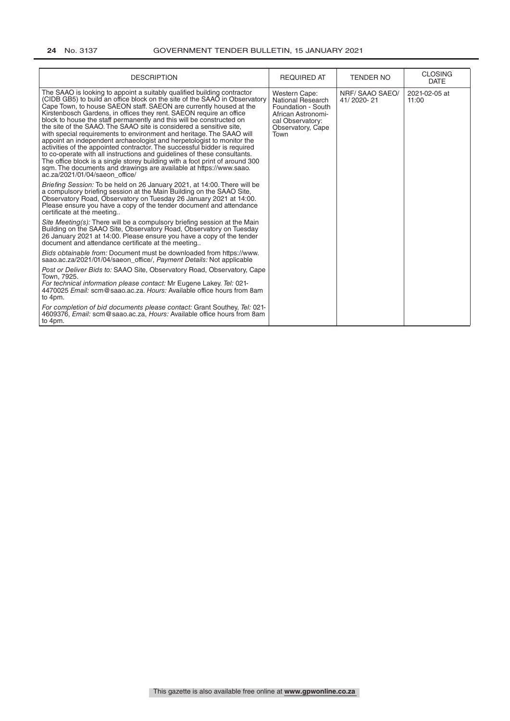| <b>DESCRIPTION</b>                                                                                                                                                                                                                                                                                                                                                                                                                                                                                                                                                                                                                                                                                                                                                                                                                                                                                                                                  | <b>REQUIRED AT</b>                                                                                                              | <b>TENDER NO</b>              | <b>CLOSING</b><br><b>DATE</b> |
|-----------------------------------------------------------------------------------------------------------------------------------------------------------------------------------------------------------------------------------------------------------------------------------------------------------------------------------------------------------------------------------------------------------------------------------------------------------------------------------------------------------------------------------------------------------------------------------------------------------------------------------------------------------------------------------------------------------------------------------------------------------------------------------------------------------------------------------------------------------------------------------------------------------------------------------------------------|---------------------------------------------------------------------------------------------------------------------------------|-------------------------------|-------------------------------|
| The SAAO is looking to appoint a suitably qualified building contractor<br>(CIDB GB5) to build an office block on the site of the SAAO in Observatory<br>Cape Town, to house SAEON staff. SAEON are currently housed at the<br>Kirstenbosch Gardens, in offices they rent. SAEON require an office<br>block to house the staff permanently and this will be constructed on<br>the site of the SAAO. The SAAO site is considered a sensitive site,<br>with special requirements to environment and heritage. The SAAO will<br>appoint an independent archaeologist and herpetologist to monitor the<br>activities of the appointed contractor. The successful bidder is required<br>to co-operate with all instructions and guidelines of these consultants.<br>The office block is a single storey building with a foot print of around 300<br>sgm. The documents and drawings are available at https://www.saao.<br>ac.za/2021/01/04/saeon office/ | Western Cape:<br>National Research<br>Foundation - South<br>African Astronomi-<br>cal Observatory:<br>Observatory, Cape<br>Town | NRF/ SAAO SAEO/<br>41/2020-21 | 2021-02-05 at<br>11:00        |
| Briefing Session: To be held on 26 January 2021, at 14:00. There will be<br>a compulsory briefing session at the Main Building on the SAAO Site.<br>Observatory Road, Observatory on Tuesday 26 January 2021 at 14:00.<br>Please ensure you have a copy of the tender document and attendance<br>certificate at the meeting                                                                                                                                                                                                                                                                                                                                                                                                                                                                                                                                                                                                                         |                                                                                                                                 |                               |                               |
| Site Meeting(s): There will be a compulsory briefing session at the Main<br>Building on the SAAO Site, Observatory Road, Observatory on Tuesday<br>26 January 2021 at 14:00. Please ensure you have a copy of the tender<br>document and attendance certificate at the meeting                                                                                                                                                                                                                                                                                                                                                                                                                                                                                                                                                                                                                                                                      |                                                                                                                                 |                               |                               |
| Bids obtainable from: Document must be downloaded from https://www.<br>saao.ac.za/2021/01/04/saeon office/, Payment Details: Not applicable                                                                                                                                                                                                                                                                                                                                                                                                                                                                                                                                                                                                                                                                                                                                                                                                         |                                                                                                                                 |                               |                               |
| Post or Deliver Bids to: SAAO Site, Observatory Road, Observatory, Cape<br>Town, 7925.<br>For technical information please contact: Mr Eugene Lakey. Tel: 021-<br>4470025 Email: scm@saao.ac.za. Hours: Available office hours from 8am<br>to 4pm.                                                                                                                                                                                                                                                                                                                                                                                                                                                                                                                                                                                                                                                                                                  |                                                                                                                                 |                               |                               |
| For completion of bid documents please contact: Grant Southey, Tel: 021-<br>4609376, <i>Email:</i> scm@saao.ac.za, <i>Hours:</i> Available office hours from 8am<br>to 4pm.                                                                                                                                                                                                                                                                                                                                                                                                                                                                                                                                                                                                                                                                                                                                                                         |                                                                                                                                 |                               |                               |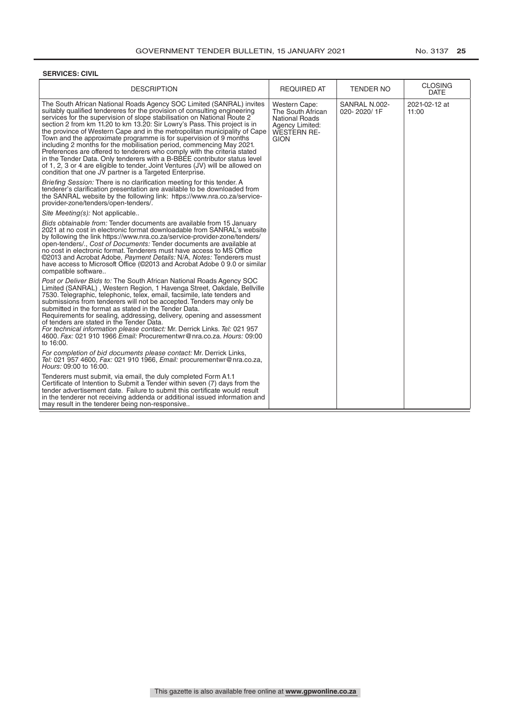# **SERVICES: CIVIL**

| <b>DESCRIPTION</b>                                                                                                                                                                                                                                                                                                                                                                                                                                                                                                                                                                                                                                                                                                                                                                                                                        | <b>REQUIRED AT</b>                                                                                                         | <b>TENDER NO</b>             | <b>CLOSING</b><br><b>DATE</b> |
|-------------------------------------------------------------------------------------------------------------------------------------------------------------------------------------------------------------------------------------------------------------------------------------------------------------------------------------------------------------------------------------------------------------------------------------------------------------------------------------------------------------------------------------------------------------------------------------------------------------------------------------------------------------------------------------------------------------------------------------------------------------------------------------------------------------------------------------------|----------------------------------------------------------------------------------------------------------------------------|------------------------------|-------------------------------|
| The South African National Roads Agency SOC Limited (SANRAL) invites<br>suitably qualified tendereres for the provision of consulting engineering<br>services for the supervision of slope stabilisation on National Route 2<br>section 2 from km 11.20 to km 13.20: Sir Lowry's Pass. This project is in<br>the province of Western Cape and in the metropolitan municipality of Cape<br>Town and the approximate programme is for supervision of 9 months<br>including 2 months for the mobilisation period, commencing May 2021.<br>Preferences are offered to tenderers who comply with the criteria stated<br>in the Tender Data. Only tenderers with a B-BBEE contributor status level<br>of 1, 2, 3 or 4 are eligible to tender. Joint Ventures (JV) will be allowed on<br>condition that one JV partner is a Targeted Enterprise. | <b>Western Cape:</b><br>The South African<br><b>National Roads</b><br>Agency Limited:<br><b>WESTERN RE-</b><br><b>GION</b> | SANRAL N.002-<br>020-2020/1F | 2021-02-12 at<br>11:00        |
| Briefing Session: There is no clarification meeting for this tender. A<br>tenderer's clarification presentation are available to be downloaded from<br>the SANRAL website by the following link: https://www.nra.co.za/service-<br>provider-zone/tenders/open-tenders/.                                                                                                                                                                                                                                                                                                                                                                                                                                                                                                                                                                   |                                                                                                                            |                              |                               |
| Site Meeting(s): Not applicable                                                                                                                                                                                                                                                                                                                                                                                                                                                                                                                                                                                                                                                                                                                                                                                                           |                                                                                                                            |                              |                               |
| Bids obtainable from: Tender documents are available from 15 January<br>2021 at no cost in electronic format downloadable from SANRAL's website<br>by following the link https://www.nra.co.za/service-provider-zone/tenders/<br>open-tenders/., Cost of Documents: Tender documents are available at<br>no cost in electronic format. Tenderers must have access to MS Office<br>©2013 and Acrobat Adobe, Payment Details: N/A, Notes: Tenderers must<br>have access to Microsoft Office (@2013 and Acrobat Adobe 0 9.0 or similar<br>compatible software                                                                                                                                                                                                                                                                                |                                                                                                                            |                              |                               |
| Post or Deliver Bids to: The South African National Roads Agency SOC<br>Limited (SANRAL), Western Region, 1 Havenga Street, Oakdale, Bellville<br>7530. Telegraphic, telephonic, telex, email, facsimile, late tenders and<br>submissions from tenderers will not be accepted. Tenders may only be<br>submitted in the format as stated in the Tender Data.<br>Requirements for sealing, addressing, delivery, opening and assessment<br>of tenders are stated in the Tender Data.<br>For technical information please contact: Mr. Derrick Links. Tel: 021 957<br>4600, Fax: 021 910 1966 Email: Procurementwr@nra.co.za, Hours: 09:00<br>to 16:00.                                                                                                                                                                                      |                                                                                                                            |                              |                               |
| For completion of bid documents please contact: Mr. Derrick Links,<br>Tel: 021 957 4600, Fax: 021 910 1966, Email: procurementwr@nra.co.za,<br>Hours: 09:00 to 16:00.                                                                                                                                                                                                                                                                                                                                                                                                                                                                                                                                                                                                                                                                     |                                                                                                                            |                              |                               |
| Tenderers must submit, via email, the duly completed Form A1.1<br>Certificate of Intention to Submit a Tender within seven (7) days from the<br>tender advertisement date. Failure to submit this certificate would result<br>in the tenderer not receiving addenda or additional issued information and<br>may result in the tenderer being non-responsive                                                                                                                                                                                                                                                                                                                                                                                                                                                                               |                                                                                                                            |                              |                               |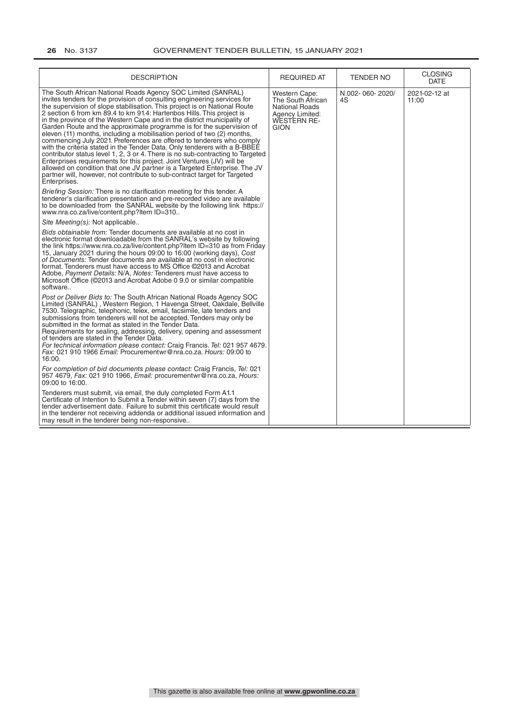| <b>DESCRIPTION</b>                                                                                                                                                                                                                                                                                                                                                                                                                                                                                                                                                                                                                                                                                                                                                                                                                                                                                                                                                                                                      | <b>REQUIRED AT</b>                                                                                                         | <b>TENDER NO</b>      | <b>CLOSING</b><br><b>DATE</b> |
|-------------------------------------------------------------------------------------------------------------------------------------------------------------------------------------------------------------------------------------------------------------------------------------------------------------------------------------------------------------------------------------------------------------------------------------------------------------------------------------------------------------------------------------------------------------------------------------------------------------------------------------------------------------------------------------------------------------------------------------------------------------------------------------------------------------------------------------------------------------------------------------------------------------------------------------------------------------------------------------------------------------------------|----------------------------------------------------------------------------------------------------------------------------|-----------------------|-------------------------------|
| The South African National Roads Agency SOC Limited (SANRAL)<br>invites tenders for the provision of consulting engineering services for<br>the supervision of slope stabilisation. This project is on National Route<br>2 section 6 from km 89.4 to km 91.4: Hartenbos Hills. This project is<br>in the province of the Western Cape and in the district municipality of<br>Garden Route and the approximate programme is for the supervision of<br>eleven (11) months, including a mobilisation period of two (2) months,<br>commencing July 2021. Preferences are offered to tenderers who comply<br>with the criteria stated in the Tender Data. Only tenderers with a B-BBEE<br>contributor status level 1, 2, 3 or 4. There is no sub-contracting to Targeted<br>Enterprises requirements for this project. Joint Ventures (JV) will be<br>allowed on condition that one JV partner is a Targeted Enterprise. The JV<br>partner will, however, not contribute to sub-contract target for Targeted<br>Enterprises. | <b>Western Cape:</b><br>The South African<br><b>National Roads</b><br>Agency Limited:<br><b>WESTERN RE-</b><br><b>GION</b> | N.002-060-2020/<br>4S | 2021-02-12 at<br>11:00        |
| <i>Briefing Session:</i> There is no clarification meeting for this tender. A<br>tenderer's clarification presentation and pre-recorded video are available<br>to be downloaded from the SANRAL website by the following link https://<br>www.nra.co.za/live/content.php?ltem ID=310                                                                                                                                                                                                                                                                                                                                                                                                                                                                                                                                                                                                                                                                                                                                    |                                                                                                                            |                       |                               |
| Site Meeting(s): Not applicable                                                                                                                                                                                                                                                                                                                                                                                                                                                                                                                                                                                                                                                                                                                                                                                                                                                                                                                                                                                         |                                                                                                                            |                       |                               |
| Bids obtainable from: Tender documents are available at no cost in<br>electronic format downloadable from the SANRAL's website by following<br>the link https://www.nra.co.za/live/content.php?ltem ID=310 as from Friday<br>15, January 2021 during the hours 09:00 to 16:00 (working days), Cost<br>of Documents: Tender documents are available at no cost in electronic<br>format. Tenderers must have access to MS Office @2013 and Acrobat<br>Adobe, Payment Details: N/A, Notes: Tenderers must have access to<br>Microsoft Office (@2013 and Acrobat Adobe 0 9.0 or similar compatible<br>software                                                                                                                                                                                                                                                                                                                                                                                                              |                                                                                                                            |                       |                               |
| Post or Deliver Bids to: The South African National Roads Agency SOC<br>Limited (SANRAL), Western Region, 1 Havenga Street, Oakdale, Bellville<br>7530. Telegraphic, telephonic, telex, email, facsimile, late tenders and<br>submissions from tenderers will not be accepted. Tenders may only be<br>submitted in the format as stated in the Tender Data.<br>Requirements for sealing, addressing, delivery, opening and assessment<br>of tenders are stated in the Tender Data.<br>For technical information please contact: Craig Francis. Tel: 021 957 4679.<br><i>Fax:</i> 021 910 1966 <i>Email:</i> Procurementwr@nra.co.za. Hours: 09:00 to<br>16:00.                                                                                                                                                                                                                                                                                                                                                          |                                                                                                                            |                       |                               |
| For completion of bid documents please contact: Craig Francis, Tel: 021<br>957 4679, Fax: 021 910 1966, Email: procurementwr@nra.co.za, Hours:<br>09:00 to 16:00.                                                                                                                                                                                                                                                                                                                                                                                                                                                                                                                                                                                                                                                                                                                                                                                                                                                       |                                                                                                                            |                       |                               |
| Tenderers must submit, via email, the duly completed Form A1.1<br>Certificate of Intention to Submit a Tender within seven (7) days from the<br>tender advertisement date. Failure to submit this certificate would result<br>in the tenderer not receiving addenda or additional issued information and<br>may result in the tenderer being non-responsive                                                                                                                                                                                                                                                                                                                                                                                                                                                                                                                                                                                                                                                             |                                                                                                                            |                       |                               |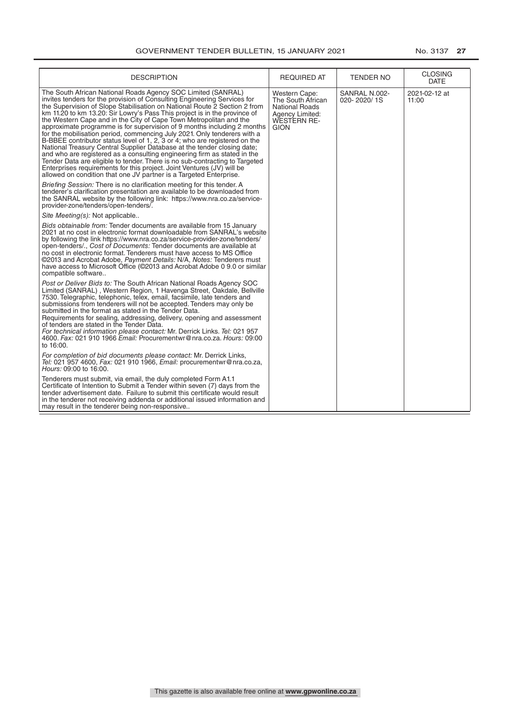# GOVERNMENT TENDER BULLETIN, 15 JANUARY 2021 No. 3137 27

| <b>DESCRIPTION</b>                                                                                                                                                                                                                                                                                                                                                                                                                                                                                                                                                                                                                                                                                                                                                                                                                                                                                                                                                                                  | <b>REQUIRED AT</b>                                                                                                  | <b>TENDER NO</b>             | <b>CLOSING</b><br>DATE |
|-----------------------------------------------------------------------------------------------------------------------------------------------------------------------------------------------------------------------------------------------------------------------------------------------------------------------------------------------------------------------------------------------------------------------------------------------------------------------------------------------------------------------------------------------------------------------------------------------------------------------------------------------------------------------------------------------------------------------------------------------------------------------------------------------------------------------------------------------------------------------------------------------------------------------------------------------------------------------------------------------------|---------------------------------------------------------------------------------------------------------------------|------------------------------|------------------------|
| The South African National Roads Agency SOC Limited (SANRAL)<br>invites tenders for the provision of Consulting Engineering Services for<br>the Supervision of Slope Stabilisation on National Route 2 Section 2 from<br>km 11.20 to km 13.20: Sir Lowry's Pass This project is in the province of<br>the Western Cape and in the City of Cape Town Metropolitan and the<br>approximate programme is for supervision of 9 months including 2 months<br>for the mobilisation period, commencing July 2021. Only tenderers with a<br>B-BBEE contributor status level of 1, 2, 3 or 4; who are registered on the<br>National Treasury Central Supplier Database at the tender closing date;<br>and who are registered as a consulting engineering firm as stated in the<br>Tender Data are eligible to tender. There is no sub-contracting to Targeted<br>Enterprises requirements for this project. Joint Ventures (JV) will be<br>allowed on condition that one JV partner is a Targeted Enterprise. | Western Cape:<br>The South African<br><b>National Roads</b><br>Agency Limited:<br><b>WESTERN RE-</b><br><b>GION</b> | SANRAL N.002-<br>020-2020/1S | 2021-02-12 at<br>11:00 |
| Briefing Session: There is no clarification meeting for this tender. A<br>tenderer's clarification presentation are available to be downloaded from<br>the SANRAL website by the following link: https://www.nra.co.za/service-<br>provider-zone/tenders/open-tenders/.                                                                                                                                                                                                                                                                                                                                                                                                                                                                                                                                                                                                                                                                                                                             |                                                                                                                     |                              |                        |
| Site Meeting(s): Not applicable                                                                                                                                                                                                                                                                                                                                                                                                                                                                                                                                                                                                                                                                                                                                                                                                                                                                                                                                                                     |                                                                                                                     |                              |                        |
| Bids obtainable from: Tender documents are available from 15 January<br>2021 at no cost in electronic format downloadable from SANRAL's website<br>by following the link https://www.nra.co.za/service-provider-zone/tenders/<br>open-tenders/., Cost of Documents: Tender documents are available at<br>no cost in electronic format. Tenderers must have access to MS Office<br>©2013 and Acrobat Adobe, Payment Details: N/A, Notes: Tenderers must<br>have access to Microsoft Office (@2013 and Acrobat Adobe 0 9.0 or similar<br>compatible software                                                                                                                                                                                                                                                                                                                                                                                                                                          |                                                                                                                     |                              |                        |
| Post or Deliver Bids to: The South African National Roads Agency SOC<br>Limited (SANRAL), Western Region, 1 Havenga Street, Oakdale, Bellville<br>7530. Telegraphic, telephonic, telex, email, facsimile, late tenders and<br>submissions from tenderers will not be accepted. Tenders may only be<br>submitted in the format as stated in the Tender Data.<br>Requirements for sealing, addressing, delivery, opening and assessment<br>of tenders are stated in the Tender Data.<br>For technical information please contact: Mr. Derrick Links. Tel: 021 957<br>4600, Fax: 021 910 1966 Email: Procurementwr@nra.co.za, Hours: 09:00<br>to 16:00.                                                                                                                                                                                                                                                                                                                                                |                                                                                                                     |                              |                        |
| For completion of bid documents please contact: Mr. Derrick Links,<br>Tel: 021 957 4600, Fax: 021 910 1966, Email: procurementwr@nra.co.za,<br>Hours: 09:00 to 16:00.                                                                                                                                                                                                                                                                                                                                                                                                                                                                                                                                                                                                                                                                                                                                                                                                                               |                                                                                                                     |                              |                        |
| Tenderers must submit, via email, the duly completed Form A1.1<br>Certificate of Intention to Submit a Tender within seven (7) days from the<br>tender advertisement date. Failure to submit this certificate would result<br>in the tenderer not receiving addenda or additional issued information and<br>may result in the tenderer being non-responsive                                                                                                                                                                                                                                                                                                                                                                                                                                                                                                                                                                                                                                         |                                                                                                                     |                              |                        |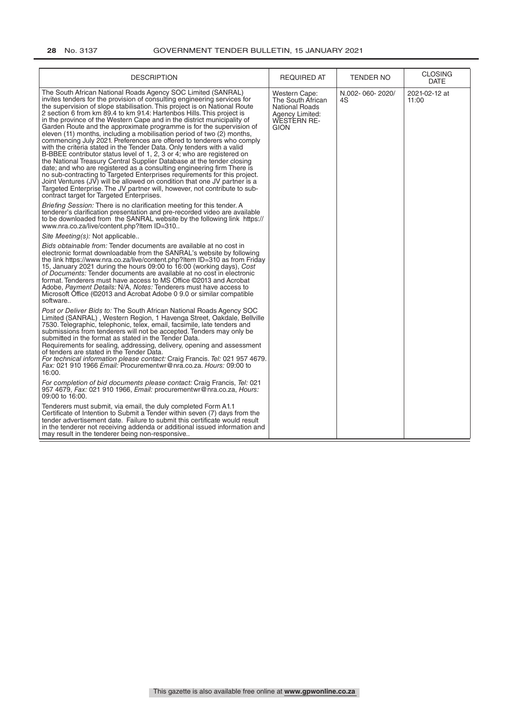| <b>DESCRIPTION</b>                                                                                                                                                                                                                                                                                                                                                                                                                                                                                                                                                                                                                                                                                                                                                                                                                                                                                                                                                                                                                                                                                                                                                                              | <b>REQUIRED AT</b>                                                                                                         | <b>TENDER NO</b>      | <b>CLOSING</b><br>DATE |
|-------------------------------------------------------------------------------------------------------------------------------------------------------------------------------------------------------------------------------------------------------------------------------------------------------------------------------------------------------------------------------------------------------------------------------------------------------------------------------------------------------------------------------------------------------------------------------------------------------------------------------------------------------------------------------------------------------------------------------------------------------------------------------------------------------------------------------------------------------------------------------------------------------------------------------------------------------------------------------------------------------------------------------------------------------------------------------------------------------------------------------------------------------------------------------------------------|----------------------------------------------------------------------------------------------------------------------------|-----------------------|------------------------|
| The South African National Roads Agency SOC Limited (SANRAL)<br>invites tenders for the provision of consulting engineering services for<br>the supervision of slope stabilisation. This project is on National Route<br>2 section 6 from km 89.4 to km 91.4: Hartenbos Hills. This project is<br>in the province of the Western Cape and in the district municipality of<br>Garden Route and the approximate programme is for the supervision of<br>eleven (11) months, including a mobilisation period of two (2) months,<br>commencing July 2021. Preferences are offered to tenderers who comply<br>with the criteria stated in the Tender Data. Only tenders with a valid<br>B-BBEE contributor status level of 1, 2, 3 or 4, who are registered on<br>the National Treasury Central Supplier Database at the tender closing<br>date; and who are registered as a consulting engineering firm There is<br>no sub-contracting to Targeted Enterprises requirements for this project.<br>Joint Ventures (JV) will be allowed on condition that one JV partner is a<br>Targeted Enterprise. The JV partner will, however, not contribute to sub-<br>contract target for Targeted Enterprises. | <b>Western Cape:</b><br>The South African<br><b>National Roads</b><br>Agency Limited:<br><b>WESTERN RE-</b><br><b>GION</b> | N.002-060-2020/<br>4S | 2021-02-12 at<br>11:00 |
| Briefing Session: There is no clarification meeting for this tender. A<br>tenderer's clarification presentation and pre-recorded video are available<br>to be downloaded from the SANRAL website by the following link https://<br>www.nra.co.za/live/content.php?ltem ID=310                                                                                                                                                                                                                                                                                                                                                                                                                                                                                                                                                                                                                                                                                                                                                                                                                                                                                                                   |                                                                                                                            |                       |                        |
| Site Meeting(s): Not applicable                                                                                                                                                                                                                                                                                                                                                                                                                                                                                                                                                                                                                                                                                                                                                                                                                                                                                                                                                                                                                                                                                                                                                                 |                                                                                                                            |                       |                        |
| Bids obtainable from: Tender documents are available at no cost in<br>electronic format downloadable from the SANRAL's website by following<br>the link https://www.nra.co.za/live/content.php?ltem ID=310 as from Friday<br>15, January 2021 during the hours 09:00 to 16:00 (working days), Cost<br>of Documents: Tender documents are available at no cost in electronic<br>format. Tenderers must have access to MS Office ©2013 and Acrobat<br>Adobe, Payment Details: N/A, Notes: Tenderers must have access to<br>Microsoft Office (@2013 and Acrobat Adobe 0 9.0 or similar compatible<br>software                                                                                                                                                                                                                                                                                                                                                                                                                                                                                                                                                                                      |                                                                                                                            |                       |                        |
| <i>Post or Deliver Bids to:</i> The South African National Roads Agency SOC<br>Limited (SANRAL), Western Region, 1 Havenga Street, Oakdale, Bellville<br>7530. Telegraphic, telephonic, telex, email, facsimile, late tenders and<br>submissions from tenderers will not be accepted. Tenders may only be<br>submitted in the format as stated in the Tender Data.<br>Requirements for sealing, addressing, delivery, opening and assessment<br>of tenders are stated in the Tender Data.<br>For technical information please contact: Craig Francis. Tel: 021 957 4679.<br>Fax: 021 910 1966 Email: Procurementwr@nra.co.za. Hours: 09:00 to<br>16:00.                                                                                                                                                                                                                                                                                                                                                                                                                                                                                                                                         |                                                                                                                            |                       |                        |
| For completion of bid documents please contact: Craig Francis, Tel: 021<br>957 4679, Fax: 021 910 1966, Email: procurementwr@nra.co.za, Hours:<br>09:00 to 16:00.                                                                                                                                                                                                                                                                                                                                                                                                                                                                                                                                                                                                                                                                                                                                                                                                                                                                                                                                                                                                                               |                                                                                                                            |                       |                        |
| Tenderers must submit, via email, the duly completed Form A1.1<br>Certificate of Intention to Submit a Tender within seven (7) days from the<br>tender advertisement date. Failure to submit this certificate would result<br>in the tenderer not receiving addenda or additional issued information and<br>may result in the tenderer being non-responsive                                                                                                                                                                                                                                                                                                                                                                                                                                                                                                                                                                                                                                                                                                                                                                                                                                     |                                                                                                                            |                       |                        |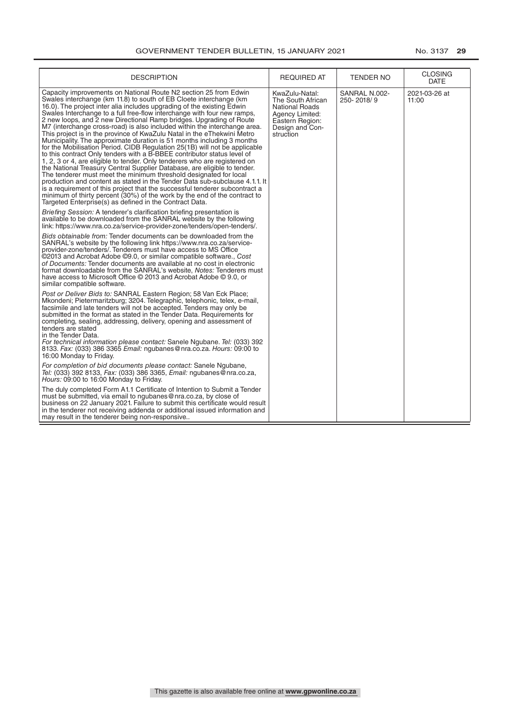# GOVERNMENT TENDER BULLETIN, 15 JANUARY 2021 No. 3137 29

| <b>DESCRIPTION</b>                                                                                                                                                                                                                                                                                                                                                                                                                                                                                                                                                                                                                                                                                                                                                                                                                                                                                                                                                                                                                                                                                                                                                                                                                                                                                 | <b>REQUIRED AT</b>                                                                                                                 | <b>TENDER NO</b>            | <b>CLOSING</b><br>DATE |
|----------------------------------------------------------------------------------------------------------------------------------------------------------------------------------------------------------------------------------------------------------------------------------------------------------------------------------------------------------------------------------------------------------------------------------------------------------------------------------------------------------------------------------------------------------------------------------------------------------------------------------------------------------------------------------------------------------------------------------------------------------------------------------------------------------------------------------------------------------------------------------------------------------------------------------------------------------------------------------------------------------------------------------------------------------------------------------------------------------------------------------------------------------------------------------------------------------------------------------------------------------------------------------------------------|------------------------------------------------------------------------------------------------------------------------------------|-----------------------------|------------------------|
| Capacity improvements on National Route N2 section 25 from Edwin<br>Swales interchange (km 11.8) to south of EB Cloete interchange (km<br>16.0). The project inter alia includes upgrading of the existing Edwin<br>Swales Interchange to a full free-flow interchange with four new ramps,<br>2 new loops, and 2 new Directional Ramp bridges. Upgrading of Route<br>M7 (interchange cross-road) is also included within the interchange area.<br>This project is in the province of KwaZulu Natal in the eThekwini Metro<br>Municipality. The approximate duration is 51 months including 3 months<br>for the Mobilisation Period. CIDB Regulation 25(1B) will not be applicable<br>to this contract Only tenders with a B-BBEE contributor status level of<br>1, 2, 3 or 4, are eligible to tender. Only tenderers who are registered on<br>the National Treasury Central Supplier Database, are eligible to tender.<br>The tenderer must meet the minimum threshold designated for local<br>production and content as stated in the Tender Data sub-subclause 4.1.1. It<br>is a requirement of this project that the successful tenderer subcontract a<br>minimum of thirty percent (30%) of the work by the end of the contract to<br>Targeted Enterprise(s) as defined in the Contract Data. | KwaZulu-Natal:<br>The South African<br><b>National Roads</b><br>Agency Limited:<br>Eastern Region:<br>Design and Con-<br>struction | SANRAL N.002-<br>250-2018/9 | 2021-03-26 at<br>11:00 |
| Briefing Session: A tenderer's clarification briefing presentation is<br>available to be downloaded from the SANRAL website by the following<br>link: https://www.nra.co.za/service-provider-zone/tenders/open-tenders/.                                                                                                                                                                                                                                                                                                                                                                                                                                                                                                                                                                                                                                                                                                                                                                                                                                                                                                                                                                                                                                                                           |                                                                                                                                    |                             |                        |
| Bids obtainable from: Tender documents can be downloaded from the<br>SANRAL's website by the following link https://www.nra.co.za/service-<br>provider-zone/tenders/. Tenderers must have access to MS Office<br>©2013 and Acrobat Adobe ©9.0, or similar compatible software., Cost<br>of Documents: Tender documents are available at no cost in electronic<br>format downloadable from the SANRAL's website, Notes: Tenderers must<br>have access to Microsoft Office © 2013 and Acrobat Adobe © 9.0, or<br>similar compatible software.                                                                                                                                                                                                                                                                                                                                                                                                                                                                                                                                                                                                                                                                                                                                                        |                                                                                                                                    |                             |                        |
| Post or Deliver Bids to: SANRAL Eastern Region; 58 Van Eck Place;<br>Mkondeni; Pietermaritzburg; 3204. Telegraphic, telephonic, telex, e-mail,<br>facsimile and late tenders will not be accepted. Tenders may only be<br>submitted in the format as stated in the Tender Data. Requirements for<br>completing, sealing, addressing, delivery, opening and assessment of<br>tenders are stated<br>in the Tender Data.<br>For technical information please contact: Sanele Ngubane. Tel: (033) 392<br>8133. Fax: (033) 386 3365 Email: ngubanes@nra.co.za. Hours: 09:00 to<br>16:00 Monday to Friday.                                                                                                                                                                                                                                                                                                                                                                                                                                                                                                                                                                                                                                                                                               |                                                                                                                                    |                             |                        |
| For completion of bid documents please contact: Sanele Ngubane,<br>Tel: (033) 392 8133, Fax: (033) 386 3365, Email: ngubanes@nra.co.za,<br>Hours: 09:00 to 16:00 Monday to Friday.                                                                                                                                                                                                                                                                                                                                                                                                                                                                                                                                                                                                                                                                                                                                                                                                                                                                                                                                                                                                                                                                                                                 |                                                                                                                                    |                             |                        |
| The duly completed Form A1.1 Certificate of Intention to Submit a Tender<br>must be submitted, via email to ngubanes@nra.co.za, by close of<br>business on 22 January 2021. Failure to submit this certificate would result<br>in the tenderer not receiving addenda or additional issued information and<br>may result in the tenderer being non-responsive                                                                                                                                                                                                                                                                                                                                                                                                                                                                                                                                                                                                                                                                                                                                                                                                                                                                                                                                       |                                                                                                                                    |                             |                        |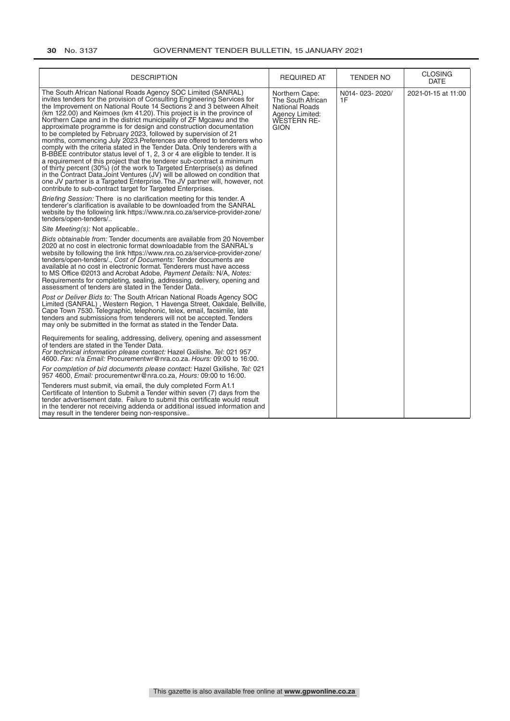| <b>DESCRIPTION</b>                                                                                                                                                                                                                                                                                                                                                                                                                                                                                                                                                                                                                                                                                                                                                                                                                                                                                                                                                                                                                                                                                                                    | <b>REQUIRED AT</b>                                                                                            | <b>TENDER NO</b>     | <b>CLOSING</b><br><b>DATE</b> |
|---------------------------------------------------------------------------------------------------------------------------------------------------------------------------------------------------------------------------------------------------------------------------------------------------------------------------------------------------------------------------------------------------------------------------------------------------------------------------------------------------------------------------------------------------------------------------------------------------------------------------------------------------------------------------------------------------------------------------------------------------------------------------------------------------------------------------------------------------------------------------------------------------------------------------------------------------------------------------------------------------------------------------------------------------------------------------------------------------------------------------------------|---------------------------------------------------------------------------------------------------------------|----------------------|-------------------------------|
| The South African National Roads Agency SOC Limited (SANRAL)<br>invites tenders for the provision of Consulting Engineering Services for<br>the Improvement on National Route 14 Sections 2 and 3 between Alheit<br>(km 122.00) and Keimoes (km 41.20). This project is in the province of<br>Northern Cape and in the district municipality of ZF Mgcawu and the<br>approximate programme is for design and construction documentation<br>to be completed by February 2023, followed by supervision of 21<br>months, commencing July 2023. Preferences are offered to tenderers who<br>comply with the criteria stated in the Tender Data. Only tenderers with a<br>B-BBEE contributor status level of 1, 2, 3 or 4 are eligible to tender. It is<br>a requirement of this project that the tenderer sub-contract a minimum<br>of thirty percent (30%) (of the work to Targeted Enterprise(s) as defined<br>in the Contract Data. Joint Ventures (JV) will be allowed on condition that<br>one JV partner is a Targeted Enterprise. The JV partner will, however, not<br>contribute to sub-contract target for Targeted Enterprises. | Northern Cape:<br>The South African<br>National Roads<br>Agency Limited:<br><b>WESTERN RE-</b><br><b>GION</b> | N014-023-2020/<br>1F | 2021-01-15 at 11:00           |
| Briefing Session: There is no clarification meeting for this tender. A<br>tenderer's clarification is available to be downloaded from the SANRAL<br>website by the following link https://www.nra.co.za/service-provider-zone/<br>tenders/open-tenders/                                                                                                                                                                                                                                                                                                                                                                                                                                                                                                                                                                                                                                                                                                                                                                                                                                                                               |                                                                                                               |                      |                               |
| Site Meeting(s): Not applicable                                                                                                                                                                                                                                                                                                                                                                                                                                                                                                                                                                                                                                                                                                                                                                                                                                                                                                                                                                                                                                                                                                       |                                                                                                               |                      |                               |
| Bids obtainable from: Tender documents are available from 20 November<br>2020 at no cost in electronic format downloadable from the SANRAL's<br>website by following the link https://www.nra.co.za/service-provider-zone/<br>tenders/open-tenders/., Cost of Documents: Tender documents are<br>available at no cost in electronic format. Tenderers must have access<br>to MS Office ©2013 and Acrobat Adobe, Payment Details: N/A, Notes:<br>Requirements for completing, sealing, addressing, delivery, opening and<br>assessment of tenders are stated in the Tender Data                                                                                                                                                                                                                                                                                                                                                                                                                                                                                                                                                        |                                                                                                               |                      |                               |
| Post or Deliver Bids to: The South African National Roads Agency SOC<br>Limited (SANRAL), Western Region, 1 Havenga Street, Oakdale, Bellville,<br>Cape Town 7530. Telegraphic, telephonic, telex, email, facsimile, late<br>tenders and submissions from tenderers will not be accepted. Tenders<br>may only be submitted in the format as stated in the Tender Data.                                                                                                                                                                                                                                                                                                                                                                                                                                                                                                                                                                                                                                                                                                                                                                |                                                                                                               |                      |                               |
| Requirements for sealing, addressing, delivery, opening and assessment<br>of tenders are stated in the Tender Data.<br>For technical information please contact: Hazel Gxilishe. Tel: 021 957<br>4600, Fax: n/a Email: Procurementwr@nra.co.za, Hours: 09:00 to 16:00.                                                                                                                                                                                                                                                                                                                                                                                                                                                                                                                                                                                                                                                                                                                                                                                                                                                                |                                                                                                               |                      |                               |
| For completion of bid documents please contact: Hazel Gxilishe, Tel: 021<br>957 4600, Email: procurementwr@nra.co.za, Hours: 09:00 to 16:00.                                                                                                                                                                                                                                                                                                                                                                                                                                                                                                                                                                                                                                                                                                                                                                                                                                                                                                                                                                                          |                                                                                                               |                      |                               |
| Tenderers must submit, via email, the duly completed Form A1.1<br>Certificate of Intention to Submit a Tender within seven (7) days from the<br>tender advertisement date. Failure to submit this certificate would result<br>in the tenderer not receiving addenda or additional issued information and<br>may result in the tenderer being non-responsive                                                                                                                                                                                                                                                                                                                                                                                                                                                                                                                                                                                                                                                                                                                                                                           |                                                                                                               |                      |                               |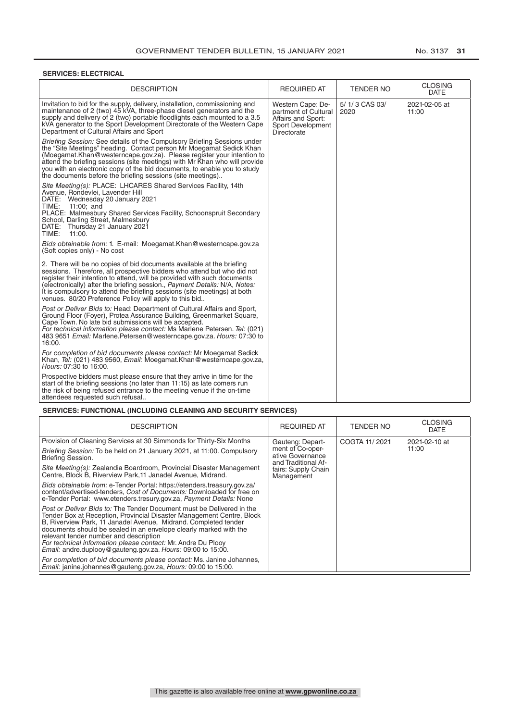# **SERVICES: ELECTRICAL**

| <b>DESCRIPTION</b>                                                                                                                                                                                                                                                                                                                                                                                                                               | <b>REQUIRED AT</b>                                                                                         | <b>TENDER NO</b>        | <b>CLOSING</b><br><b>DATE</b> |
|--------------------------------------------------------------------------------------------------------------------------------------------------------------------------------------------------------------------------------------------------------------------------------------------------------------------------------------------------------------------------------------------------------------------------------------------------|------------------------------------------------------------------------------------------------------------|-------------------------|-------------------------------|
| Invitation to bid for the supply, delivery, installation, commissioning and<br>maintenance of 2 (two) 45 kVA, three-phase diesel generators and the<br>supply and delivery of 2 (two) portable floodlights each mounted to a 3.5<br>kVA generator to the Sport Development Directorate of the Western Cape<br>Department of Cultural Affairs and Sport                                                                                           | Western Cape: De-<br>partment of Cultural<br>Affairs and Sport:<br><b>Sport Development</b><br>Directorate | 5/ 1/ 3 CAS 03/<br>2020 | 2021-02-05 at<br>11:00        |
| Briefing Session: See details of the Compulsory Briefing Sessions under<br>the "Site Meetings" heading. Contact person Mr Moegamat Sedick Khan<br>(Moegamat.Khan@westerncape.gov.za). Please register your intention to<br>attend the briefing sessions (site meetings) with Mr Khan who will provide<br>you with an electronic copy of the bid documents, to enable you to study<br>the documents before the briefing sessions (site meetings)  |                                                                                                            |                         |                               |
| Site Meeting(s): PLACE: LHCARES Shared Services Facility, 14th<br>Avenue, Rondevlei, Lavender Hill<br>DATE: Wednesday 20 January 2021<br>TIME:<br>11:00: and<br>PLACE: Malmesbury Shared Services Facility, Schoonspruit Secondary<br>School, Darling Street, Malmesbury<br>DATE: Thursday 21 January 2021<br>TIME:<br>11:00.                                                                                                                    |                                                                                                            |                         |                               |
| Bids obtainable from: 1. E-mail: Moegamat.Khan@westerncape.gov.za<br>(Soft copies only) - No cost                                                                                                                                                                                                                                                                                                                                                |                                                                                                            |                         |                               |
| 2. There will be no copies of bid documents available at the briefing<br>sessions. Therefore, all prospective bidders who attend but who did not<br>register their intention to attend, will be provided with such documents<br>(electronically) after the briefing session., Payment Details: N/A, Notes:<br>It is compulsory to attend the briefing sessions (site meetings) at both<br>venues. 80/20 Preference Policy will apply to this bid |                                                                                                            |                         |                               |
| Post or Deliver Bids to: Head: Department of Cultural Affairs and Sport,<br>Ground Floor (Foyer), Protea Assurance Building, Greenmarket Square,<br>Cape Town. No late bid submissions will be accepted.<br>For technical information please contact: Ms Marlene Petersen. Tel: (021)<br>483 9651 Email: Marlene. Petersen@westerncape.gov.za. Hours: 07:30 to<br>16:00.                                                                         |                                                                                                            |                         |                               |
| For completion of bid documents please contact: Mr Moegamat Sedick<br>Khan, Tel: (021) 483 9560, Email: Moegamat.Khan@westerncape.gov.za,<br>Hours: 07:30 to 16:00.                                                                                                                                                                                                                                                                              |                                                                                                            |                         |                               |
| Prospective bidders must please ensure that they arrive in time for the<br>start of the briefing sessions (no later than 11:15) as late comers run<br>the risk of being refused entrance to the meeting venue if the on-time<br>attendees requested such refusal                                                                                                                                                                                 |                                                                                                            |                         |                               |

# **SERVICES: FUNCTIONAL (INCLUDING CLEANING AND SECURITY SERVICES)**

| <b>DESCRIPTION</b>                                                                                                                                                                                                                                                                                                                                                                                                                                              | REQUIRED AT                                                                                      | <b>TENDER NO</b> | <b>CLOSING</b><br><b>DATE</b> |
|-----------------------------------------------------------------------------------------------------------------------------------------------------------------------------------------------------------------------------------------------------------------------------------------------------------------------------------------------------------------------------------------------------------------------------------------------------------------|--------------------------------------------------------------------------------------------------|------------------|-------------------------------|
| Provision of Cleaning Services at 30 Simmonds for Thirty-Six Months                                                                                                                                                                                                                                                                                                                                                                                             | Gauteng: Depart-                                                                                 | COGTA 11/2021    | 2021-02-10 at                 |
| Briefing Session: To be held on 21 January 2021, at 11:00. Compulsory<br>Briefing Session.                                                                                                                                                                                                                                                                                                                                                                      | ment of Co-oper-<br>ative Governance<br>and Traditional Af-<br>fairs: Supply Chain<br>Management |                  | 11:00                         |
| Site Meeting(s): Zealandia Boardroom, Provincial Disaster Management<br>Centre, Block B, Riverview Park, 11 Janadel Avenue, Midrand.                                                                                                                                                                                                                                                                                                                            |                                                                                                  |                  |                               |
| <i>Bids obtainable from: e-Tender Portal: https://etenders.treasury.gov.za/</i><br>content/advertised-tenders, Cost of Documents: Downloaded for free on<br>e-Tender Portal: www.etenders.tresury.gov.za, Payment Details: None                                                                                                                                                                                                                                 |                                                                                                  |                  |                               |
| Post or Deliver Bids to: The Tender Document must be Delivered in the<br>Tender Box at Reception, Provincial Disaster Management Centre, Block<br>B, Riverview Park, 11 Janadel Avenue, Midrand. Completed tender<br>documents should be sealed in an envelope clearly marked with the<br>relevant tender number and description<br>For technical information please contact: Mr. Andre Du Plooy<br>Email: andre duplooy@gauteng.gov.za. Hours: 09:00 to 15:00. |                                                                                                  |                  |                               |
| For completion of bid documents please contact: Ms. Janine Johannes,<br>Email: janine.johannes@gauteng.gov.za, Hours: 09:00 to 15:00.                                                                                                                                                                                                                                                                                                                           |                                                                                                  |                  |                               |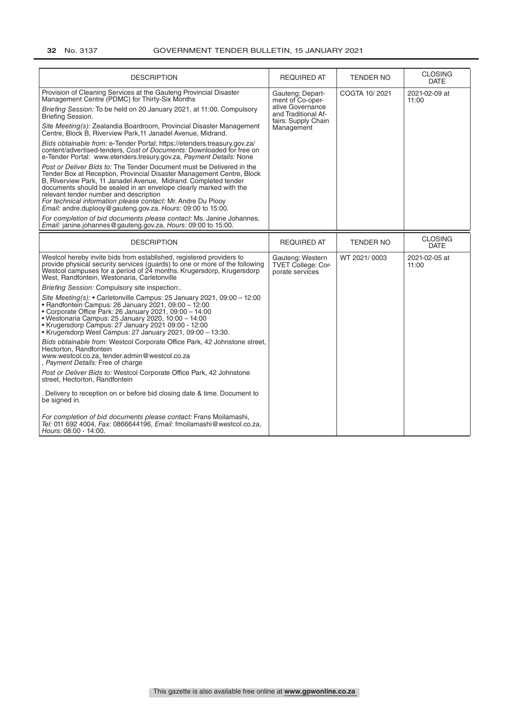| <b>DESCRIPTION</b>                                                                                                                                                                                                                                                                                                                                                                                                                                                                                                                                                                                                                                                                                                                                                                                                                                                                                                                                                                                                                                       | <b>REQUIRED AT</b>                                                                                                   | <b>TENDER NO</b> | <b>CLOSING</b><br><b>DATE</b> |
|----------------------------------------------------------------------------------------------------------------------------------------------------------------------------------------------------------------------------------------------------------------------------------------------------------------------------------------------------------------------------------------------------------------------------------------------------------------------------------------------------------------------------------------------------------------------------------------------------------------------------------------------------------------------------------------------------------------------------------------------------------------------------------------------------------------------------------------------------------------------------------------------------------------------------------------------------------------------------------------------------------------------------------------------------------|----------------------------------------------------------------------------------------------------------------------|------------------|-------------------------------|
| Provision of Cleaning Services at the Gauteng Provincial Disaster<br>Management Centre (PDMC) for Thirty-Six Months<br>Briefing Session: To be held on 20 January 2021, at 11:00. Compulsory<br>Briefing Session.<br>Site Meeting(s): Zealandia Boardroom, Provincial Disaster Management<br>Centre, Block B, Riverview Park, 11 Janadel Avenue, Midrand.<br>Bids obtainable from: e-Tender Portal: https://etenders.treasury.gov.za/<br>content/advertised-tenders, Cost of Documents: Downloaded for free on<br>e-Tender Portal: www.etenders.tresury.gov.za, Payment Details: None<br>Post or Deliver Bids to: The Tender Document must be Delivered in the<br>Tender Box at Reception, Provincial Disaster Management Centre, Block<br>B, Riverview Park, 11 Janadel Avenue, Midrand. Completed tender<br>documents should be sealed in an envelope clearly marked with the<br>relevant tender number and description<br>For technical information please contact: Mr. Andre Du Plooy<br>Email: andre.duplooy@gauteng.gov.za. Hours: 09:00 to 15:00. | Gauteng: Depart-<br>ment of Co-oper-<br>ative Governance<br>and Traditional Af-<br>fairs: Supply Chain<br>Management | COGTA 10/2021    | 2021-02-09 at<br>11:00        |
| For completion of bid documents please contact: Ms. Janine Johannes,<br>Email: janine.johannes@gauteng.gov.za, Hours: 09:00 to 15:00.                                                                                                                                                                                                                                                                                                                                                                                                                                                                                                                                                                                                                                                                                                                                                                                                                                                                                                                    |                                                                                                                      |                  |                               |
| <b>DESCRIPTION</b>                                                                                                                                                                                                                                                                                                                                                                                                                                                                                                                                                                                                                                                                                                                                                                                                                                                                                                                                                                                                                                       | <b>REQUIRED AT</b>                                                                                                   | <b>TENDER NO</b> | <b>CLOSING</b><br><b>DATE</b> |
| Westcol hereby invite bids from established, registered providers to<br>provide physical security services (guards) to one or more of the following<br>Westcol campuses for a period of 24 months. Krugersdorp, Krugersdorp<br>West, Randfontein, Westonaria, Carletonville                                                                                                                                                                                                                                                                                                                                                                                                                                                                                                                                                                                                                                                                                                                                                                              | Gauteng: Western<br><b>TVET College: Cor-</b><br>porate services                                                     | WT 2021/0003     | 2021-02-05 at<br>11:00        |
| Briefing Session: Compulsory site inspection:.                                                                                                                                                                                                                                                                                                                                                                                                                                                                                                                                                                                                                                                                                                                                                                                                                                                                                                                                                                                                           |                                                                                                                      |                  |                               |
| Site Meeting(s): • Carletonville Campus: 25 January 2021, 09:00 - 12:00<br>• Randfontein Campus: 26 January 2021, 09:00 - 12:00<br>• Corporate Office Park: 26 January 2021, 09:00 - 14:00<br>· Westonaria Campus: 25 January 2020, 10:00 - 14:00<br>• Krugersdorp Campus: 27 January 2021 09:00 - 12:00<br>• Krugersdorp West Campus: 27 January 2021, 09:00 - 13:30.                                                                                                                                                                                                                                                                                                                                                                                                                                                                                                                                                                                                                                                                                   |                                                                                                                      |                  |                               |
| Bids obtainable from: Westcol Corporate Office Park, 42 Johnstone street,<br>Hectorton, Randfontein<br>www.westcol.co.za, tender.admin@westcol.co.za<br>, Payment Details: Free of charge                                                                                                                                                                                                                                                                                                                                                                                                                                                                                                                                                                                                                                                                                                                                                                                                                                                                |                                                                                                                      |                  |                               |
| Post or Deliver Bids to: Westcol Corporate Office Park, 42 Johnstone<br>street, Hectorton, Randfontein                                                                                                                                                                                                                                                                                                                                                                                                                                                                                                                                                                                                                                                                                                                                                                                                                                                                                                                                                   |                                                                                                                      |                  |                               |
| . Delivery to reception on or before bid closing date & time. Document to<br>be signed in.                                                                                                                                                                                                                                                                                                                                                                                                                                                                                                                                                                                                                                                                                                                                                                                                                                                                                                                                                               |                                                                                                                      |                  |                               |
| For completion of bid documents please contact: Frans Moilamashi,<br>Tel: 011 692 4004, Fax: 0866644196, Email: fmoilamashi@westcol.co.za,<br>Hours: 08:00 - 14:00.                                                                                                                                                                                                                                                                                                                                                                                                                                                                                                                                                                                                                                                                                                                                                                                                                                                                                      |                                                                                                                      |                  |                               |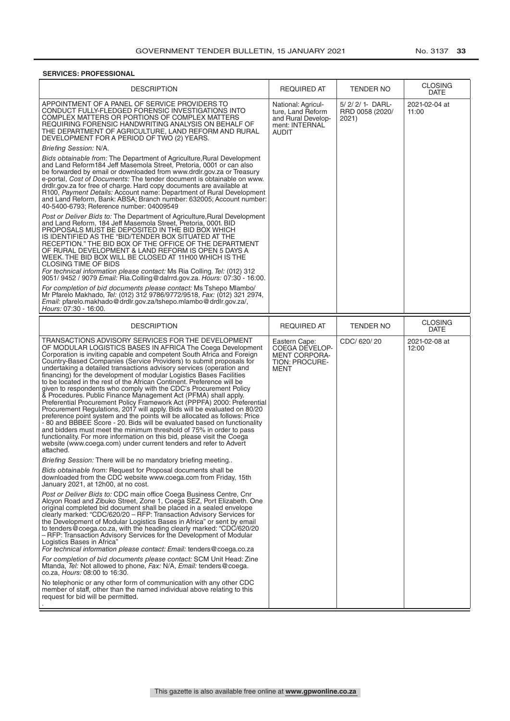# **SERVICES: PROFESSIONAL**

| <b>DESCRIPTION</b>                                                                                                                                                                                                                                                                                                                                                                                                                                                                                                                                                                                                                                                                                                                                                                                                                                                                                                                                                                                                                                                                                                                                                                                                                                                                                                                                                                                                                                                                                                                                                                                                                                                                                                                                                                                                                                                                                                                                                                                                                                                                                                                                                                                                                                                                                                                                                                                                                                 | <b>REQUIRED AT</b>                                                                              | <b>TENDER NO</b>                              | <b>CLOSING</b><br>DATE                |
|----------------------------------------------------------------------------------------------------------------------------------------------------------------------------------------------------------------------------------------------------------------------------------------------------------------------------------------------------------------------------------------------------------------------------------------------------------------------------------------------------------------------------------------------------------------------------------------------------------------------------------------------------------------------------------------------------------------------------------------------------------------------------------------------------------------------------------------------------------------------------------------------------------------------------------------------------------------------------------------------------------------------------------------------------------------------------------------------------------------------------------------------------------------------------------------------------------------------------------------------------------------------------------------------------------------------------------------------------------------------------------------------------------------------------------------------------------------------------------------------------------------------------------------------------------------------------------------------------------------------------------------------------------------------------------------------------------------------------------------------------------------------------------------------------------------------------------------------------------------------------------------------------------------------------------------------------------------------------------------------------------------------------------------------------------------------------------------------------------------------------------------------------------------------------------------------------------------------------------------------------------------------------------------------------------------------------------------------------------------------------------------------------------------------------------------------------|-------------------------------------------------------------------------------------------------|-----------------------------------------------|---------------------------------------|
| APPOINTMENT OF A PANEL OF SERVICE PROVIDERS TO<br>CONDUCT FULLY-FLEDGED FORENSIC INVESTIGATIONS INTO<br>COMPLEX MATTERS OR PORTIONS OF COMPLEX MATTERS<br>REQUIRING FORENSIC HANDWRITING ANALYSIS ON BEHALF OF<br>THE DEPARTMENT OF AGRICULTURE, LAND REFORM AND RURAL<br>DEVELOPMENT FOR A PERIOD OF TWO (2) YEARS.<br>Briefing Session: N/A.<br>Bids obtainable from: The Department of Agriculture, Rural Development<br>and Land Reform 184 Jeff Masemola Street, Pretoria, 0001 or can also<br>be forwarded by email or downloaded from www.drdlr.gov.za or Treasury<br>e-portal, Cost of Documents: The tender document is obtainable on www.<br>drdlr.gov.za for free of charge. Hard copy documents are available at<br>R100, Payment Details: Account name: Department of Rural Development<br>and Land Reform, Bank: ABSA; Branch number: 632005; Account number:<br>40-5400-6793; Reference number: 04009549<br><i>Post or Deliver Bids to:</i> The Department of Agriculture, Rural Development<br>and Land Reform, 184 Jeff Masemola Street, Pretoria, 0001. BID<br>PROPOSALS MUST BE DEPOSITED IN THE BID BOX WHICH<br>IS IDENTIFIED AS THE "BID/TENDER BOX SITUATED AT THE<br>RECEPTION." THE BID BOX OF THE OFFICE OF THE DEPARTMENT<br>OF RURAL DEVELOPMENT & LAND REFORM IS OPEN 5 DAYS A<br>WEEK. THE BID BOX WILL BE CLOSED AT 11H00 WHICH IS THE<br>CLOSING TIME OF BIDS<br>For technical information please contact: Ms Ria Colling. Tel: (012) 312<br>9051/9452 / 9079 Email: Ria.Colling@dalrrd.gov.za. Hours: 07:30 - 16:00.<br>For completion of bid documents please contact: Ms Tshepo Mlambo/<br>Mr Pfarelo Makhado, Tel: (012) 312 9786/9772/9518, Fax: (012) 321 2974,<br>Email: pfarelo.makhado@drdlr.gov.za/tshepo.mlambo@drdlr.gov.za/,<br>Hours: 07:30 - 16:00.                                                                                                                                                                                                                                                                                                                                                                                                                                                                                                                                                                                                                                                 | National: Agricul-<br>ture, Land Řeform<br>and Rural Develop-<br>ment: INTERNAL<br><b>AUDIT</b> | 5/ 2/ 2/ 1- DARL-<br>RRD 0058 (2020/<br>2021) | 2021-02-04 at<br>11:00                |
| <b>DESCRIPTION</b>                                                                                                                                                                                                                                                                                                                                                                                                                                                                                                                                                                                                                                                                                                                                                                                                                                                                                                                                                                                                                                                                                                                                                                                                                                                                                                                                                                                                                                                                                                                                                                                                                                                                                                                                                                                                                                                                                                                                                                                                                                                                                                                                                                                                                                                                                                                                                                                                                                 | <b>REQUIRED AT</b>                                                                              | <b>TENDER NO</b>                              | <b>CLOSING</b>                        |
| TRANSACTIONS ADVISORY SERVICES FOR THE DEVELOPMENT<br>OF MODULAR LOGISTICS BASES IN AFRICA The Coega Development<br>Corporation is inviting capable and competent South Africa and Foreign<br>Country-Based Companies (Service Providers) to submit proposals for<br>undertaking a detailed transactions advisory services (operation and<br>financing) for the development of modular Logistics Bases Facilities<br>to be located in the rest of the African Continent. Preference will be<br>given to respondents who comply with the CDC's Procurement Policy<br>& Procedures. Public Finance Management Act (PFMA) shall apply.<br>Preferential Procurement Policy Framework Act (PPPFA) 2000: Preferential<br>Procurement Regulations, 2017 will apply. Bids will be evaluated on 80/20<br>preference point system and the points will be allocated as follows: Price<br>- 80 and BBBEE Score - 20. Bids will be evaluated based on functionality<br>and bidders must meet the minimum threshold of 75% in order to pass<br>functionality. For more information on this bid, please visit the Coega<br>website (www.coega.com) under current tenders and refer to Advert<br>attached.<br><i>Briefing Session:</i> There will be no mandatory briefing meeting<br>Bids obtainable from: Request for Proposal documents shall be<br>downloaded from the CDC website www.coega.com from Friday, 15th<br>January 2021, at 12h00, at no cost.<br>Post or Deliver Bids to: CDC main office Coega Business Centre, Cnr<br>Alcyon Road and Zibuko Street, Zone 1, Coega SEZ, Port Elizabeth. One<br>original completed bid document shall be placed in a sealed envelope<br>clearly marked: "CDC/620/20 - RFP: Transaction Advisory Services for<br>the Development of Modular Logistics Bases in Africa" or sent by email<br>to tenders@coega.co.za, with the heading clearly marked: "CDC/620/20<br>- RFP: Transaction Advisory Services for the Development of Modular<br>Logistics Bases in Africa"<br>For technical information please contact: Email: tenders@coega.co.za<br>For completion of bid documents please contact: SCM Unit Head: Zine<br>Mtanda, Tel: Not allowed to phone, Fax: N/A, Email: tenders@coega.<br>co.za, Hours: 08:00 to 16:30.<br>No telephonic or any other form of communication with any other CDC<br>member of staff, other than the named individual above relating to this<br>request for bid will be permitted. | Eastern Cape:<br>COEGA DEVELOP-<br><b>MENT CORPORA-</b><br>TION: PROCURE-<br><b>MENT</b>        | CDC/620/20                                    | <b>DATE</b><br>2021-02-08 at<br>12:00 |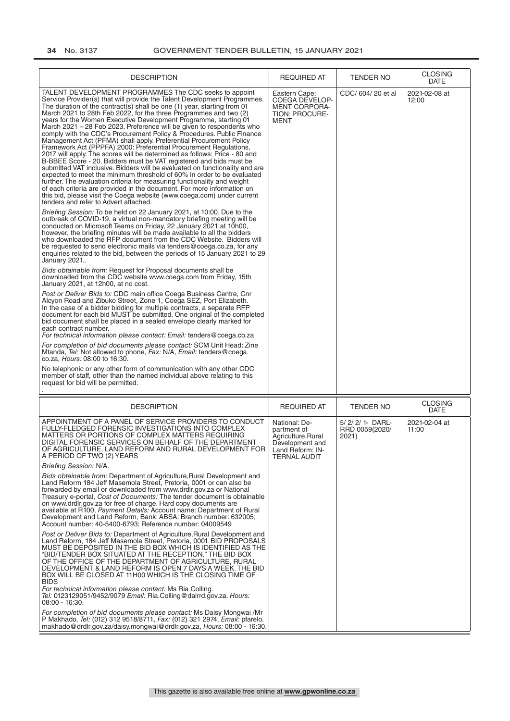| <b>DESCRIPTION</b>                                                                                                                                                                                                                                                                                                                                                                                                                                                                                                                                                                                                                                                                                                                                                                                                                                                                                                                                                                                                                                                                                                                                                                                                                                                                                                                                                                                                                                                                                                                                                                                                                                                                                                                                                                                                                                                                                                                                                                                                                                                                                                                                                                                                                                                                                                                                                                                                                                                                                                                                                                                                                                                                                                                                                                                                 | REQUIRED AT                                                                                                      | <b>TENDER NO</b>                             | <b>CLOSING</b><br><b>DATE</b> |
|--------------------------------------------------------------------------------------------------------------------------------------------------------------------------------------------------------------------------------------------------------------------------------------------------------------------------------------------------------------------------------------------------------------------------------------------------------------------------------------------------------------------------------------------------------------------------------------------------------------------------------------------------------------------------------------------------------------------------------------------------------------------------------------------------------------------------------------------------------------------------------------------------------------------------------------------------------------------------------------------------------------------------------------------------------------------------------------------------------------------------------------------------------------------------------------------------------------------------------------------------------------------------------------------------------------------------------------------------------------------------------------------------------------------------------------------------------------------------------------------------------------------------------------------------------------------------------------------------------------------------------------------------------------------------------------------------------------------------------------------------------------------------------------------------------------------------------------------------------------------------------------------------------------------------------------------------------------------------------------------------------------------------------------------------------------------------------------------------------------------------------------------------------------------------------------------------------------------------------------------------------------------------------------------------------------------------------------------------------------------------------------------------------------------------------------------------------------------------------------------------------------------------------------------------------------------------------------------------------------------------------------------------------------------------------------------------------------------------------------------------------------------------------------------------------------------|------------------------------------------------------------------------------------------------------------------|----------------------------------------------|-------------------------------|
| TALENT DEVELOPMENT PROGRAMMES The CDC seeks to appoint<br>Service Provider(s) that will provide the Talent Development Programmes.<br>The duration of the contract(s) shall be one (1) year, starting from 01<br>March 2021 to 28th Feb 2022, for the three Programmes and two (2)<br>years for the Women Executive Development Programme, starting 01<br>March 2021 - 28 Feb 2023. Preference will be given to respondents who<br>comply with the CDC's Procurement Policy & Procedures. Public Finance<br>Management Act (PFMA) shall apply. Preferential Procurement Policy<br>Framework Act (PPPFA) 2000: Preferential Procurement Regulations,<br>2017 will apply. The scores will be determined as follows: Price - 80 and<br>B-BBEE Score - 20. Bidders must be VAT registered and bids must be<br>submitted VAT inclusive. Bidders will be evaluated on functionality and are<br>expected to meet the minimum threshold of 60% in order to be evaluated<br>further. The evaluation criteria for measuring functionality and weight<br>of each criteria are provided in the document. For more information on<br>this bid, please visit the Coega website (www.coega.com) under current<br>tenders and refer to Advert attached.<br>Briefing Session: To be held on 22 January 2021, at 10:00. Due to the<br>outbreak of COVID-19, a virtual non-mandatory briefing meeting will be<br>conducted on Microsoft Teams on Friday, 22 January 2021 at 10h00,<br>however, the briefing minutes will be made available to all the bidders<br>who downloaded the RFP document from the CDC Website. Bidders will<br>be requested to send electronic mails via tenders@coega.co.za, for any<br>enquiries related to the bid, between the periods of 15 January 2021 to 29<br>January 2021<br>Bids obtainable from: Request for Proposal documents shall be<br>downloaded from the CDC website www.coega.com from Friday, 15th<br>January 2021, at 12h00, at no cost.<br>Post or Deliver Bids to: CDC main office Coega Business Centre, Cnr<br>Alcyon Road and Zibuko Street, Zone 1, Coega SEZ, Port Elizabeth.<br>In the case of a bidder bidding for multiple contracts, a separate RFP<br>document for each bid MUST be submitted. One original of the completed<br>bid document shall be placed in a sealed envelope clearly marked for<br>each contract number.<br>For technical information please contact: Email: tenders@coega.co.za<br>For completion of bid documents please contact: SCM Unit Head: Zine<br>Mtanda, Tel: Not allowed to phone, Fax: N/A, Email: tenders@coega.<br>co.za, Hours: 08:00 to 16:30.<br>No telephonic or any other form of communication with any other CDC<br>member of staff, other than the named individual above relating to this<br>request for bid will be permitted. | Eastern Cape:<br>COEGA DEVELOP-<br><b>MENT CORPORA-</b><br><b>TION: PROCURE-</b><br>MENT                         | CDC/604/20 et al                             | 2021-02-08 at<br>12:00        |
| <b>DESCRIPTION</b>                                                                                                                                                                                                                                                                                                                                                                                                                                                                                                                                                                                                                                                                                                                                                                                                                                                                                                                                                                                                                                                                                                                                                                                                                                                                                                                                                                                                                                                                                                                                                                                                                                                                                                                                                                                                                                                                                                                                                                                                                                                                                                                                                                                                                                                                                                                                                                                                                                                                                                                                                                                                                                                                                                                                                                                                 | <b>REQUIRED AT</b>                                                                                               | <b>TENDER NO</b>                             | <b>CLOSING</b><br><b>DATE</b> |
| APPOINTMENT OF A PANEL OF SERVICE PROVIDERS TO CONDUCT<br>FULLY-FLEDGED FORENSIC INVESTIGATIONS INTO COMPLEX<br>MATTERS OR PORTIONS OF COMPLEX MATTERS REQUIRING<br>DIGITAL FORENSIC SERVICES ON BEHALF OF THE DEPARTMENT<br>OF AGRICULTURE, LAND REFORM AND RURAL DEVELOPMENT FOR<br>A PERIOD OF TWO (2) YEARS<br>Briefing Session: N/A.<br><i>Bids obtainable from:</i> Department of Agriculture, Rural Development and<br>Land Reform 184 Jeff Masemola Street, Pretoria, 0001 or can also be<br>forwarded by email or downloaded from www.drdlr.gov.za or National<br>Treasury e-portal, Cost of Documents: The tender document is obtainable<br>on www.drdlr.gov.za for free of charge. Hard copy documents are                                                                                                                                                                                                                                                                                                                                                                                                                                                                                                                                                                                                                                                                                                                                                                                                                                                                                                                                                                                                                                                                                                                                                                                                                                                                                                                                                                                                                                                                                                                                                                                                                                                                                                                                                                                                                                                                                                                                                                                                                                                                                              | National: De-<br>partment of<br>Agriculture, Rural<br>Development and<br>Land Reform: IN-<br><b>TERNAL AUDIT</b> | 5/ 2/ 2/ 1- DARL-<br>RRD 0059(2020/<br>2021) | 2021-02-04 at<br>11:00        |
| available at R100, Payment Details: Account name: Department of Rural<br>Development and Land Reform, Bank: ABSA; Branch number: 632005;<br>Account number: 40-5400-6793; Reference number: 04009549                                                                                                                                                                                                                                                                                                                                                                                                                                                                                                                                                                                                                                                                                                                                                                                                                                                                                                                                                                                                                                                                                                                                                                                                                                                                                                                                                                                                                                                                                                                                                                                                                                                                                                                                                                                                                                                                                                                                                                                                                                                                                                                                                                                                                                                                                                                                                                                                                                                                                                                                                                                                               |                                                                                                                  |                                              |                               |
| Post or Deliver Bids to: Department of Agriculture, Rural Development and<br>Land Reform, 184 Jeff Masemola Street, Pretoria, 0001. BID PROPOSALS<br>MUST BE DEPOSITED IN THE BID BOX WHICH IS IDENTIFIED AS THE<br>"BID/TENDER BOX SITUATED AT THE RECEPTION." THE BID BOX<br>OF THE OFFICE OF THE DEPARTMENT OF AGRICULTURE, RURAL<br>DEVELOPMENT & LAND REFORM IS OPEN 7 DAYS A WEEK. THE BID<br>BOX WILL BE CLOSED AT 11H00 WHICH IS THE CLOSING TIME OF<br><b>BIDS</b><br>For technical information please contact: Ms Ria Colling.<br>Tel: 0123129051/9452/9079 Email: Ria.Colling@dalrrd.gov.za. Hours:<br>08:00 - 16:30.<br>For completion of bid documents please contact: Ms Daisy Mongwai /Mr                                                                                                                                                                                                                                                                                                                                                                                                                                                                                                                                                                                                                                                                                                                                                                                                                                                                                                                                                                                                                                                                                                                                                                                                                                                                                                                                                                                                                                                                                                                                                                                                                                                                                                                                                                                                                                                                                                                                                                                                                                                                                                           |                                                                                                                  |                                              |                               |
| P Makhado, Tel: (012) 312 9518/8711, Fax: (012) 321 2974, Email: pfarelo.<br>makhado@drdlr.gov.za/daisy.mongwai@drdlr.gov.za, Hours: 08:00 - 16:30.                                                                                                                                                                                                                                                                                                                                                                                                                                                                                                                                                                                                                                                                                                                                                                                                                                                                                                                                                                                                                                                                                                                                                                                                                                                                                                                                                                                                                                                                                                                                                                                                                                                                                                                                                                                                                                                                                                                                                                                                                                                                                                                                                                                                                                                                                                                                                                                                                                                                                                                                                                                                                                                                |                                                                                                                  |                                              |                               |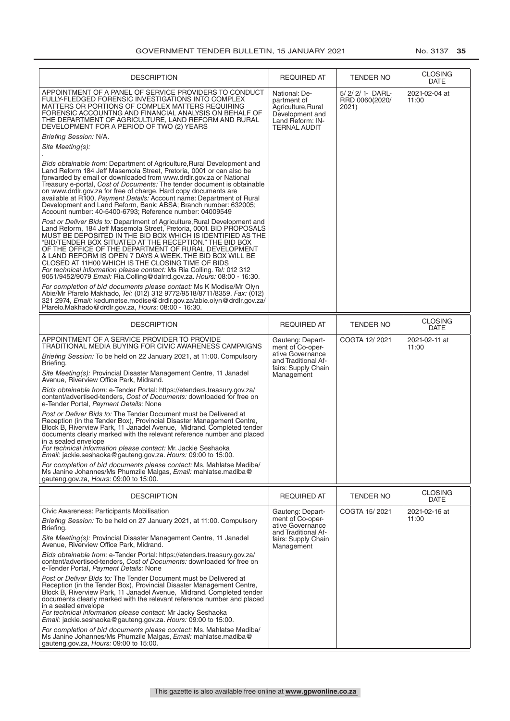# GOVERNMENT TENDER BULLETIN, 15 JANUARY 2021 No. 3137 35

| <b>DESCRIPTION</b>                                                                                                                                                                                                                                                                                                                                                                                                                                                                                                                                                                                                                                                                                                                                                                                                                                                                                                                                                                                                                                                                                                                                                                                                                                                                                                                                                                                                                                                                                                                                                                                                                                   | <b>REQUIRED AT</b>                                                                                                   | <b>TENDER NO</b>                             | <b>CLOSING</b><br><b>DATE</b> |
|------------------------------------------------------------------------------------------------------------------------------------------------------------------------------------------------------------------------------------------------------------------------------------------------------------------------------------------------------------------------------------------------------------------------------------------------------------------------------------------------------------------------------------------------------------------------------------------------------------------------------------------------------------------------------------------------------------------------------------------------------------------------------------------------------------------------------------------------------------------------------------------------------------------------------------------------------------------------------------------------------------------------------------------------------------------------------------------------------------------------------------------------------------------------------------------------------------------------------------------------------------------------------------------------------------------------------------------------------------------------------------------------------------------------------------------------------------------------------------------------------------------------------------------------------------------------------------------------------------------------------------------------------|----------------------------------------------------------------------------------------------------------------------|----------------------------------------------|-------------------------------|
| APPOINTMENT OF A PANEL OF SERVICE PROVIDERS TO CONDUCT<br>FULLY-FLEDGED FORENSIC INVESTIGATIONS INTO COMPLEX<br>MATTERS OR PORTIONS OF COMPLEX MATTERS REQUIRING<br>FORENSIC ACCOUNTNG AND FINANCIAL ANALYSIS ON BEHALF OF<br>THE DEPARTMENT OF AGRICULTURE, LAND REFORM AND RURAL<br>DEVELOPMENT FOR A PERIOD OF TWO (2) YEARS<br>Briefing Session: N/A.<br>Site Meeting(s):<br><i>Bids obtainable from:</i> Department of Agriculture, Rural Development and<br>Land Reform 184 Jeff Masemola Street, Pretoria, 0001 or can also be<br>forwarded by email or downloaded from www.drdlr.gov.za or National<br>Treasury e-portal, Cost of Documents: The tender document is obtainable<br>on www.drdlr.gov.za for free of charge. Hard copy documents are<br>available at R100, Payment Details: Account name: Department of Rural<br>Development and Land Reform, Bank: ABSA; Branch number: 632005;<br>Account number: 40-5400-6793; Reference number: 04009549<br>Post or Deliver Bids to: Department of Agriculture, Rural Development and<br>Land Reform, 184 Jeff Masemola Street, Pretoria, 0001. BID PROPOSALS<br>MUST BE DEPOSITED IN THE BID BOX WHICH IS IDENTIFIED AS THE<br>"BID/TENDER BOX SITUATED AT THE RECEPTION." THE BID BOX<br>OF THE OFFICE OF THE DEPARTMENT OF RURAL DEVELOPMENT<br>& LAND REFORM IS OPEN 7 DAYS A WEEK. THE BID BOX WILL BE<br>CLOSED AT 11H00 WHICH IS THE CLOSING TIME OF BIDS<br>For technical information please contact: Ms Ria Colling. Tel: 012 312<br>9051/9452/9079 Email: Ria.Colling@dalrrd.gov.za. Hours: 08:00 - 16:30.<br>For completion of bid documents please contact: Ms K Modise/Mr Olyn | National: De-<br>partment of<br>Agriculture, Rural<br>Development and<br>Land Reform: IN-<br><b>TERNAL AUDIT</b>     | $5/2/2/1$ - DARL-<br>RRD 0060(2020/<br>2021) | 2021-02-04 at<br>11:00        |
| Abie/Mr Pfarelo Makhado, Tel: (012) 312 9772/9518/8711/8359, Fax: (012)<br>321 2974, Email: kedumetse.modise@drdlr.gov.za/abie.olyn@drdlr.gov.za/<br>Pfarelo.Makhado@drdlr.gov.za, Hours: 08:00 - 16:30.                                                                                                                                                                                                                                                                                                                                                                                                                                                                                                                                                                                                                                                                                                                                                                                                                                                                                                                                                                                                                                                                                                                                                                                                                                                                                                                                                                                                                                             |                                                                                                                      |                                              |                               |
| <b>DESCRIPTION</b>                                                                                                                                                                                                                                                                                                                                                                                                                                                                                                                                                                                                                                                                                                                                                                                                                                                                                                                                                                                                                                                                                                                                                                                                                                                                                                                                                                                                                                                                                                                                                                                                                                   | <b>REQUIRED AT</b>                                                                                                   | <b>TENDER NO</b>                             | <b>CLOSING</b><br><b>DATE</b> |
| APPOINTMENT OF A SERVICE PROVIDER TO PROVIDE<br>TRADITIONAL MEDIA BUYING FOR CIVIC AWARENESS CAMPAIGNS<br>Briefing Session: To be held on 22 January 2021, at 11:00. Compulsory<br>Briefing.<br>Site Meeting(s): Provincial Disaster Management Centre, 11 Janadel<br>Avenue, Riverview Office Park, Midrand.<br>Bids obtainable from: e-Tender Portal: https://etenders.treasury.gov.za/<br>content/advertised-tenders, Cost of Documents: downloaded for free on<br>e-Tender Portal, Payment Details: None<br>Post or Deliver Bids to: The Tender Document must be Delivered at<br>Reception (in the Tender Box), Provincial Disaster Management Centre,<br>Block B, Riverview Park, 11 Janadel Avenue, Midrand. Completed tender<br>documents clearly marked with the relevant reference number and placed<br>in a sealed envelope<br>For technical information please contact: Mr. Jackie Seshaoka<br>Email: jackie.seshaoka@gauteng.gov.za. Hours: 09:00 to 15:00.<br>For completion of bid documents please contact: Ms. Mahlatse Madiba/<br>Ms Janine Johannes/Ms Phumzile Malgas, Email: mahlatse.madiba@<br>gauteng.gov.za, Hours: 09:00 to 15:00.                                                                                                                                                                                                                                                                                                                                                                                                                                                                                          | Gauteng: Depart-<br>ment of Co-oper-<br>ative Governance<br>and Traditional Af-<br>fairs: Supply Chain<br>Management | COGTA 12/2021                                | 2021-02-11 at<br>11:00        |
| <b>DESCRIPTION</b>                                                                                                                                                                                                                                                                                                                                                                                                                                                                                                                                                                                                                                                                                                                                                                                                                                                                                                                                                                                                                                                                                                                                                                                                                                                                                                                                                                                                                                                                                                                                                                                                                                   | <b>REQUIRED AT</b>                                                                                                   | <b>TENDER NO</b>                             | <b>CLOSING</b><br><b>DATE</b> |
| Civic Awareness: Participants Mobilisation<br>Briefing Session: To be held on 27 January 2021, at 11:00. Compulsory<br>Briefing.<br>Site Meeting(s): Provincial Disaster Management Centre, 11 Janadel<br>Avenue, Riverview Office Park, Midrand.<br>Bids obtainable from: e-Tender Portal: https://etenders.treasury.gov.za/<br>content/advertised-tenders, Cost of Documents: downloaded for free on<br>e-Tender Portal, Payment Details: None<br>Post or Deliver Bids to: The Tender Document must be Delivered at<br>Reception (in the Tender Box), Provincial Disaster Management Centre,<br>Block B, Riverview Park, 11 Janadel Avenue, Midrand. Completed tender<br>documents clearly marked with the relevant reference number and placed<br>in a sealed envelope<br>For technical information please contact: Mr Jacky Seshaoka<br>Email: jackie.seshaoka@gauteng.gov.za. Hours: 09:00 to 15:00.<br>For completion of bid documents please contact: Ms. Mahlatse Madiba/<br>Ms Janine Johannes/Ms Phumzile Malgas, Email: mahlatse.madiba@<br>gauteng.gov.za, Hours: 09:00 to 15:00.                                                                                                                                                                                                                                                                                                                                                                                                                                                                                                                                                        | Gauteng: Depart-<br>ment of Co-oper-<br>ative Governance<br>and Traditional Af-<br>fairs: Supply Chain<br>Management | COGTA 15/2021                                | 2021-02-16 at<br>11:00        |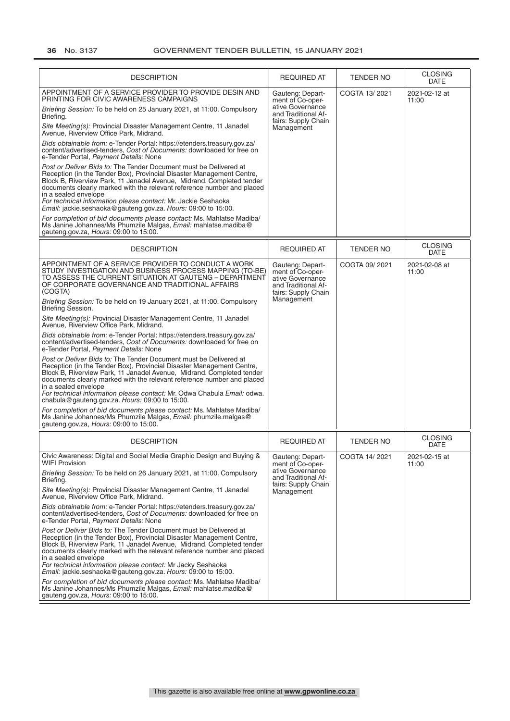| <b>DESCRIPTION</b>                                                                                                                                                                                                                                                                                                                                                                                                                                             | <b>REQUIRED AT</b>                                                                                     | <b>TENDER NO</b> | <b>CLOSING</b><br>DATE        |
|----------------------------------------------------------------------------------------------------------------------------------------------------------------------------------------------------------------------------------------------------------------------------------------------------------------------------------------------------------------------------------------------------------------------------------------------------------------|--------------------------------------------------------------------------------------------------------|------------------|-------------------------------|
| APPOINTMENT OF A SERVICE PROVIDER TO PROVIDE DESIN AND<br>PRINTING FOR CIVIC AWARENESS CAMPAIGNS<br>Briefing Session: To be held on 25 January 2021, at 11:00. Compulsory<br>Briefing.                                                                                                                                                                                                                                                                         | Gauteng: Depart-<br>ment of Co-oper-<br>ative Governance<br>and Traditional Af-                        | COGTA 13/2021    | 2021-02-12 at<br>11:00        |
| Site Meeting(s): Provincial Disaster Management Centre, 11 Janadel<br>Avenue, Riverview Office Park, Midrand.                                                                                                                                                                                                                                                                                                                                                  | fairs: Supply Chain<br>Management                                                                      |                  |                               |
| Bids obtainable from: e-Tender Portal: https://etenders.treasury.gov.za/<br>content/advertised-tenders, Cost of Documents: downloaded for free on<br>e-Tender Portal, Payment Details: None                                                                                                                                                                                                                                                                    |                                                                                                        |                  |                               |
| Post or Deliver Bids to: The Tender Document must be Delivered at<br>Reception (in the Tender Box), Provincial Disaster Management Centre,<br>Block B, Riverview Park, 11 Janadel Avenue, Midrand. Completed tender<br>documents clearly marked with the relevant reference number and placed<br>in a sealed envelope<br>For technical information please contact: Mr. Jackie Seshaoka<br><i>Email:</i> jackie.seshaoka@gauteng.gov.za. Hours: 09:00 to 15:00. |                                                                                                        |                  |                               |
| For completion of bid documents please contact: Ms. Mahlatse Madiba/<br>Ms Janine Johannes/Ms Phumzile Malgas, Email: mahlatse.madiba@<br>gauteng.gov.za, Hours: 09:00 to 15:00.                                                                                                                                                                                                                                                                               |                                                                                                        |                  |                               |
| <b>DESCRIPTION</b>                                                                                                                                                                                                                                                                                                                                                                                                                                             | <b>REQUIRED AT</b>                                                                                     | TENDER NO        | <b>CLOSING</b><br><b>DATF</b> |
| APPOINTMENT OF A SERVICE PROVIDER TO CONDUCT A WORK<br>STUDY INVESTIGATION AND BUSINESS PROCESS MAPPING (TO-BE)<br>TO ASSESS THE CURRENT SITUATION AT GAUTENG – DEPARTMENT<br>OF CORPORATE GOVERNANCE AND TRADITIONAL AFFAIRS<br>(COGTA)                                                                                                                                                                                                                       | Gauteng: Depart-<br>ment of Co-oper-<br>ative Governance<br>and Traditional Af-<br>fairs: Supply Chain | COGTA 09/2021    | 2021-02-08 at<br>11:00        |
| Briefing Session: To be held on 19 January 2021, at 11:00. Compulsory<br>Briefing Session.                                                                                                                                                                                                                                                                                                                                                                     | Management                                                                                             |                  |                               |
| Site Meeting(s): Provincial Disaster Management Centre, 11 Janadel<br>Avenue, Riverview Office Park, Midrand.                                                                                                                                                                                                                                                                                                                                                  |                                                                                                        |                  |                               |
| Bids obtainable from: e-Tender Portal: https://etenders.treasury.gov.za/<br>content/advertised-tenders. Cost of Documents: downloaded for free on<br>e-Tender Portal, Payment Details: None                                                                                                                                                                                                                                                                    |                                                                                                        |                  |                               |
| Post or Deliver Bids to: The Tender Document must be Delivered at<br>Reception (in the Tender Box), Provincial Disaster Management Centre,<br>Block B, Riverview Park, 11 Janadel Avenue, Midrand. Completed tender<br>documents clearly marked with the relevant reference number and placed<br>in a sealed envelope<br>For technical information please contact: Mr. Odwa Chabula Email: odwa.<br>chabula@gauteng.gov.za. Hours: 09:00 to 15:00.             |                                                                                                        |                  |                               |
| For completion of bid documents please contact: Ms. Mahlatse Madiba/<br>Ms Janine Johannes/Ms Phumzile Malgas, Email: phumzile.malgas@<br>gauteng.gov.za, Hours: 09:00 to 15:00.                                                                                                                                                                                                                                                                               |                                                                                                        |                  |                               |
| <b>DESCRIPTION</b>                                                                                                                                                                                                                                                                                                                                                                                                                                             | <b>REQUIRED AT</b>                                                                                     | <b>TENDER NO</b> | <b>CLOSING</b><br><b>DATE</b> |
| Civic Awareness: Digital and Social Media Graphic Design and Buying &<br><b>WIFI Provision</b>                                                                                                                                                                                                                                                                                                                                                                 | Gauteng: Depart-<br>ment of Co-oper-                                                                   | COGTA 14/2021    | 2021-02-15 at<br>11:00        |
| Briefing Session: To be held on 26 January 2021, at 11:00. Compulsory<br>Briefing.                                                                                                                                                                                                                                                                                                                                                                             | ative Governance<br>and Traditional Af-                                                                |                  |                               |
| Site Meeting(s): Provincial Disaster Management Centre, 11 Janadel<br>Avenue, Riverview Office Park, Midrand.                                                                                                                                                                                                                                                                                                                                                  | fairs: Supply Chain<br>Management                                                                      |                  |                               |
| Bids obtainable from: e-Tender Portal: https://etenders.treasury.gov.za/<br>content/advertised-tenders. Cost of Documents: downloaded for free on<br>e-Tender Portal, Payment Details: None                                                                                                                                                                                                                                                                    |                                                                                                        |                  |                               |
| Post or Deliver Bids to: The Tender Document must be Delivered at<br>Reception (in the Tender Box), Provincial Disaster Management Centre,<br>Block B, Riverview Park, 11 Janadel Avenue, Midrand. Completed tender<br>documents clearly marked with the relevant reference number and placed<br>in a sealed envelope<br>For technical information please contact: Mr Jacky Seshaoka<br>Email: jackie.seshaoka@gauteng.gov.za. Hours: 09:00 to 15:00.          |                                                                                                        |                  |                               |
| For completion of bid documents please contact: Ms. Mahlatse Madiba/<br>Ms Janine Johannes/Ms Phumzile Malgas, Email: mahlatse.madiba@<br>gauteng.gov.za, Hours: 09:00 to 15:00.                                                                                                                                                                                                                                                                               |                                                                                                        |                  |                               |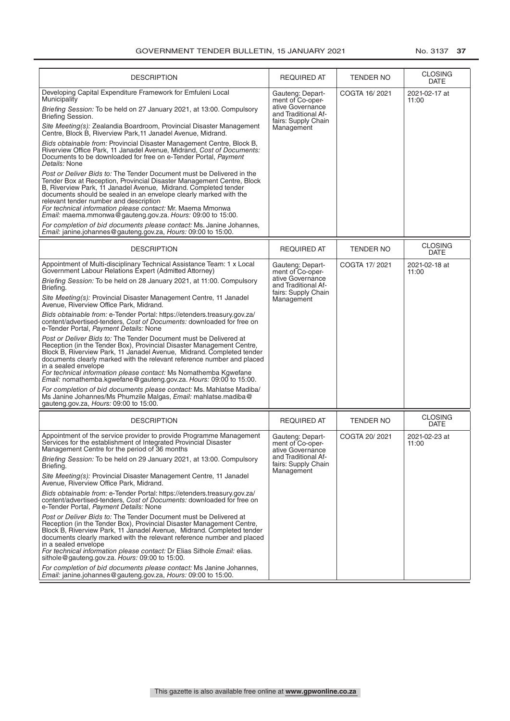| <b>DESCRIPTION</b>                                                                                                                                                                                                                                                                                                                                                                                                                                                                                                                                                                                                                                                                                                                                                                                                                                                                                                                                                                                                                                                                                                                                                                            | <b>REQUIRED AT</b>                                                                                                   | <b>TENDER NO</b> | <b>CLOSING</b><br><b>DATE</b> |
|-----------------------------------------------------------------------------------------------------------------------------------------------------------------------------------------------------------------------------------------------------------------------------------------------------------------------------------------------------------------------------------------------------------------------------------------------------------------------------------------------------------------------------------------------------------------------------------------------------------------------------------------------------------------------------------------------------------------------------------------------------------------------------------------------------------------------------------------------------------------------------------------------------------------------------------------------------------------------------------------------------------------------------------------------------------------------------------------------------------------------------------------------------------------------------------------------|----------------------------------------------------------------------------------------------------------------------|------------------|-------------------------------|
| Developing Capital Expenditure Framework for Emfuleni Local<br>Municipality<br>Briefing Session: To be held on 27 January 2021, at 13:00. Compulsory<br>Briefing Session.<br>Site Meeting(s): Zealandia Boardroom, Provincial Disaster Management<br>Centre, Block B, Riverview Park, 11 Janadel Avenue, Midrand.<br>Bids obtainable from: Provincial Disaster Management Centre, Block B,<br>Riverview Office Park, 11 Janadel Avenue, Midrand, Cost of Documents:<br>Documents to be downloaded for free on e-Tender Portal, Payment<br>Details: None<br>Post or Deliver Bids to: The Tender Document must be Delivered in the<br>Tender Box at Reception, Provincial Disaster Management Centre, Block<br>B. Riverview Park, 11 Janadel Avenue, Midrand. Completed tender<br>documents should be sealed in an envelope clearly marked with the<br>relevant tender number and description<br>For technical information please contact: Mr. Maema Mmonwa<br>Email: maema.mmonwa@gauteng.gov.za. Hours: 09:00 to 15:00.<br>For completion of bid documents please contact: Ms. Janine Johannes,<br>Email: janine.johannes@gauteng.gov.za, Hours: 09:00 to 15:00.                              | Gauteng: Depart-<br>ment of Co-oper-<br>ative Governance<br>and Traditional Af-<br>fairs: Supply Chain<br>Management | COGTA 16/2021    | 2021-02-17 at<br>11:00        |
| <b>DESCRIPTION</b>                                                                                                                                                                                                                                                                                                                                                                                                                                                                                                                                                                                                                                                                                                                                                                                                                                                                                                                                                                                                                                                                                                                                                                            | <b>REQUIRED AT</b>                                                                                                   | <b>TENDER NO</b> | <b>CLOSING</b><br><b>DATE</b> |
| Appointment of Multi-disciplinary Technical Assistance Team: 1 x Local<br>Government Labour Relations Expert (Admitted Attorney)<br>Briefing Session: To be held on 28 January 2021, at 11:00. Compulsory<br>Briefing.<br>Site Meeting(s): Provincial Disaster Management Centre, 11 Janadel<br>Avenue, Riverview Office Park, Midrand.<br>Bids obtainable from: e-Tender Portal: https://etenders.treasury.gov.za/<br>content/advertised-tenders, Cost of Documents: downloaded for free on<br>e-Tender Portal, Payment Details: None<br>Post or Deliver Bids to: The Tender Document must be Delivered at<br>Reception (in the Tender Box), Provincial Disaster Management Centre,<br>Block B, Riverview Park, 11 Janadel Avenue, Midrand. Completed tender<br>documents clearly marked with the relevant reference number and placed<br>in a sealed envelope<br>For technical information please contact: Ms Nomathemba Kgwefane<br>Email: nomathemba.kgwefane@gauteng.gov.za. Hours: 09:00 to 15:00.<br>For completion of bid documents please contact: Ms. Mahlatse Madiba/<br>Ms Janine Johannes/Ms Phumzile Malgas, Email: mahlatse.madiba@<br>gauteng.gov.za, Hours: 09:00 to 15:00.  | Gauteng: Depart-<br>ment of Co-oper-<br>ative Governance<br>and Traditional Af-<br>fairs: Supply Chain<br>Management | COGTA 17/2021    | 2021-02-18 at<br>11:00        |
| <b>DESCRIPTION</b>                                                                                                                                                                                                                                                                                                                                                                                                                                                                                                                                                                                                                                                                                                                                                                                                                                                                                                                                                                                                                                                                                                                                                                            | <b>REQUIRED AT</b>                                                                                                   | <b>TENDER NO</b> | <b>CLOSING</b><br><b>DATE</b> |
| Appointment of the service provider to provide Programme Management<br>Services for the establishment of Integrated Provincial Disaster<br>Management Centre for the period of 36 months<br>Briefing Session: To be held on 29 January 2021, at 13:00. Compulsory<br>Briefing.<br>Site Meeting(s): Provincial Disaster Management Centre, 11 Janadel<br>Avenue, Riverview Office Park, Midrand.<br>Bids obtainable from: e-Tender Portal: https://etenders.treasury.gov.za/<br>content/advertised-tenders, Cost of Documents: downloaded for free on<br>e-Tender Portal, Payment Details: None<br>Post or Deliver Bids to: The Tender Document must be Delivered at<br>Reception (in the Tender Box), Provincial Disaster Management Centre,<br>Block B, Riverview Park, 11 Janadel Avenue, Midrand. Completed tender<br>documents clearly marked with the relevant reference number and placed<br>in a sealed envelope<br>For technical information please contact: Dr Elias Sithole Email: elias.<br>sithole@gauteng.gov.za. Hours: 09:00 to 15:00.<br>For completion of bid documents please contact: Ms Janine Johannes,<br>Email: janine.johannes@gauteng.gov.za, Hours: 09:00 to 15:00. | Gauteng: Depart-<br>ment of Co-oper-<br>ative Governance<br>and Traditional Af-<br>fairs: Supply Chain<br>Management | COGTA 20/2021    | 2021-02-23 at<br>11:00        |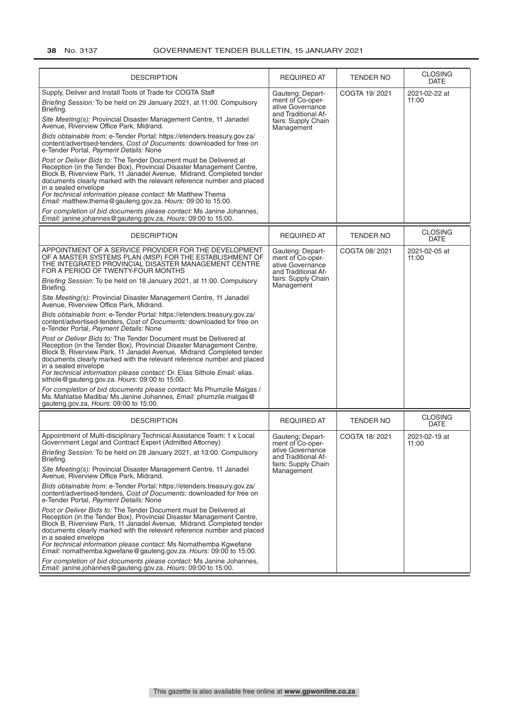# **38** No. 3137 GOVERNMENT TENDER BULLETIN, 15 JANUARY 2021

| <b>DESCRIPTION</b>                                                                                                                                                                                                                                                                                                                                                                                                                                                                                                                    | <b>REQUIRED AT</b>                                                                                                   | <b>TENDER NO</b> | <b>CLOSING</b><br><b>DATE</b> |
|---------------------------------------------------------------------------------------------------------------------------------------------------------------------------------------------------------------------------------------------------------------------------------------------------------------------------------------------------------------------------------------------------------------------------------------------------------------------------------------------------------------------------------------|----------------------------------------------------------------------------------------------------------------------|------------------|-------------------------------|
| Supply, Deliver and Install Tools of Trade for COGTA Staff<br>Briefing Session: To be held on 29 January 2021, at 11:00. Compulsory<br>Briefing.<br>Site Meeting(s): Provincial Disaster Management Centre, 11 Janadel<br>Avenue, Riverview Office Park, Midrand.<br>Bids obtainable from: e-Tender Portal: https://etenders.treasury.gov.za/<br>content/advertised-tenders, Cost of Documents: downloaded for free on<br>e-Tender Portal, Payment Details: None<br>Post or Deliver Bids to: The Tender Document must be Delivered at | Gauteng: Depart-<br>ment of Co-oper-<br>ative Governance<br>and Traditional Af-<br>fairs: Supply Chain<br>Management | COGTA 19/2021    | 2021-02-22 at<br>11:00        |
| Reception (in the Tender Box), Provincial Disaster Management Centre,<br>Block B, Riverview Park, 11 Janadel Avenue, Midrand. Completed tender<br>documents clearly marked with the relevant reference number and placed<br>in a sealed envelope<br>For technical information please contact: Mr Matthew Thema<br>Email: matthew.thema@gauteng.gov.za. Hours: 09:00 to 15:00.<br>For completion of bid documents please contact: Ms Janine Johannes,                                                                                  |                                                                                                                      |                  |                               |
| Email: janine.johannes@gauteng.gov.za, Hours: 09:00 to 15:00.                                                                                                                                                                                                                                                                                                                                                                                                                                                                         |                                                                                                                      |                  |                               |
| <b>DESCRIPTION</b>                                                                                                                                                                                                                                                                                                                                                                                                                                                                                                                    | <b>REQUIRED AT</b>                                                                                                   | <b>TENDER NO</b> | <b>CLOSING</b><br><b>DATE</b> |
| APPOINTMENT OF A SERVICE PROVIDER FOR THE DEVELOPMENT<br>OF A MASTER SYSTEMS PLAN (MSP) FOR THE ESTABLISHMENT OF<br>THE INTEGRATED PROVINCIAL DISASTER MANAGEMENT CENTRE<br>FOR A PERIOD OF TWENTY-FOUR MONTHS                                                                                                                                                                                                                                                                                                                        | Gauteng: Depart-<br>ment of Co-oper-<br>ative Governance<br>and Traditional Af-                                      | COGTA 08/2021    | 2021-02-05 at<br>11:00        |
| Briefing Session: To be held on 18 January 2021, at 11:00. Compulsory<br>Briefing.                                                                                                                                                                                                                                                                                                                                                                                                                                                    | fairs: Supply Chain<br>Management                                                                                    |                  |                               |
| Site Meeting(s): Provincial Disaster Management Centre, 11 Janadel<br>Avenue, Riverview Office Park, Midrand.                                                                                                                                                                                                                                                                                                                                                                                                                         |                                                                                                                      |                  |                               |
| Bids obtainable from: e-Tender Portal: https://etenders.treasury.gov.za/<br>content/advertised-tenders, Cost of Documents: downloaded for free on<br>e-Tender Portal, Payment Details: None                                                                                                                                                                                                                                                                                                                                           |                                                                                                                      |                  |                               |
| Post or Deliver Bids to: The Tender Document must be Delivered at<br>Reception (in the Tender Box), Provincial Disaster Management Centre,<br>Block B, Riverview Park, 11 Janadel Avenue, Midrand. Completed tender<br>documents clearly marked with the relevant reference number and placed<br>in a sealed envelope<br>For technical information please contact: Dr. Elias Sithole Email: elias.<br>sithole@gauteng.gov.za. Hours: 09:00 to 15:00.                                                                                  |                                                                                                                      |                  |                               |
| For completion of bid documents please contact: Ms Phumzile Malgas /<br>Ms. Mahlatse Madiba/ Ms Janine Johannes, <i>Email:</i> phumzile.malgas@<br>gauteng.gov.za, Hours: 09:00 to 15:00.                                                                                                                                                                                                                                                                                                                                             |                                                                                                                      |                  |                               |
| <b>DESCRIPTION</b>                                                                                                                                                                                                                                                                                                                                                                                                                                                                                                                    | <b>REQUIRED AT</b>                                                                                                   | <b>TENDER NO</b> | <b>CLOSING</b><br><b>DATE</b> |
| Appointment of Multi-disciplinary Technical Assistance Team: 1 x Local<br>Government Legal and Contract Expert (Admitted Attorney)<br>Briefing Session: To be held on 28 January 2021, at 13:00. Compulsory<br>Briefing.                                                                                                                                                                                                                                                                                                              | Gauteng: Depart-<br>ment of Co-oper-<br>ative Governance<br>and Traditional Af-                                      | COGTA 18/2021    | 2021-02-19 at<br>11:00        |
| Site Meeting(s): Provincial Disaster Management Centre, 11 Janadel<br>Avenue, Riverview Office Park, Midrand.                                                                                                                                                                                                                                                                                                                                                                                                                         | fairs: Supply Chain<br>Management                                                                                    |                  |                               |
| Bids obtainable from: e-Tender Portal: https://etenders.treasury.gov.za/<br>content/advertised-tenders, Cost of Documents: downloaded for free on<br>e-Tender Portal, Payment Details: None                                                                                                                                                                                                                                                                                                                                           |                                                                                                                      |                  |                               |
| Post or Deliver Bids to: The Tender Document must be Delivered at<br>Reception (in the Tender Box), Provincial Disaster Management Centre,<br>Block B, Riverview Park, 11 Janadel Avenue, Midrand. Completed tender<br>documents clearly marked with the relevant reference number and placed<br>in a sealed envelope<br>For technical information please contact: Ms Nomathemba Kgwefane<br><i>Email:</i> nomathemba.kgwefane@gauteng.gov.za. <i>Hours:</i> 09:00 to 15:00.                                                          |                                                                                                                      |                  |                               |
| For completion of bid documents please contact: Ms Janine Johannes,<br>Email: janine.johannes@gauteng.gov.za, Hours: 09:00 to 15:00.                                                                                                                                                                                                                                                                                                                                                                                                  |                                                                                                                      |                  |                               |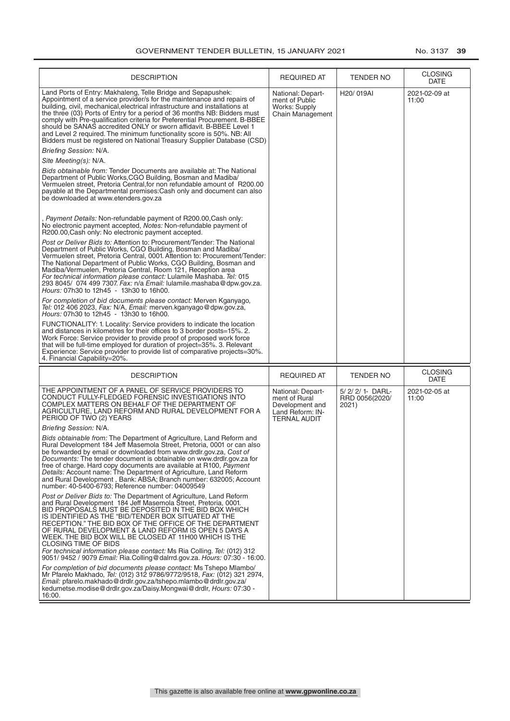# GOVERNMENT TENDER BULLETIN, 15 JANUARY 2021 No. 3137 39

| <b>DESCRIPTION</b>                                                                                                                                                                                                                                                                                                                                                                                                                                                                                                                                                                                                 | REQUIRED AT                                                                                      | <b>TENDER NO</b>                         | <b>CLOSING</b><br><b>DATE</b> |
|--------------------------------------------------------------------------------------------------------------------------------------------------------------------------------------------------------------------------------------------------------------------------------------------------------------------------------------------------------------------------------------------------------------------------------------------------------------------------------------------------------------------------------------------------------------------------------------------------------------------|--------------------------------------------------------------------------------------------------|------------------------------------------|-------------------------------|
| Land Ports of Entry: Makhaleng, Telle Bridge and Sepapushek:<br>Appointment of a service provider/s for the maintenance and repairs of<br>building, civil, mechanical, electrical infrastructure and installations at<br>the three (03) Ports of Entry for a period of 36 months NB: Bidders must<br>comply with Pre-qualification criteria for Preferential Procurement. B-BBEE<br>should be SANAS accredited ONLY or sworn affidavit. B-BBEE Level 1<br>and Level 2 required. The minimum functionality score is 50%. NB: All<br>Bidders must be registered on National Treasury Supplier Database (CSD)         | National: Depart-<br>ment of Public<br>Works: Supply<br><b>Chain Management</b>                  | H20/019AI                                | 2021-02-09 at<br>11:00        |
| Briefing Session: N/A.                                                                                                                                                                                                                                                                                                                                                                                                                                                                                                                                                                                             |                                                                                                  |                                          |                               |
| Site Meeting(s): N/A.                                                                                                                                                                                                                                                                                                                                                                                                                                                                                                                                                                                              |                                                                                                  |                                          |                               |
| Bids obtainable from: Tender Documents are available at: The National<br>Department of Public Works, CGO Building, Bosman and Madiba/<br>Vermuelen street, Pretoria Central, for non refundable amount of R200.00<br>payable at the Departmental premises: Cash only and document can also<br>be downloaded at www.etenders.gov.za                                                                                                                                                                                                                                                                                 |                                                                                                  |                                          |                               |
| <i>Payment Details:</i> Non-refundable payment of R200.00, Cash only:<br>No electronic payment accepted, Notes: Non-refundable payment of<br>R200.00, Cash only: No electronic payment accepted.                                                                                                                                                                                                                                                                                                                                                                                                                   |                                                                                                  |                                          |                               |
| Post or Deliver Bids to: Attention to: Procurement/Tender: The National<br>Department of Public Works, CGO Building, Bosman and Madiba/<br>Vermuelen street, Pretoria Central, 0001. Attention to: Procurement/Tender:<br>The National Department of Public Works, CGO Building, Bosman and<br>Madiba/Vermuelen, Pretoria Central, Room 121, Reception area<br>For technical information please contact: Lulamile Mashaba. Tel: 015<br>293 8045/ 074 499 7307. Fax: n/a Email: Iulamile.mashaba@dpw.gov.za.<br>Hours: 07h30 to 12h45 - 13h30 to 16h00.                                                             |                                                                                                  |                                          |                               |
| For completion of bid documents please contact: Merven Kganyago,<br>Tel: 012 406 2023, Fax: N/A, Email: merven.kganyago@dpw.gov.za,<br>Hours: 07h30 to 12h45 - 13h30 to 16h00.                                                                                                                                                                                                                                                                                                                                                                                                                                     |                                                                                                  |                                          |                               |
| FUNCTIONALITY: 1. Locality: Service providers to indicate the location<br>and distances in kilometres for their offices to 3 border posts=15%. 2.<br>Work Force: Service provider to provide proof of proposed work force<br>that will be full-time employed for duration of project=35%. 3. Relevant<br>Experience: Service provider to provide list of comparative projects=30%.<br>4. Financial Capability=20%.                                                                                                                                                                                                 |                                                                                                  |                                          |                               |
| <b>DESCRIPTION</b>                                                                                                                                                                                                                                                                                                                                                                                                                                                                                                                                                                                                 | <b>REQUIRED AT</b>                                                                               | <b>TENDER NO</b>                         | <b>CLOSING</b><br><b>DATE</b> |
| THE APPOINTMENT OF A PANEL OF SERVICE PROVIDERS TO<br>CONDUCT FULLY-FLEDGED FORENSIC INVESTIGATIONS INTO<br>COMPLEX MATTERS ON BEHALF OF THE DEPARTMENT OF<br>AGRICULTURE, LAND REFORM AND RURAL DEVELOPMENT FOR A<br>PERIOD OF TWO (2) YEARS                                                                                                                                                                                                                                                                                                                                                                      | National: Depart-<br>ment of Rural<br>Development and<br>Land Reform: IN-<br><b>TERNAL AUDIT</b> | 5/2/2/1-DARL-<br>RRD 0056(2020/<br>2021) | 2021-02-05 at<br>11:00        |
| Briefing Session: N/A.<br><i>Bids obtainable from:</i> The Department of Agriculture, Land Reform and<br>Rural Development 184 Jeff Masemola Street, Pretoria, 0001 or can also<br>be forwarded by email or downloaded from www.drdlr.gov.za, Cost of<br><i>Documents:</i> The tender document is obtainable on www.drdlr.gov.za for<br>free of charge. Hard copy documents are available at R100, Payment<br>Details: Account name: The Department of Agriculture, Land Reform<br>and Rural Development, Bank: ABSA; Branch number: 632005; Account<br>number: 40-5400-6793: Reference number: 04009549           |                                                                                                  |                                          |                               |
| Post or Deliver Bids to: The Department of Agriculture, Land Reform<br>and Rural Development 184 Jeff Masemola Street, Pretoria, 0001.<br>BID PROPOSALS MUST BE DEPOSITED IN THE BID BOX WHICH<br>IS IDENTIFIED AS THE "BID/TENDER BOX SITUATED AT THE<br>RECEPTION." THE BID BOX OF THE OFFICE OF THE DEPARTMENT<br>OF RURAL DEVELOPMENT & LAND REFORM IS OPEN 5 DAYS A<br>WEEK. THE BID BOX WILL BE CLOSED AT 11H00 WHICH IS THE<br>CLOSING TIME OF BIDS<br>For technical information please contact: Ms Ria Colling. Tel: (012) 312<br>9051/9452 / 9079 Email: Ria.Colling@dalrrd.gov.za. Hours: 07:30 - 16:00. |                                                                                                  |                                          |                               |
| For completion of bid documents please contact: Ms Tshepo Mlambo/<br>Mr Pfarelo Makhado, Tel: (012) 312 9786/9772/9518, Fax: (012) 321 2974,<br>Email: pfarelo.makhado@drdlr.gov.za/tshepo.mlambo@drdlr.gov.za/<br>kedumetse.modise@drdlr.gov.za/Daisy.Mongwai@drdlr, Hours: 07:30 -<br>16:00.                                                                                                                                                                                                                                                                                                                     |                                                                                                  |                                          |                               |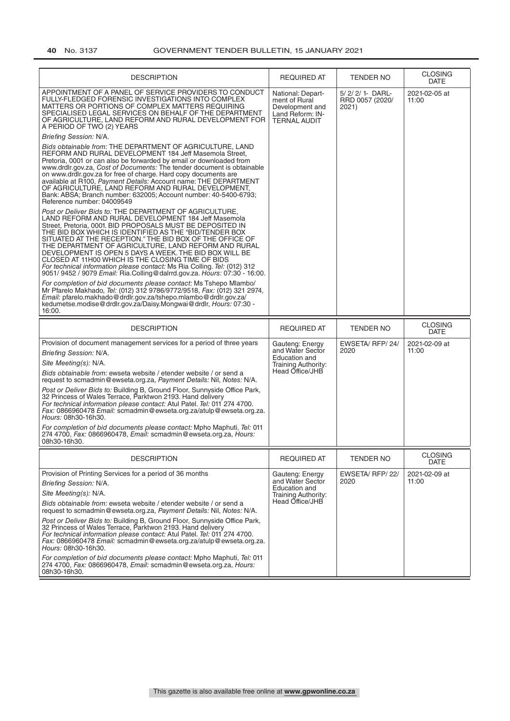| <b>DESCRIPTION</b>                                                                                                                                                                                                                                                                                                                                                                                                                                                                                                                                                                                                                | <b>REQUIRED AT</b>                                                                               | <b>TENDER NO</b>                              | <b>CLOSING</b><br><b>DATE</b> |
|-----------------------------------------------------------------------------------------------------------------------------------------------------------------------------------------------------------------------------------------------------------------------------------------------------------------------------------------------------------------------------------------------------------------------------------------------------------------------------------------------------------------------------------------------------------------------------------------------------------------------------------|--------------------------------------------------------------------------------------------------|-----------------------------------------------|-------------------------------|
| APPOINTMENT OF A PANEL OF SERVICE PROVIDERS TO CONDUCT<br>FULLY-FLEDGED FORENSIC INVESTIGATIONS INTO COMPLEX<br>MATTERS OR PORTIONS OF COMPLEX MATTERS REQUIRING<br>SPECIALISED LEGAL SERVICES ON BEHALF OF THE DEPARTMENT<br>OF AGRICULTURE, LAND REFORM AND RURAL DEVELOPMENT FOR<br>A PERIOD OF TWO (2) YEARS<br>Briefing Session: N/A.<br>Bids obtainable from: THE DEPARTMENT OF AGRICULTURE, LAND<br>REFORM AND RURAL DEVELOPMENT 184 Jeff Masemola Street,                                                                                                                                                                 | National: Depart-<br>ment of Rural<br>Development and<br>Land Reform: IN-<br><b>TERNAL AUDIT</b> | 5/ 2/ 2/ 1- DARL-<br>RRD 0057 (2020/<br>2021) | 2021-02-05 at<br>11:00        |
| Pretoria, 0001 or can also be forwarded by email or downloaded from<br>www.drdlr.gov.za, Cost of Documents: The tender document is obtainable<br>on www.drdlr.gov.za for free of charge. Hard copy documents are<br>available at R100, Payment Details: Account name: THE DEPARTMENT<br>OF AGRICULTURE, LAND REFORM AND RURAL DEVELOPMENT,<br>Bank: ABSA; Branch number: 632005; Account number: 40-5400-6793;<br>Reference number: 04009549                                                                                                                                                                                      |                                                                                                  |                                               |                               |
| Post or Deliver Bids to: THE DEPARTMENT OF AGRICULTURE,<br>LAND REFORM AND RURAL DEVELOPMENT 184 Jeff Masemola<br>Street, Pretoria, 0001. BID PROPOSALS MUST BE DEPOSITED IN<br>THE BID BOX WHICH IS IDENTIFIED AS THE "BID/TENDER BOX<br>SITUATED AT THE RECEPTION." THE BID BOX OF THE OFFICE OF<br>THE DEPARTMENT OF AGRICULTURE, LAND REFORM AND RURAL<br>DEVELOPMENT IS OPEN 5 DAYS A WEEK. THE BID BOX WILL BE<br>CLOSED AT 11H00 WHICH IS THE CLOSING TIME OF BIDS<br>For technical information please contact: Ms Ria Colling. Tel: (012) 312<br>9051/9452 / 9079 Email: Ria.Colling@dalrrd.gov.za. Hours: 07:30 - 16:00. |                                                                                                  |                                               |                               |
| For completion of bid documents please contact: Ms Tshepo Mlambo/<br>Mr Pfarelo Makhado, <i>Tel:</i> (012) 312 9786/9772/9518, Fax: (012) 321 2974,<br>Email: pfarelo.makhado@drdlr.gov.za/tshepo.mlambo@drdlr.gov.za/<br>kedumetse.modise@drdlr.gov.za/Daisy.Mongwai@drdlr, Hours: 07:30 -<br>16:00.                                                                                                                                                                                                                                                                                                                             |                                                                                                  |                                               |                               |
| <b>DESCRIPTION</b>                                                                                                                                                                                                                                                                                                                                                                                                                                                                                                                                                                                                                | <b>REQUIRED AT</b>                                                                               | <b>TENDER NO</b>                              | <b>CLOSING</b><br><b>DATE</b> |
| Provision of document management services for a period of three years                                                                                                                                                                                                                                                                                                                                                                                                                                                                                                                                                             | Gauteng: Energy                                                                                  | EWSETA/ RFP/24/                               | 2021-02-09 at                 |
| Briefing Session: N/A.                                                                                                                                                                                                                                                                                                                                                                                                                                                                                                                                                                                                            | and Water Sector<br>Education and                                                                | 2020                                          | 11:00                         |
| Site Meeting(s): N/A.                                                                                                                                                                                                                                                                                                                                                                                                                                                                                                                                                                                                             | Training Authority:<br>Head Office/JHB                                                           |                                               |                               |
| Bids obtainable from: ewseta website / etender website / or send a<br>request to scmadmin@ewseta.org.za, Payment Details: Nil, Notes: N/A.                                                                                                                                                                                                                                                                                                                                                                                                                                                                                        |                                                                                                  |                                               |                               |
| Post or Deliver Bids to: Building B, Ground Floor, Sunnyside Office Park,<br>32 Princess of Wales Terrace, Parktwon 2193. Hand delivery<br>For technical information please contact: Atul Patel. Tel: 011 274 4700.<br><i>Fax:</i> 0866960478 <i>Email:</i> scmadmin@ewseta.org.za/atulp@ewseta.org.za.<br>Hours: 08h30-16h30.                                                                                                                                                                                                                                                                                                    |                                                                                                  |                                               |                               |
| For completion of bid documents please contact: Mpho Maphuti, Tel: 011<br>274 4700, Fax: 0866960478, Email: scmadmin@ewseta.org.za, Hours:<br>08h30-16h30.                                                                                                                                                                                                                                                                                                                                                                                                                                                                        |                                                                                                  |                                               |                               |
| <b>DESCRIPTION</b>                                                                                                                                                                                                                                                                                                                                                                                                                                                                                                                                                                                                                | <b>REQUIRED AT</b>                                                                               | <b>TENDER NO</b>                              | <b>CLOSING</b><br>DATE        |
| Provision of Printing Services for a period of 36 months                                                                                                                                                                                                                                                                                                                                                                                                                                                                                                                                                                          | Gauteng: Energy                                                                                  | EWSETA/RFP/22/                                | 2021-02-09 at                 |
| Briefing Session: N/A.                                                                                                                                                                                                                                                                                                                                                                                                                                                                                                                                                                                                            | and Water Sector<br>Education and                                                                | 2020                                          | 11:00                         |
| Site Meeting(s): N/A.                                                                                                                                                                                                                                                                                                                                                                                                                                                                                                                                                                                                             | Training Authority:                                                                              |                                               |                               |
| Bids obtainable from: ewseta website / etender website / or send a<br>request to scmadmin@ewseta.org.za, Payment Details: Nil, Notes: N/A.                                                                                                                                                                                                                                                                                                                                                                                                                                                                                        | Head Office/JHB                                                                                  |                                               |                               |
| Post or Deliver Bids to: Building B, Ground Floor, Sunnyside Office Park,<br>32 Princess of Wales Terrace, Parktwon 2193. Hand delivery<br>For technical information please contact: Atul Patel. Tel: 011 274 4700.<br>Fax: 0866960478 Email: scmadmin@ewseta.org.za/atulp@ewseta.org.za.<br>Hours: 08h30-16h30.                                                                                                                                                                                                                                                                                                                  |                                                                                                  |                                               |                               |
| For completion of bid documents please contact: Mpho Maphuti, Tel: 011<br>274 4700, Fax: 0866960478, Email: scmadmin@ewseta.org.za, Hours:<br>08h30-16h30.                                                                                                                                                                                                                                                                                                                                                                                                                                                                        |                                                                                                  |                                               |                               |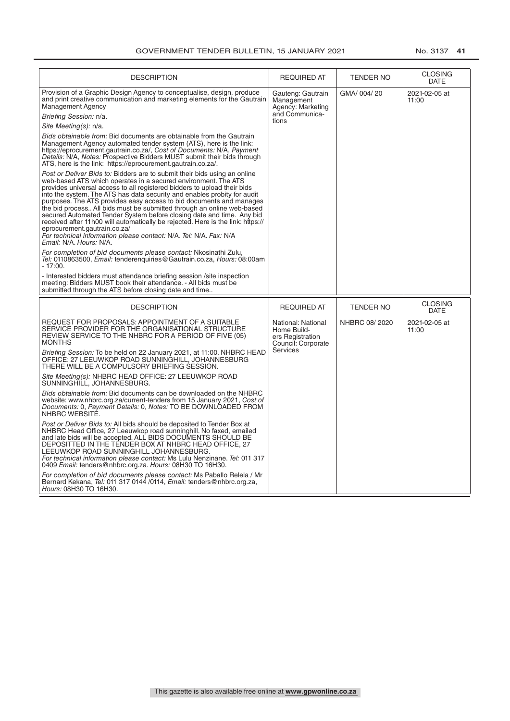| <b>DESCRIPTION</b>                                                                                                                                                                                                                                                                                                                                                                                                                                                                                                                                                                                                                                                                                                                                | <b>REQUIRED AT</b>                                                          | <b>TENDER NO</b> | <b>CLOSING</b><br><b>DATE</b> |
|---------------------------------------------------------------------------------------------------------------------------------------------------------------------------------------------------------------------------------------------------------------------------------------------------------------------------------------------------------------------------------------------------------------------------------------------------------------------------------------------------------------------------------------------------------------------------------------------------------------------------------------------------------------------------------------------------------------------------------------------------|-----------------------------------------------------------------------------|------------------|-------------------------------|
| Provision of a Graphic Design Agency to conceptualise, design, produce<br>and print creative communication and marketing elements for the Gautrain<br><b>Management Agency</b>                                                                                                                                                                                                                                                                                                                                                                                                                                                                                                                                                                    | Gauteng: Gautrain<br>Management<br>Agency: Marketing                        | GMA/004/20       | 2021-02-05 at<br>11:00        |
| Briefing Session: n/a.                                                                                                                                                                                                                                                                                                                                                                                                                                                                                                                                                                                                                                                                                                                            | and Communica-<br>tions                                                     |                  |                               |
| Site Meeting(s): n/a.                                                                                                                                                                                                                                                                                                                                                                                                                                                                                                                                                                                                                                                                                                                             |                                                                             |                  |                               |
| <i>Bids obtainable from:</i> Bid documents are obtainable from the Gautrain<br>Management Agency automated tender system (ATS), here is the link:<br>https://eprocurement.gautrain.co.za/, Cost of Documents: N/A, Payment<br>Details: N/A, Notes: Prospective Bidders MUST submit their bids through<br>ATS, here is the link: https://eprocurement.gautrain.co.za/.                                                                                                                                                                                                                                                                                                                                                                             |                                                                             |                  |                               |
| Post or Deliver Bids to: Bidders are to submit their bids using an online<br>web-based ATS which operates in a secured environment. The ATS<br>provides universal access to all registered bidders to upload their bids<br>into the system. The ATS has data security and enables probity for audit<br>purposes. The ATS provides easy access to bid documents and manages<br>the bid process. All bids must be submitted through an online web-based<br>secured Automated Tender System before closing date and time. Any bid<br>received after 11h00 will automatically be rejected. Here is the link: https://<br>eprocurement.gautrain.co.za/<br>For technical information please contact: N/A. Tel: N/A. Fax: N/A<br>Email: N/A. Hours: N/A. |                                                                             |                  |                               |
| For completion of bid documents please contact: Nkosinathi Zulu,<br>Tel: 0110863500, Email: tenderenquiries@Gautrain.co.za, Hours: 08:00am<br>$-17:00.$                                                                                                                                                                                                                                                                                                                                                                                                                                                                                                                                                                                           |                                                                             |                  |                               |
| - Interested bidders must attendance briefing session /site inspection<br>meeting: Bidders MUST book their attendance. - All bids must be<br>submitted through the ATS before closing date and time                                                                                                                                                                                                                                                                                                                                                                                                                                                                                                                                               |                                                                             |                  |                               |
| <b>DESCRIPTION</b>                                                                                                                                                                                                                                                                                                                                                                                                                                                                                                                                                                                                                                                                                                                                | <b>REQUIRED AT</b>                                                          | <b>TENDER NO</b> | <b>CLOSING</b><br><b>DATE</b> |
| REQUEST FOR PROPOSALS: APPOINTMENT OF A SUITABLE<br>SERVICE PROVIDER FOR THE ORGANISATIONAL STRUCTURE<br>REVIEW SERVICE TO THE NHBRC FOR A PERIOD OF FIVE (05)<br><b>MONTHS</b>                                                                                                                                                                                                                                                                                                                                                                                                                                                                                                                                                                   | National: National<br>Home Build-<br>ers Registration<br>Council: Corporate | NHBRC 08/2020    | 2021-02-05 at<br>11:00        |
| Briefing Session: To be held on 22 January 2021, at 11:00. NHBRC HEAD<br>OFFICE: 27 LEEUWKOP ROAD SUNNINGHILL, JOHANNESBURG<br>THERE WILL BE A COMPULSORY BRIEFING SESSION.                                                                                                                                                                                                                                                                                                                                                                                                                                                                                                                                                                       | <b>Services</b>                                                             |                  |                               |
| Site Meeting(s): NHBRC HEAD OFFICE: 27 LEEUWKOP ROAD<br>SUNNINGHILL, JOHANNESBURG.                                                                                                                                                                                                                                                                                                                                                                                                                                                                                                                                                                                                                                                                |                                                                             |                  |                               |
| Bids obtainable from: Bid documents can be downloaded on the NHBRC<br>website: www.nhbrc.org.za/current-tenders from 15 January 2021, Cost of<br>Documents: 0, Payment Details: 0, Notes: TO BE DOWNLOADED FROM<br>NHBRC WEBSITÉ.                                                                                                                                                                                                                                                                                                                                                                                                                                                                                                                 |                                                                             |                  |                               |
| Post or Deliver Bids to: All bids should be deposited to Tender Box at<br>NHBRC Head Office, 27 Leeuwkop road sunninghill. No faxed, emailed<br>and late bids will be accepted. ALL BIDS DOCUMENTS SHOULD BE<br>DEPOSITTED IN THE TENDER BOX AT NHBRC HEAD OFFICE, 27<br>LEEUWKOP ROAD SUNNINGHILL JOHANNESBURG.<br>For technical information please contact: Ms Lulu Nenzinane. Tel: 011 317<br>0409 Email: tenders@nhbrc.org.za. Hours: 08H30 TO 16H30.                                                                                                                                                                                                                                                                                         |                                                                             |                  |                               |
| For completion of bid documents please contact: Ms Paballo Relela / Mr<br>Bernard Kekana, Tel: 011 317 0144 /0114, Email: tenders@nhbrc.org.za,<br>Hours: 08H30 TO 16H30.                                                                                                                                                                                                                                                                                                                                                                                                                                                                                                                                                                         |                                                                             |                  |                               |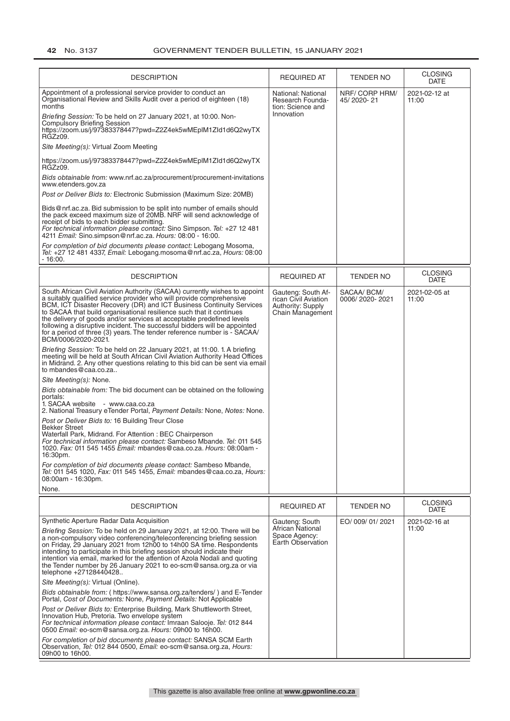| <b>DESCRIPTION</b>                                                                                                                                                                                                                                                                                                                                                                                                                                                                                                                                                                                                                                                                                                                                                                                                                                                                                                                                                                                                                                                                                                                                                                                                                                                                                                                                                                                                                                                                                                                              | <b>REQUIRED AT</b>                                                                  | TENDER NO                     | <b>CLOSING</b><br><b>DATE</b> |
|-------------------------------------------------------------------------------------------------------------------------------------------------------------------------------------------------------------------------------------------------------------------------------------------------------------------------------------------------------------------------------------------------------------------------------------------------------------------------------------------------------------------------------------------------------------------------------------------------------------------------------------------------------------------------------------------------------------------------------------------------------------------------------------------------------------------------------------------------------------------------------------------------------------------------------------------------------------------------------------------------------------------------------------------------------------------------------------------------------------------------------------------------------------------------------------------------------------------------------------------------------------------------------------------------------------------------------------------------------------------------------------------------------------------------------------------------------------------------------------------------------------------------------------------------|-------------------------------------------------------------------------------------|-------------------------------|-------------------------------|
| Appointment of a professional service provider to conduct an<br>Organisational Review and Skills Audit over a period of eighteen (18)<br>months<br>Briefing Session: To be held on 27 January 2021, at 10:00. Non-<br><b>Compulsory Briefing Session</b><br>https://zoom.us/j/97383378447?pwd=Z2Z4ek5wMEplM1Zld1d6Q2wyTX<br>RGZz09.<br>Site Meeting(s): Virtual Zoom Meeting<br>https://zoom.us/j/97383378447?pwd=Z2Z4ek5wMEpIM1ZId1d6Q2wyTX<br>RGZz09.<br>Bids obtainable from: www.nrf.ac.za/procurement/procurement-invitations<br>www.etenders.gov.za<br>Post or Deliver Bids to: Electronic Submission (Maximum Size: 20MB)                                                                                                                                                                                                                                                                                                                                                                                                                                                                                                                                                                                                                                                                                                                                                                                                                                                                                                                | National: National<br>Research Founda-<br>tion: Science and<br>Innovation           | NRF/CORP HRM/<br>45/2020-21   | 2021-02-12 at<br>11:00        |
| Bids@nrf.ac.za. Bid submission to be split into number of emails should<br>the pack exceed maximum size of 20MB. NRF will send acknowledge of<br>receipt of bids to each bidder submitting.<br>For technical information please contact: Sino Simpson. Tel: +27 12 481<br>4211 Email: Sino.simpson@nrf.ac.za. Hours: 08:00 - 16:00.<br>For completion of bid documents please contact: Lebogang Mosoma,<br>Tel: +27 12 481 4337, Email: Lebogang.mosoma@nrf.ac.za, Hours: 08:00<br>- 16:00.                                                                                                                                                                                                                                                                                                                                                                                                                                                                                                                                                                                                                                                                                                                                                                                                                                                                                                                                                                                                                                                     |                                                                                     |                               |                               |
| <b>DESCRIPTION</b>                                                                                                                                                                                                                                                                                                                                                                                                                                                                                                                                                                                                                                                                                                                                                                                                                                                                                                                                                                                                                                                                                                                                                                                                                                                                                                                                                                                                                                                                                                                              | <b>REQUIRED AT</b>                                                                  | <b>TENDER NO</b>              | <b>CLOSING</b><br><b>DATE</b> |
| South African Civil Aviation Authority (SACAA) currently wishes to appoint<br>a suitably qualified service provider who will provide comprehensive<br>BCM, ICT Disaster Recovery (DR) and ICT Business Continuity Services<br>to SACAA that build organisational resilience such that it continues<br>the delivery of goods and/or services at acceptable predefined levels<br>following a disruptive incident. The successful bidders will be appointed<br>for a period of three (3) years. The tender reference number is - SACAA/<br>BCM/0006/2020-2021.<br>Briefing Session: To be held on 22 January 2021, at 11:00. 1. A briefing<br>meeting will be held at South African Civil Aviation Authority Head Offices<br>in Midrand. 2. Any other questions relating to this bid can be sent via email<br>to mbandes@caa.co.za<br>Site Meeting(s): None.<br>Bids obtainable from: The bid document can be obtained on the following<br>portals:<br>1. SACAA website - www.caa.co.za<br>2. National Treasury eTender Portal, Payment Details: None, Notes: None.<br>Post or Deliver Bids to: 16 Building Treur Close<br><b>Bekker Street</b><br>Waterfall Park, Midrand. For Attention: BEC Chairperson<br>For technical information please contact: Sambeso Mbande. Tel: 011 545<br>1020, Fax: 011 545 1455 Email: mbandes@caa.co.za, Hours: 08:00am -<br>16:30pm.<br>For completion of bid documents please contact: Sambeso Mbande,<br>Tel: 011 545 1020, Fax: 011 545 1455, Email: mbandes@caa.co.za, Hours:<br>08:00am - 16:30pm.<br>None. | Gauteng: South Af-<br>rican Civil Aviation<br>Authority: Supply<br>Chain Management | SACAA/ BCM/<br>0006/2020-2021 | 2021-02-05 at<br>11:00        |
| <b>DESCRIPTION</b>                                                                                                                                                                                                                                                                                                                                                                                                                                                                                                                                                                                                                                                                                                                                                                                                                                                                                                                                                                                                                                                                                                                                                                                                                                                                                                                                                                                                                                                                                                                              | <b>REQUIRED AT</b>                                                                  | TENDER NO                     | <b>CLOSING</b><br><b>DATE</b> |
| Synthetic Aperture Radar Data Acquisition<br>Briefing Session: To be held on 29 January 2021, at 12:00. There will be<br>a non-compulsory video conferencing/teleconferencing briefing session<br>on Friday, 29 January 2021 from 12h00 to 14h00 SA time. Respondents<br>intending to participate in this briefing session should indicate their<br>intention via email, marked for the attention of Azola Nodali and quoting<br>the Tender number by 26 January 2021 to eo-scm@sansa.org.za or via<br>telephone +27128440428<br>Site Meeting(s): Virtual (Online).<br>Bids obtainable from: (https://www.sansa.org.za/tenders/) and E-Tender<br>Portal, Cost of Documents: None, Payment Details: Not Applicable<br>Post or Deliver Bids to: Enterprise Building, Mark Shuttleworth Street,<br>Innovation Hub, Pretoria. Two envelope system<br>For technical information please contact: Imraan Salooje. Tel: 012 844<br>0500 Email: eo-scm@sansa.org.za. Hours: 09h00 to 16h00.<br>For completion of bid documents please contact: SANSA SCM Earth<br>Observation, Tel: 012 844 0500, Email: eo-scm@sansa.org.za, Hours:<br>09h00 to 16h00.                                                                                                                                                                                                                                                                                                                                                                                                  | Gauteng: South<br>African National<br>Space Agency:<br><b>Earth Observation</b>     | EO/009/01/2021                | 2021-02-16 at<br>11:00        |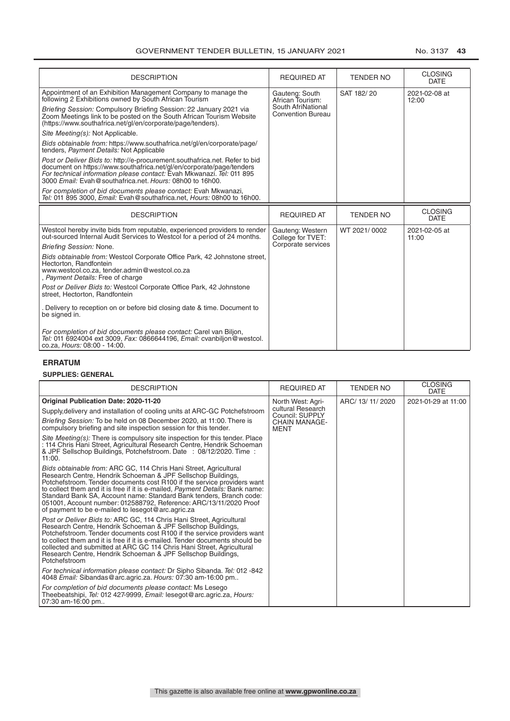# GOVERNMENT TENDER BULLETIN, 15 JANUARY 2021 No. 3137 43

| <b>DESCRIPTION</b>                                                                                                                                                                                                                                                                       | <b>REQUIRED AT</b>                                       | <b>TENDER NO</b> | <b>CLOSING</b><br><b>DATE</b> |
|------------------------------------------------------------------------------------------------------------------------------------------------------------------------------------------------------------------------------------------------------------------------------------------|----------------------------------------------------------|------------------|-------------------------------|
| Appointment of an Exhibition Management Company to manage the<br>following 2 Exhibitions owned by South African Tourism                                                                                                                                                                  | Gauteng: South<br>African Tourism:<br>South AfriNational | SAT 182/20       | 2021-02-08 at<br>12:00        |
| Briefing Session: Compulsory Briefing Session: 22 January 2021 via<br>Zoom Meetings link to be posted on the South African Tourism Website<br>(https://www.southafrica.net/gl/en/corporate/page/tenders).                                                                                | <b>Convention Bureau</b>                                 |                  |                               |
| Site Meeting(s): Not Applicable.                                                                                                                                                                                                                                                         |                                                          |                  |                               |
| Bids obtainable from: https://www.southafrica.net/gl/en/corporate/page/<br>tenders, Payment Details: Not Applicable                                                                                                                                                                      |                                                          |                  |                               |
| Post or Deliver Bids to: http://e-procurement.southafrica.net. Refer to bid<br>document on https://www.southafrica.net/gl/en/corporate/page/tenders<br>For technical information please contact: Evah Mkwanazi. Tel: 011 895<br>3000 Email: Evah@southafrica.net. Hours: 08h00 to 16h00. |                                                          |                  |                               |
| For completion of bid documents please contact: Evah Mkwanazi,<br>Tel: 011 895 3000, Email: Evah@southafrica.net, Hours: 08h00 to 16h00.                                                                                                                                                 |                                                          |                  |                               |
| <b>DESCRIPTION</b>                                                                                                                                                                                                                                                                       | <b>REQUIRED AT</b>                                       | <b>TENDER NO</b> | <b>CLOSING</b><br><b>DATE</b> |
| Westcol hereby invite bids from reputable, experienced providers to render<br>out-sourced Internal Audit Services to Westcol for a period of 24 months.                                                                                                                                  | Gauteng: Western<br>College for TVET:                    | WT 2021/0002     | 2021-02-05 at<br>11:00        |
| Briefing Session: None.                                                                                                                                                                                                                                                                  | Corporate services                                       |                  |                               |
| Bids obtainable from: Westcol Corporate Office Park, 42 Johnstone street,<br>Hectorton, Randfontein<br>www.westcol.co.za, tender.admin@westcol.co.za<br>, Payment Details: Free of charge                                                                                                |                                                          |                  |                               |
| Post or Deliver Bids to: Westcol Corporate Office Park, 42 Johnstone<br>street. Hectorton. Randfontein                                                                                                                                                                                   |                                                          |                  |                               |
| . Delivery to reception on or before bid closing date & time. Document to<br>be signed in.                                                                                                                                                                                               |                                                          |                  |                               |
| For completion of bid documents please contact: Carel van Biljon,<br>Tel: 011 6924004 ext 3009, Fax: 0866644196, Email: cvanbiljon@westcol.<br>co.za, Hours: 08:00 - 14:00.                                                                                                              |                                                          |                  |                               |

#### **ERRATUM**

# **SUPPLIES: GENERAL**

| <b>DESCRIPTION</b>                                                                                                                                                                                                                                                                                                                                                                                                                                                                                     | <b>REQUIRED AT</b>                   | <b>TENDER NO</b>  | <b>CLOSING</b><br><b>DATE</b> |
|--------------------------------------------------------------------------------------------------------------------------------------------------------------------------------------------------------------------------------------------------------------------------------------------------------------------------------------------------------------------------------------------------------------------------------------------------------------------------------------------------------|--------------------------------------|-------------------|-------------------------------|
| Original Publication Date: 2020-11-20                                                                                                                                                                                                                                                                                                                                                                                                                                                                  | North West: Agri-                    | ARC/ 13/ 11/ 2020 | 2021-01-29 at 11:00           |
| Supply, delivery and installation of cooling units at ARC-GC Potchefstroom                                                                                                                                                                                                                                                                                                                                                                                                                             | cultural Research<br>Council: SUPPLY |                   |                               |
| Briefing Session: To be held on 08 December 2020, at 11:00. There is<br>compulsory briefing and site inspection session for this tender.                                                                                                                                                                                                                                                                                                                                                               | <b>CHAIN MANAGE-</b><br><b>MENT</b>  |                   |                               |
| Site Meeting(s): There is compulsory site inspection for this tender. Place<br>: 114 Chris Hani Street, Agricultural Research Centre, Hendrik Schoeman<br>& JPF Sellschop Buildings, Potchefstroom. Date : 08/12/2020. Time :<br>11:00.                                                                                                                                                                                                                                                                |                                      |                   |                               |
| Bids obtainable from: ARC GC, 114 Chris Hani Street, Agricultural<br>Research Centre, Hendrik Schoeman & JPF Sellschop Buildings,<br>Potchefstroom. Tender documents cost R100 if the service providers want<br>to collect them and it is free if it is e-mailed, <i>Payment Details:</i> Bank name:<br>Standard Bank SA, Account name: Standard Bank tenders, Branch code:<br>051001, Account number: 012588792, Reference: ARC/13/11/2020 Proof<br>of payment to be e-mailed to lesegot@arc.agric.za |                                      |                   |                               |
| Post or Deliver Bids to: ARC GC, 114 Chris Hani Street, Agricultural<br>Research Centre, Hendrik Schoeman & JPF Sellschop Buildings,<br>Potchefstroom. Tender documents cost R100 if the service providers want<br>to collect them and it is free if it is e-mailed. Tender documents should be<br>collected and submitted at ARC GC 114 Chris Hani Street, Agricultural<br>Research Centre, Hendrik Schoeman & JPF Sellschop Buildings,<br>Potchefstroom                                              |                                      |                   |                               |
| For technical information please contact: Dr Sipho Sibanda. Tel: 012 -842<br>4048 Email: Sibandas@arc.agric.za. Hours: 07:30 am-16:00 pm                                                                                                                                                                                                                                                                                                                                                               |                                      |                   |                               |
| For completion of bid documents please contact: Ms Lesego<br>Theebeatshipi, Tel: 012 427-9999, Email: lesegot@arc.agric.za, Hours:<br>07:30 am-16:00 pm                                                                                                                                                                                                                                                                                                                                                |                                      |                   |                               |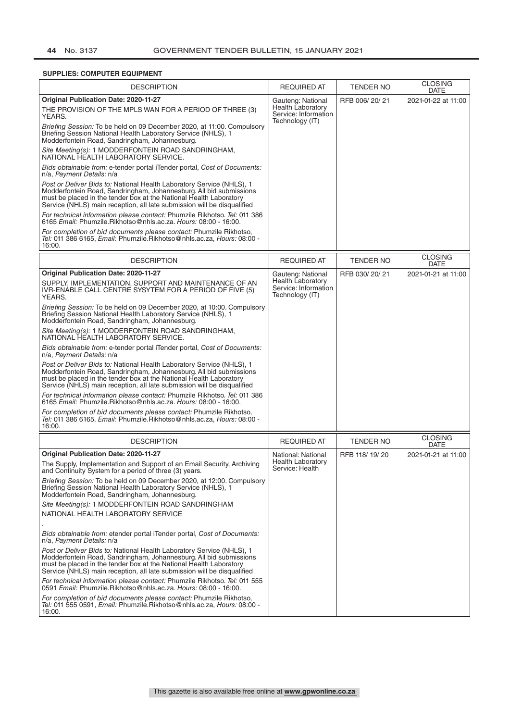# **SUPPLIES: COMPUTER EQUIPMENT**

| <b>DESCRIPTION</b>                                                                                                                                                                                                                                                                                                                                                                                                                                                                                                                                                                                                                                                                                                                                                                                                                                                                                                                                                                                                                                                                                                             | <b>REQUIRED AT</b>                                                                                             | <b>TENDER NO</b>                  | <b>CLOSING</b><br><b>DATE</b> |
|--------------------------------------------------------------------------------------------------------------------------------------------------------------------------------------------------------------------------------------------------------------------------------------------------------------------------------------------------------------------------------------------------------------------------------------------------------------------------------------------------------------------------------------------------------------------------------------------------------------------------------------------------------------------------------------------------------------------------------------------------------------------------------------------------------------------------------------------------------------------------------------------------------------------------------------------------------------------------------------------------------------------------------------------------------------------------------------------------------------------------------|----------------------------------------------------------------------------------------------------------------|-----------------------------------|-------------------------------|
| <b>Original Publication Date: 2020-11-27</b><br>THE PROVISION OF THE MPLS WAN FOR A PERIOD OF THREE (3)<br>YEARS.<br>Briefing Session: To be held on 09 December 2020, at 11:00. Compulsory<br>Briefing Session National Health Laboratory Service (NHLS), 1<br>Modderfontein Road, Sandringham, Johannesburg.<br>Site Meeting(s): 1 MODDERFONTEIN ROAD SANDRINGHAM,<br>NATIONAL HEALTH LABORATORY SERVICE.<br>Bids obtainable from: e-tender portal iTender portal, Cost of Documents:<br>n/a, Payment Details: n/a<br>Post or Deliver Bids to: National Health Laboratory Service (NHLS), 1<br>Modderfontein Road, Sandringham, Johannesburg. All bid submissions<br>must be placed in the tender box at the National Health Laboratory<br>Service (NHLS) main reception, all late submission will be disqualified<br>For technical information please contact: Phumzile Rikhotso. Tel: 011 386<br>6165 Email: Phumzile.Rikhotso@nhls.ac.za. Hours: 08:00 - 16:00.<br>For completion of bid documents please contact: Phumzile Rikhotso,<br>Tel: 011 386 6165, Email: Phumzile.Rikhotso@nhls.ac.za, Hours: 08:00 -<br>16:00. | Gauteng: National<br><b>Health Laboratory</b><br>Service: Information<br>Technology (IT)                       | RFB 006/20/21                     | 2021-01-22 at 11:00           |
|                                                                                                                                                                                                                                                                                                                                                                                                                                                                                                                                                                                                                                                                                                                                                                                                                                                                                                                                                                                                                                                                                                                                |                                                                                                                |                                   | <b>CLOSING</b>                |
| <b>DESCRIPTION</b><br><b>Original Publication Date: 2020-11-27</b><br>SUPPLY, IMPLEMENTATION, SUPPORT AND MAINTENANCE OF AN<br>IVR-ENABLE CALL CENTRE SYSYTEM FOR A PERIOD OF FIVE (5)<br>YEARS.<br>Briefing Session: To be held on 09 December 2020, at 10:00. Compulsory<br>Briefing Session National Health Laboratory Service (NHLS), 1                                                                                                                                                                                                                                                                                                                                                                                                                                                                                                                                                                                                                                                                                                                                                                                    | <b>REQUIRED AT</b><br>Gauteng: National<br><b>Health Laboratory</b><br>Service: Information<br>Technology (IT) | <b>TENDER NO</b><br>RFB 030/20/21 | DATE<br>2021-01-21 at 11:00   |
| Modderfontein Road, Sandringham, Johannesburg.<br>Site Meeting(s): 1 MODDERFONTEIN ROAD SANDRINGHAM,<br>NATIONAL HEALTH LABORATORY SERVICE.<br>Bids obtainable from: e-tender portal iTender portal, Cost of Documents:<br>n/a, Payment Details: n/a                                                                                                                                                                                                                                                                                                                                                                                                                                                                                                                                                                                                                                                                                                                                                                                                                                                                           |                                                                                                                |                                   |                               |
| Post or Deliver Bids to: National Health Laboratory Service (NHLS), 1<br>Modderfontein Road, Sandringham, Johannesburg. All bid submissions<br>must be placed in the tender box at the National Health Laboratory<br>Service (NHLS) main reception, all late submission will be disqualified<br>For technical information please contact: Phumzile Rikhotso. Tel: 011 386                                                                                                                                                                                                                                                                                                                                                                                                                                                                                                                                                                                                                                                                                                                                                      |                                                                                                                |                                   |                               |
| 6165 Email: Phumzile.Rikhotso@nhls.ac.za. Hours: 08:00 - 16:00.<br>For completion of bid documents please contact: Phumzile Rikhotso,<br>Tel: 011 386 6165, Email: Phumzile.Rikhotso@nhls.ac.za, Hours: 08:00 -<br>16:00.                                                                                                                                                                                                                                                                                                                                                                                                                                                                                                                                                                                                                                                                                                                                                                                                                                                                                                      |                                                                                                                |                                   |                               |
| <b>DESCRIPTION</b>                                                                                                                                                                                                                                                                                                                                                                                                                                                                                                                                                                                                                                                                                                                                                                                                                                                                                                                                                                                                                                                                                                             | <b>REQUIRED AT</b>                                                                                             | <b>TENDER NO</b>                  | <b>CLOSING</b><br><b>DATE</b> |
| <b>Original Publication Date: 2020-11-27</b><br>The Supply, Implementation and Support of an Email Security, Archiving<br>and Continuity System for a period of three (3) years.<br>Briefing Session: To be held on 09 December 2020, at 12:00. Compulsory<br>Briefing Session National Health Laboratory Service (NHLS), 1<br>Modderfontein Road, Sandringham, Johannesburg.<br>Site Meeting(s): 1 MODDERFONTEIN ROAD SANDRINGHAM<br>NATIONAL HEALTH LABORATORY SERVICE                                                                                                                                                                                                                                                                                                                                                                                                                                                                                                                                                                                                                                                       | National: National<br><b>Health Laboratory</b><br>Service: Health                                              | RFB 118/19/20                     | 2021-01-21 at 11:00           |
| Bids obtainable from: etender portal iTender portal, Cost of Documents:<br>n/a, Payment Details: n/a<br>Post or Deliver Bids to: National Health Laboratory Service (NHLS), 1<br>Modderfontein Road, Sandringham, Johannesburg. All bid submissions<br>must be placed in the tender box at the National Health Laboratory<br>Service (NHLS) main reception, all late submission will be disqualified<br>For technical information please contact: Phumzile Rikhotso. Tel: 011 555<br>0591 Email: Phumzile.Rikhotso@nhls.ac.za. Hours: 08:00 - 16:00.<br>For completion of bid documents please contact: Phumzile Rikhotso,<br>Tel: 011 555 0591, Email: Phumzile.Rikhotso@nhls.ac.za, Hours: 08:00 -<br>16:00.                                                                                                                                                                                                                                                                                                                                                                                                                 |                                                                                                                |                                   |                               |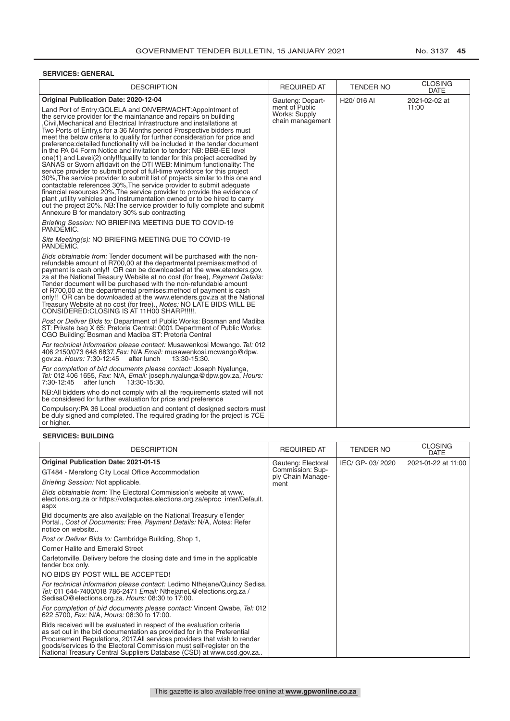# **SERVICES: GENERAL**

| <b>DESCRIPTION</b>                                                                                                                                                                                                                                                                                                                                                                                                                                                                                                                                                                                                                                                                                                                                                                                                                                                                                                                                                                                                                                                                                                                                                                                                                          | <b>REQUIRED AT</b>                                                      | <b>TENDER NO</b> | <b>CLOSING</b><br><b>DATE</b> |
|---------------------------------------------------------------------------------------------------------------------------------------------------------------------------------------------------------------------------------------------------------------------------------------------------------------------------------------------------------------------------------------------------------------------------------------------------------------------------------------------------------------------------------------------------------------------------------------------------------------------------------------------------------------------------------------------------------------------------------------------------------------------------------------------------------------------------------------------------------------------------------------------------------------------------------------------------------------------------------------------------------------------------------------------------------------------------------------------------------------------------------------------------------------------------------------------------------------------------------------------|-------------------------------------------------------------------------|------------------|-------------------------------|
| Original Publication Date: 2020-12-04<br>Land Port of Entry: GOLELA and ONVERWACHT: Appointment of<br>the service provider for the maintanance and repairs on building<br>Civil, Mechanical and Electrical Infrastructure and installations at<br>Two Ports of Entry, s for a 36 Months period Prospective bidders must<br>meet the below criteria to qualify for further consideration for price and<br>preference: detailed functionality will be included in the tender document<br>in the PA 04 Form Notice and invitation to tender: NB: BBB-EE level<br>one(1) and Level(2) only!!!qualify to tender for this project accredited by<br>SANAS or Sworn affidavit on the DTI WEB: Minimum functionality: The<br>service provider to submitt proof of full-time workforce for this project<br>30%. The service provider to submit list of projects similar to this one and<br>contactable references 30%, The service provider to submit adequate<br>financial resources 20%, The service provider to provide the evidence of<br>plant, utility vehicles and instrumentation owned or to be hired to carry<br>out the project 20%. NB: The service provider to fully complete and submit<br>Annexure B for mandatory 30% sub contracting | Gauteng: Depart-<br>ment of Public<br>Works: Supply<br>chain management | H20/016 AI       | 2021-02-02 at<br>11:00        |
| Briefing Session: NO BRIEFING MEETING DUE TO COVID-19<br>PANDĒMIC.                                                                                                                                                                                                                                                                                                                                                                                                                                                                                                                                                                                                                                                                                                                                                                                                                                                                                                                                                                                                                                                                                                                                                                          |                                                                         |                  |                               |
| Site Meeting(s): NO BRIEFING MEETING DUE TO COVID-19<br>PANDEMIC.                                                                                                                                                                                                                                                                                                                                                                                                                                                                                                                                                                                                                                                                                                                                                                                                                                                                                                                                                                                                                                                                                                                                                                           |                                                                         |                  |                               |
| Bids obtainable from: Tender document will be purchased with the non-<br>refundable amount of R700,00 at the departmental premises: method of<br>payment is cash only!! OR can be downloaded at the www.etenders.gov.<br>za at the National Treasury Website at no cost (for free), Payment Details:<br>Tender document will be purchased with the non-refundable amount<br>of R700,00 at the departmental premises: method of payment is cash<br>only!! OR can be downloaded at the www.etenders.gov.za at the National<br>Treasury Website at no cost (for free)., Notes: NO LATE BIDS WILL BE<br>CONSIDERED: CLOSING IS AT 11H00 SHARP!!!!!.                                                                                                                                                                                                                                                                                                                                                                                                                                                                                                                                                                                             |                                                                         |                  |                               |
| Post or Deliver Bids to: Department of Public Works: Bosman and Madiba<br>ST: Private bag X 65: Pretoria Central: 0001. Department of Public Works:<br>CGO Building: Bosman and Madiba ST: Pretoria Central                                                                                                                                                                                                                                                                                                                                                                                                                                                                                                                                                                                                                                                                                                                                                                                                                                                                                                                                                                                                                                 |                                                                         |                  |                               |
| For technical information please contact: Musawenkosi Mcwango. Tel: 012<br>406 2150/073 648 6837. Fax: N/A Email: musawenkosi.mcwango@dpw.<br>gov.za. Hours: 7:30-12:45<br>after lunch<br>13:30-15:30.                                                                                                                                                                                                                                                                                                                                                                                                                                                                                                                                                                                                                                                                                                                                                                                                                                                                                                                                                                                                                                      |                                                                         |                  |                               |
| For completion of bid documents please contact: Joseph Nyalunga,<br>Tel: 012 406 1655, Fax: N/A, Email: joseph.nyalunga@dpw.gov.za, Hours:<br>after lunch<br>7:30-12:45<br>13:30-15:30.                                                                                                                                                                                                                                                                                                                                                                                                                                                                                                                                                                                                                                                                                                                                                                                                                                                                                                                                                                                                                                                     |                                                                         |                  |                               |
| NB:All bidders who do not comply with all the requirements stated will not<br>be considered for further evaluation for price and preference                                                                                                                                                                                                                                                                                                                                                                                                                                                                                                                                                                                                                                                                                                                                                                                                                                                                                                                                                                                                                                                                                                 |                                                                         |                  |                               |
| Compulsory: PA 36 Local production and content of designed sectors must<br>be duly signed and completed. The required grading for the project is 7CE<br>or higher.                                                                                                                                                                                                                                                                                                                                                                                                                                                                                                                                                                                                                                                                                                                                                                                                                                                                                                                                                                                                                                                                          |                                                                         |                  |                               |

# **SERVICES: BUILDING**

| <b>DESCRIPTION</b>                                                                                                                                                                                                                                                                                                                                                           | <b>REQUIRED AT</b>        | TENDER NO         | <b>CLOSING</b><br><b>DATE</b> |
|------------------------------------------------------------------------------------------------------------------------------------------------------------------------------------------------------------------------------------------------------------------------------------------------------------------------------------------------------------------------------|---------------------------|-------------------|-------------------------------|
| <b>Original Publication Date: 2021-01-15</b>                                                                                                                                                                                                                                                                                                                                 | Gauteng: Electoral        | IEC/ GP- 03/ 2020 | 2021-01-22 at 11:00           |
| GT484 - Merafong City Local Office Accommodation                                                                                                                                                                                                                                                                                                                             | Commission: Sup-          |                   |                               |
| Briefing Session: Not applicable.                                                                                                                                                                                                                                                                                                                                            | ply Chain Manage-<br>ment |                   |                               |
| Bids obtainable from: The Electoral Commission's website at www.<br>elections.org.za or https://votaquotes.elections.org.za/eproc_inter/Default.<br>aspx                                                                                                                                                                                                                     |                           |                   |                               |
| Bid documents are also available on the National Treasury eTender<br>Portal., Cost of Documents: Free, Payment Details: N/A, Notes: Refer<br>notice on website                                                                                                                                                                                                               |                           |                   |                               |
| Post or Deliver Bids to: Cambridge Building, Shop 1,                                                                                                                                                                                                                                                                                                                         |                           |                   |                               |
| Corner Halite and Emerald Street                                                                                                                                                                                                                                                                                                                                             |                           |                   |                               |
| Carletonville. Delivery before the closing date and time in the applicable<br>tender box only.                                                                                                                                                                                                                                                                               |                           |                   |                               |
| NO BIDS BY POST WILL BE ACCEPTED!                                                                                                                                                                                                                                                                                                                                            |                           |                   |                               |
| For technical information please contact: Ledimo Nthejane/Quincy Sedisa.<br>Tel: 011 644-7400/018 786-2471 Email: NthejaneL@elections.org.za /<br>SedisaO@elections.org.za. Hours: 08:30 to 17:00.                                                                                                                                                                           |                           |                   |                               |
| For completion of bid documents please contact: Vincent Qwabe, Tel: 012<br>622 5700, Fax: N/A, Hours: 08:30 to 17:00.                                                                                                                                                                                                                                                        |                           |                   |                               |
| Bids received will be evaluated in respect of the evaluation criteria<br>as set out in the bid documentation as provided for in the Preferential<br>Procurement Regulations, 2017.All services providers that wish to render<br>goods/services to the Electoral Commission must self-register on the<br>National Treasury Central Suppliers Database (CSD) at www.csd.gov.za |                           |                   |                               |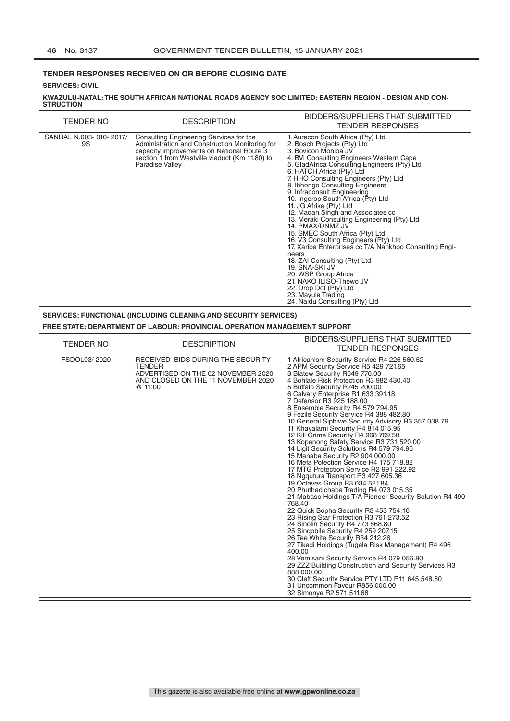# **TENDER RESPONSES RECEIVED ON OR BEFORE CLOSING DATE**

# **SERVICES: CIVIL**

#### **KWAZULU-NATAL: THE SOUTH AFRICAN NATIONAL ROADS AGENCY SOC LIMITED: EASTERN REGION - DESIGN AND CON-STRUCTION**

| TENDER NO                    | <b>DESCRIPTION</b>                                                                                                                                                                                          | BIDDERS/SUPPLIERS THAT SUBMITTED<br>TENDER RESPONSES                                                                                                                                                                                                                                                                                                                                                                                                                                                                                                                                                                                                                                                                                                                                                                                        |
|------------------------------|-------------------------------------------------------------------------------------------------------------------------------------------------------------------------------------------------------------|---------------------------------------------------------------------------------------------------------------------------------------------------------------------------------------------------------------------------------------------------------------------------------------------------------------------------------------------------------------------------------------------------------------------------------------------------------------------------------------------------------------------------------------------------------------------------------------------------------------------------------------------------------------------------------------------------------------------------------------------------------------------------------------------------------------------------------------------|
| SANRAL N.003-010-2017/<br>9S | Consulting Engineering Services for the<br>Administration and Construction Monitoring for<br>capacity improvements on National Route 3<br>section 1 from Westville viaduct (Km 11.80) to<br>Paradise Valley | 1. Aurecon South Africa (Pty) Ltd<br>2. Bosch Projects (Pty) Ltd<br>3. Bovicon Mohloa JV<br>4. BVi Consulting Engineers Western Cape<br>5. GladAfrica Consulting Engineers (Pty) Ltd<br>6. HATCH Africa (Pty) Ltd<br>7. HHO Consulting Engineers (Pty) Ltd<br>8. Ibhongo Consulting Engineers<br>9. Infraconsult Engineering<br>10. Ingerop South Africa (Pty) Ltd<br>11. JG Afrika (Pty) Ltd<br>12. Madan Singh and Associates cc<br>13. Meraki Consulting Engineering (Pty) Ltd<br>14. PMAX/DNMZ JV<br>15. SMEC South Africa (Pty) Ltd<br>16. V3 Consulting Engineers (Pty) Ltd<br>17. Xariba Enterprises cc T/A Nankhoo Consulting Engi-<br>neers<br>18. ZAI Consulting (Pty) Ltd<br>19. SNA-SKI JV<br>20. WSP Group Africa<br>21. NAKO ILISO-Thewo JV<br>22. Drop Dot (Pty) Ltd<br>23. Mayula Trading<br>24. Naidu Consulting (Pty) Ltd |

# **SERVICES: FUNCTIONAL (INCLUDING CLEANING AND SECURITY SERVICES)**

#### **FREE STATE: DEPARTMENT OF LABOUR: PROVINCIAL OPERATION MANAGEMENT SUPPORT**

| <b>TENDER NO</b> | <b>DESCRIPTION</b>                                                                                                                        | BIDDERS/SUPPLIERS THAT SUBMITTED<br><b>TENDER RESPONSES</b>                                                                                                                                                                                                                                                                                                                                                                                                                                                                                                                                                                                                                                                                                                                                                                                                                                                                                                                                                                                                                                                                                                                                                                                                                                                                                                                                                    |
|------------------|-------------------------------------------------------------------------------------------------------------------------------------------|----------------------------------------------------------------------------------------------------------------------------------------------------------------------------------------------------------------------------------------------------------------------------------------------------------------------------------------------------------------------------------------------------------------------------------------------------------------------------------------------------------------------------------------------------------------------------------------------------------------------------------------------------------------------------------------------------------------------------------------------------------------------------------------------------------------------------------------------------------------------------------------------------------------------------------------------------------------------------------------------------------------------------------------------------------------------------------------------------------------------------------------------------------------------------------------------------------------------------------------------------------------------------------------------------------------------------------------------------------------------------------------------------------------|
| FSDOL03/2020     | RECEIVED BIDS DURING THE SECURITY<br><b>TENDER</b><br>ADVERTISED ON THE 02 NOVEMBER 2020<br>AND CLOSED ON THE 11 NOVEMBER 2020<br>@ 11:00 | 1 Africanism Security Service R4 226 560.52<br>2 APM Security Service R5 429 721.65<br>3 Blatew Security R649 776.00<br>4 Bohlale Risk Protection R3 982 430.40<br>5 Buffalo Security R745 200.00<br>6 Calvary Enterprise R1 633 391.18<br>7 Defensor R3 925 188.00<br>8 Ensemble Security R4 579 794.95<br>9 Fezile Security Service R4 388 482.80<br>10 General Siphiwe Security Advisory R3 357 038.79<br>11 Khayalami Security R4 814 015.95<br>12 Kill Crime Security R4 968 769.50<br>13 Kopanong Safety Service R3 731 520.00<br>14 Ligit Security Solutions R4 579 794.96<br>15 Manaba Security R2 904 000.00<br>16 Mefa Potection Service R4 175 718.82<br>17 MTG Protection Service R2 991 222.92<br>18 Ngqutura Transport R3 427 605.36<br>19 Octaves Group R3 034 521.84<br>20 Phuthadichaba Trading R4 073 015.35<br>21 Mabaso Holdings T/A Pioneer Security Solution R4 490<br>768.40<br>22 Quick Bopha Security R3 453 754.16<br>23 Rising Star Protection R3 761 273.52<br>24 Sinolin Security R4 773 868.80<br>25 Singobile Security R4 259 207.15<br>26 Tee White Security R34 212.26<br>27 Tikedi Holdings (Tugela Risk Management) R4 496<br>400.00<br>28 Vemisani Security Service R4 079 056.80<br>29 ZZZ Building Construction and Security Services R3<br>888 000.00<br>30 Cleft Security Service PTY LTD R11 645 548.80<br>31 Uncommon Favour R856 000.00<br>32 Simonye R2 571 511.68 |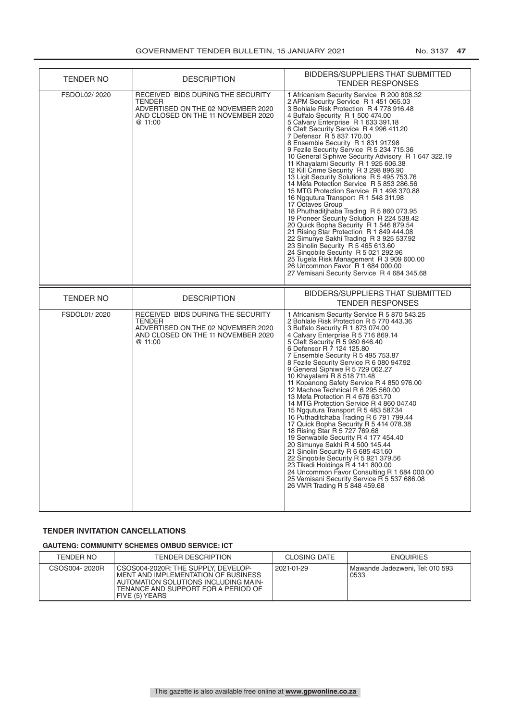# GOVERNMENT TENDER BULLETIN, 15 JANUARY 2021 No. 3137 47

| <b>TENDER NO</b> | <b>DESCRIPTION</b>                                                                                                                        | BIDDERS/SUPPLIERS THAT SUBMITTED<br><b>TENDER RESPONSES</b>                                                                                                                                                                                                                                                                                                                                                                                                                                                                                                                                                                                                                                                                                                                                                                                                                                                                                                                                                                                                                                                                                            |
|------------------|-------------------------------------------------------------------------------------------------------------------------------------------|--------------------------------------------------------------------------------------------------------------------------------------------------------------------------------------------------------------------------------------------------------------------------------------------------------------------------------------------------------------------------------------------------------------------------------------------------------------------------------------------------------------------------------------------------------------------------------------------------------------------------------------------------------------------------------------------------------------------------------------------------------------------------------------------------------------------------------------------------------------------------------------------------------------------------------------------------------------------------------------------------------------------------------------------------------------------------------------------------------------------------------------------------------|
| FSDOL02/2020     | RECEIVED BIDS DURING THE SECURITY<br>TENDER<br>ADVERTISED ON THE 02 NOVEMBER 2020<br>AND CLOSED ON THE 11 NOVEMBER 2020<br>@11:00         | 1 Africanism Security Service R 200 808.32<br>2 APM Security Service R 1 451 065.03<br>3 Bohlale Risk Protection R 4 778 916.48<br>4 Buffalo Security R 1 500 474.00<br>5 Calvary Enterprise R 1 633 391.18<br>6 Cleft Security Service R 4 996 411.20<br>7 Defensor R 5 837 170.00<br>8 Ensemble Security R 1 831 917.98<br>9 Fezile Security Service R 5 234 715.36<br>10 General Siphiwe Security Advisory R 1 647 322.19<br>11 Khayalami Security R 1 925 606.38<br>12 Kill Crime Security R 3 298 896.90<br>13 Ligit Security Solutions R 5 495 753.76<br>14 Mefa Potection Service R 5 853 286.56<br>15 MTG Protection Service R 1 498 370.88<br>16 Ngqutura Transport R 1 548 311.98<br>17 Octaves Group<br>18 Phuthaditjhaba Trading R 5 860 073.95<br>19 Pioneer Security Solution R 224 538.42<br>20 Quick Bopha Security R 1 546 879.54<br>21 Rising Star Protection R 1 849 444.08<br>22 Simunye Sakhi Trading R 3 925 537.92<br>23 Sinolin Security R 5 465 613.60<br>24 Singobile Security R 5 021 292.96<br>25 Tugela Risk Management R 3 909 600.00<br>26 Uncommon Favor R 1 684 000.00<br>27 Vemisani Security Service R 4 684 345.68 |
| <b>TENDER NO</b> | <b>DESCRIPTION</b>                                                                                                                        | BIDDERS/SUPPLIERS THAT SUBMITTED<br><b>TENDER RESPONSES</b>                                                                                                                                                                                                                                                                                                                                                                                                                                                                                                                                                                                                                                                                                                                                                                                                                                                                                                                                                                                                                                                                                            |
| FSDOL01/2020     | RECEIVED BIDS DURING THE SECURITY<br><b>TENDER</b><br>ADVERTISED ON THE 02 NOVEMBER 2020<br>AND CLOSED ON THE 11 NOVEMBER 2020<br>@ 11:00 | 1 Africanism Security Service R 5 870 543.25<br>2 Bohlale Risk Protection R 5 770 443.36<br>3 Buffalo Security R 1 873 074.00<br>4 Calvary Enterprise R 5 716 869.14<br>5 Cleft Security R 5 980 646.40<br>6 Defensor R 7 124 125.80<br>7 Ensemble Security R 5 495 753.87<br>8 Fezile Security Service R 6 080 947.92<br>9 General Siphiwe R 5 729 062.27<br>10 Khayalami R 8 518 711.48<br>11 Kopanong Safety Service R 4 850 976.00<br>12 Machoe Technical R 6 295 560.00<br>13 Mefa Protection R 4 676 631.70<br>14 MTG Protection Service R 4 860 047.40<br>15 Ngqutura Transport R 5 483 587.34<br>16 Puthaditchaba Trading R 6 791 799.44<br>17 Quick Bopha Security R 5 414 078.38<br>18 Rising Star R 5 727 769.68<br>19 Senwabile Security R 4 177 454.40<br>20 Simunye Sakhi R 4 500 145.44<br>21 Sinolin Security R 6 685 431.60<br>22 Singobile Security R 5 921 379.56<br>23 Tikedi Holdings R 4 141 800.00<br>24 Uncommon Favor Consulting R 1 684 000.00<br>25 Vemisani Security Service R 5 537 686.08<br>26 VMR Trading R 5 848 459.68                                                                                               |

# **TENDER INVITATION CANCELLATIONS**

#### **GAUTENG: COMMUNITY SCHEMES OMBUD SERVICE: ICT**

| TENDER NO     | <b>TENDER DESCRIPTION</b>                                                                                                                                                   | <b>CLOSING DATE</b> | <b>ENQUIRIES</b>                        |
|---------------|-----------------------------------------------------------------------------------------------------------------------------------------------------------------------------|---------------------|-----------------------------------------|
| CSOS004-2020R | CSOS004-2020R: THE SUPPLY. DEVELOP-<br>MENT AND IMPLEMENTATION OF BUSINESS<br>AUTOMATION SOLUTIONS INCLUDING MAIN-<br>TENANCE AND SUPPORT FOR A PERIOD OF<br>FIVE (5) YEARS | 2021-01-29          | Mawande Jadezweni, Tel: 010 593<br>0533 |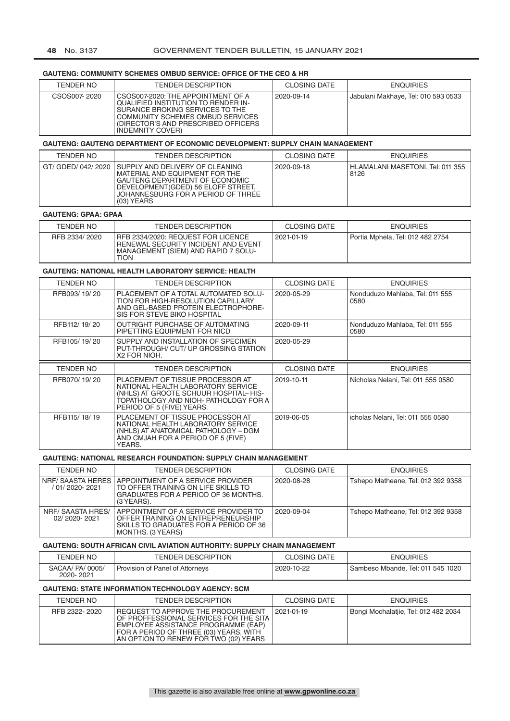# **GAUTENG: COMMUNITY SCHEMES OMBUD SERVICE: OFFICE OF THE CEO & HR**

| TENDER NO    | <b>TENDER DESCRIPTION</b>                                                                                                                                                                                   | <b>CLOSING DATE</b> | <b>ENQUIRIES</b>                    |
|--------------|-------------------------------------------------------------------------------------------------------------------------------------------------------------------------------------------------------------|---------------------|-------------------------------------|
| CSOS007-2020 | CSOS007-2020: THE APPOINTMENT OF A<br>QUALIFIED INSTITUTION TO RENDER IN-<br>SURANCE BROKING SERVICES TO THE<br>COMMUNITY SCHEMES OMBUD SERVICES<br>(DIRECTOR'S AND PRESCRIBED OFFICERS<br>INDEMNITY COVER) | 2020-09-14          | Jabulani Makhaye, Tel: 010 593 0533 |

#### **GAUTENG: GAUTENG DEPARTMENT OF ECONOMIC DEVELOPMENT: SUPPLY CHAIN MANAGEMENT**

| TENDER NO | <b>TENDER DESCRIPTION</b>                                                                                                                                                                                                    | <b>CLOSING DATE</b> | <b>ENQUIRIES</b>                         |
|-----------|------------------------------------------------------------------------------------------------------------------------------------------------------------------------------------------------------------------------------|---------------------|------------------------------------------|
|           | GT/ GDED/ 042/ 2020   SUPPLY AND DELIVERY OF CLEANING<br>MATERIAL AND EQUIPMENT FOR THE<br><b>GAUTENG DEPARTMENT OF ECONOMIC</b><br>DEVELOPMENT(GDED) 56 ELOFF STREET.<br>JOHANNESBURG FOR A PERIOD OF THREE<br>$(03)$ YEARS | 2020-09-18          | HLAMALANI MASETONI. Tel: 011 355<br>8126 |

#### **GAUTENG: GPAA: GPAA**

| TENDER NO     | TENDER DESCRIPTION                                                                                                              | <b>CLOSING DATE</b> | <b>ENQUIRIES</b>                              |
|---------------|---------------------------------------------------------------------------------------------------------------------------------|---------------------|-----------------------------------------------|
| RFB 2334/2020 | RFB 2334/2020: REQUEST FOR LICENCE<br>RENEWAL SECURITY INCIDENT AND EVENT<br>MANAGEMENT (SIEM) AND RAPID 7 SOLU-<br><b>TION</b> | 2021-01-19          | <sup>1</sup> Portia Mphela, Tel: 012 482 2754 |

#### **GAUTENG: NATIONAL HEALTH LABORATORY SERVICE: HEALTH**

| TENDER NO    | <b>TENDER DESCRIPTION</b>                                                                                                                                                             | <b>CLOSING DATE</b>                                   | <b>ENQUIRIES</b>                        |
|--------------|---------------------------------------------------------------------------------------------------------------------------------------------------------------------------------------|-------------------------------------------------------|-----------------------------------------|
| RFB093/19/20 | PLACEMENT OF A TOTAL AUTOMATED SOLU-<br>2020-05-29<br>TION FOR HIGH-RESOLUTION CAPILLARY<br>AND GEL-BASED PROTEIN ELECTROPHORE-<br>SIS FOR STEVE BIKO HOSPITAL                        |                                                       | Nonduduzo Mahlaba, Tel: 011 555<br>0580 |
| RFB112/19/20 | OUTRIGHT PURCHASE OF AUTOMATING<br>PIPETTING EQUIPMENT FOR NICD                                                                                                                       | 2020-09-11<br>Nonduduzo Mahlaba, Tel: 011 555<br>0580 |                                         |
| RFB105/19/20 | SUPPLY AND INSTALLATION OF SPECIMEN<br>PUT-THROUGH/ CUT/ UP GROSSING STATION<br>X <sub>2</sub> FOR NIOH.                                                                              |                                                       |                                         |
| TENDER NO    | <b>TENDER DESCRIPTION</b>                                                                                                                                                             |                                                       | <b>ENQUIRIES</b>                        |
| RFB070/19/20 | PLACEMENT OF TISSUE PROCESSOR AT<br>NATIONAL HEALTH LABORATORY SERVICE<br>(NHLS) AT GROOTE SCHUUR HOSPITAL HIS-<br>TOPATHOLOGY AND NIOH- PATHOLOGY FOR A<br>PERIOD OF 5 (FIVE) YEARS. |                                                       | Nicholas Nelani, Tel: 011 555 0580      |
| RFB115/18/19 | PLACEMENT OF TISSUE PROCESSOR AT<br>NATIONAL HEALTH LABORATORY SERVICE<br>(NHLS) AT ANATOMICAL PATHOLOGY – DGM<br>AND CMJAH FOR A PERIOD OF 5 (FIVE)<br>YEARS.                        | 2019-06-05                                            | icholas Nelani, Tel: 011 555 0580       |

#### **GAUTENG: NATIONAL RESEARCH FOUNDATION: SUPPLY CHAIN MANAGEMENT**

| <b>TENDER NO</b>                        | <b>TENDER DESCRIPTION</b>                                                                                                                 |            | <b>ENQUIRIES</b>                   |
|-----------------------------------------|-------------------------------------------------------------------------------------------------------------------------------------------|------------|------------------------------------|
| NRF/ SAASTA HERES I<br>/ 01/ 2020- 2021 | APPOINTMENT OF A SERVICE PROVIDER<br>TO OFFER TRAINING ON LIFE SKILLS TO<br><b>GRADUATES FOR A PERIOD OF 36 MONTHS.</b><br>$(3$ YEARS).   | 2020-08-28 | Tshepo Matheane, Tel: 012 392 9358 |
| NRF/ SAASTA HRES/<br>02/2020-2021       | APPOINTMENT OF A SERVICE PROVIDER TO<br>OFFER TRAINING ON ENTREPRENEURSHIP<br>SKILLS TO GRADUATES FOR A PERIOD OF 36<br>MONTHS, (3 YEARS) | 2020-09-04 | Tshepo Matheane, Tel: 012 392 9358 |

#### **GAUTENG: SOUTH AFRICAN CIVIL AVIATION AUTHORITY: SUPPLY CHAIN MANAGEMENT**

| TENDER NO                     | <b>TENDER DESCRIPTION</b>       | <b>CLOSING DATE</b> | <b>ENQUIRIES</b>                  |
|-------------------------------|---------------------------------|---------------------|-----------------------------------|
| SACAA/ PA/ 0005/<br>2020-2021 | Provision of Panel of Attorneys | 2020-10-22          | Sambeso Mbande, Tel: 011 545 1020 |

#### **GAUTENG: STATE INFORMATION TECHNOLOGY AGENCY: SCM**

| TENDER NO     | <b>TENDER DESCRIPTION</b>                                                                                                                                                                                | <b>CLOSING DATE</b> | <b>ENQUIRIES</b>                     |
|---------------|----------------------------------------------------------------------------------------------------------------------------------------------------------------------------------------------------------|---------------------|--------------------------------------|
| RFB 2322-2020 | I REQUEST TO APPROVE THE PROCUREMENT<br>OF PROFFESSIONAL SERVICES FOR THE SITA<br>EMPLOYEE ASSISTANCE PROGRAMME (EAP)<br>FOR A PERIOD OF THREE (03) YEARS. WITH<br>AN OPTION TO RENEW FOR TWO (02) YEARS | 2021-01-19          | Bongi Mochalatjie, Tel: 012 482 2034 |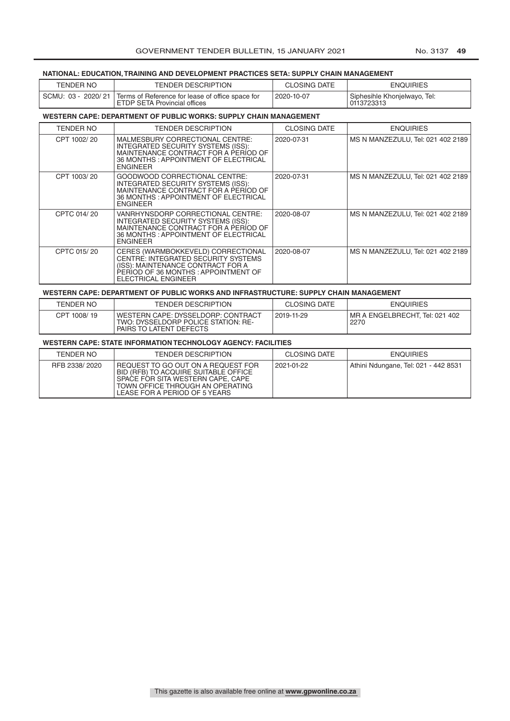# **NATIONAL: EDUCATION, TRAINING AND DEVELOPMENT PRACTICES SETA: SUPPLY CHAIN MANAGEMENT**

| TENDER DESCRIPTION<br>TENDER NO |                                                                                                       | <b>CLOSING DATE</b> | <b>ENQUIRIES</b>                           |
|---------------------------------|-------------------------------------------------------------------------------------------------------|---------------------|--------------------------------------------|
|                                 | SCMU: 03 - 2020/21   Terms of Reference for lease of office space for<br>ETDP SETA Provincial offices | 2020-10-07          | Siphesihle Khonjelwayo, Tel:<br>0113723313 |

## **WESTERN CAPE: DEPARTMENT OF PUBLIC WORKS: SUPPLY CHAIN MANAGEMENT**

| TENDER NO   | <b>TENDER DESCRIPTION</b>                                                                                                                                                           | <b>CLOSING DATE</b> | <b>ENQUIRIES</b>                  |
|-------------|-------------------------------------------------------------------------------------------------------------------------------------------------------------------------------------|---------------------|-----------------------------------|
| CPT 1002/20 | MALMESBURY CORRECTIONAL CENTRE:<br>INTEGRATED SECURITY SYSTEMS (ISS):<br>MAINTENANCE CONTRACT FOR A PERÍOD OF<br>36 MONTHS: APPOINTMENT OF ELECTRICAL<br><b>ENGINEER</b>            | 2020-07-31          | MS N MANZEZULU, Tel: 021 402 2189 |
| CPT 1003/20 | GOODWOOD CORRECTIONAL CENTRE:<br>INTEGRATED SECURITY SYSTEMS (ISS):<br>MAINTENANCE CONTRACT FOR A PERÍOD OF<br>36 MONTHS: APPOINTMENT OF ELECTRICAL<br><b>ENGINEER</b>              | 2020-07-31          | MS N MANZEZULU, Tel: 021 402 2189 |
| CPTC 014/20 | VANRHYNSDORP CORRECTIONAL CENTRE:<br>INTEGRATED SECURITY SYSTEMS (ISS):<br>MAINTENANCE CONTRACT FOR A PERIOD OF<br>36 MONTHS: APPOINTMENT OF ELECTRICAL<br><b>ENGINEER</b>          | 2020-08-07          | MS N MANZEZULU, Tel: 021 402 2189 |
| CPTC 015/20 | CERES (WARMBOKKEVELD) CORRECTIONAL<br>CENTRE: INTEGRATED SECURITY SYSTEMS<br>(ISS): MAINTENANCE CONTRACT FOR A<br>PERIOD OF 36 MONTHS: APPOINTMENT OF<br><b>ELECTRICAL ENGINEER</b> | 2020-08-07          | MS N MANZEZULU, Tel: 021 402 2189 |

#### **WESTERN CAPE: DEPARTMENT OF PUBLIC WORKS AND INFRASTRUCTURE: SUPPLY CHAIN MANAGEMENT**

| TENDER NO   | <b>TENDER DESCRIPTION</b>                                                                             | <b>CLOSING DATE</b> | <b>ENQUIRIES</b>                       |
|-------------|-------------------------------------------------------------------------------------------------------|---------------------|----------------------------------------|
| CPT 1008/19 | WESTERN CAPE: DYSSELDORP: CONTRACT:<br>TWO: DYSSELDORP POLICE STATION: RE-<br>PAIRS TO LATENT DEFECTS | 2019-11-29          | MR A ENGELBRECHT. Tel: 021 402<br>2270 |

#### **WESTERN CAPE: STATE INFORMATION TECHNOLOGY AGENCY: FACILITIES**

| TENDER NO     | <b>TENDER DESCRIPTION</b>                                                                                                                                                            | <b>CLOSING DATE</b> | <b>ENQUIRIES</b>                                  |
|---------------|--------------------------------------------------------------------------------------------------------------------------------------------------------------------------------------|---------------------|---------------------------------------------------|
| RFB 2338/2020 | REQUEST TO GO OUT ON A REQUEST FOR<br>BID (RFB) TO ACQUIRE SUITABLE OFFICE<br>SPACE FOR SITA WESTERN CAPE, CAPE<br>TOWN OFFICE THROUGH AN OPERATING<br>LEASE FOR A PERIOD OF 5 YEARS | 2021-01-22          | <sup>1</sup> Athini Ndungane, Tel: 021 - 442 8531 |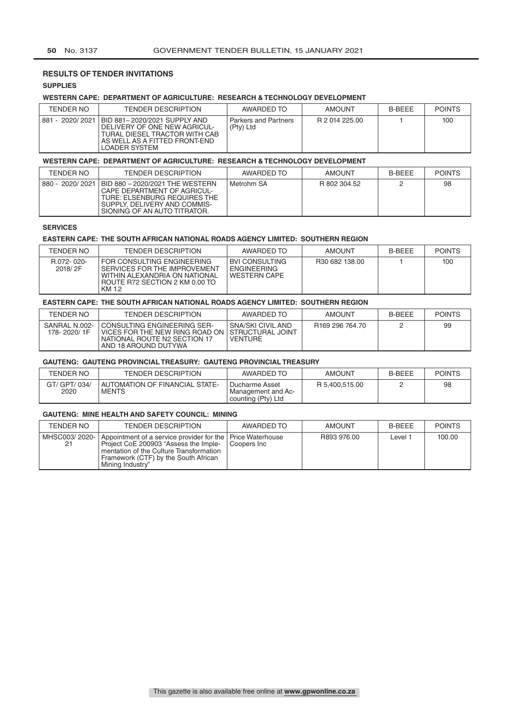#### **RESULTS OF TENDER INVITATIONS**

#### **SUPPLIES**

#### **WESTERN CAPE: DEPARTMENT OF AGRICULTURE: RESEARCH & TECHNOLOGY DEVELOPMENT**

| TENDER NO        | <b>TENDER DESCRIPTION</b>                                                                                                                       | AWARDED TO                               | <b>AMOUNT</b>  | <b>B-BEEE</b> | <b>POINTS</b> |
|------------------|-------------------------------------------------------------------------------------------------------------------------------------------------|------------------------------------------|----------------|---------------|---------------|
| 881 - 2020/ 2021 | BID 881-2020/2021 SUPPLY AND<br>DELIVERY OF ONE NEW AGRICUL-<br>TURAL DIESEL TRACTOR WITH CAB<br>AS WELL AS A FITTED FRONT-END<br>LOADER SYSTEM | <b>Parkers and Partners</b><br>(Pty) Ltd | R 2 014 225.00 |               | 100           |

#### **WESTERN CAPE: DEPARTMENT OF AGRICULTURE: RESEARCH & TECHNOLOGY DEVELOPMENT**

| TENDER NO       | <b>TENDER DESCRIPTION</b>                                                                                                                                      | AWARDED TO | <b>AMOUNT</b> | <b>B-BEEE</b> | <b>POINTS</b> |
|-----------------|----------------------------------------------------------------------------------------------------------------------------------------------------------------|------------|---------------|---------------|---------------|
| 880 - 2020/2021 | BID 880 - 2020/2021 THE WESTERN<br>CAPE DEPARTMENT OF AGRICUL-<br>TURE: ELSENBURG REQUIRES THE<br>SUPPLY. DELIVERY AND COMMIS-<br>SIONING OF AN AUTO TITRATOR. | Metrohm SA | R 802 304.52  |               | 98            |

#### **SERVICES**

# **EASTERN CAPE: THE SOUTH AFRICAN NATIONAL ROADS AGENCY LIMITED: SOUTHERN REGION**

| TENDER NO             | <b>TENDER DESCRIPTION</b>                                                                                                               | AWARDED TO                                                         | <b>AMOUNT</b>  | <b>B-BEFF</b> | <b>POINTS</b> |
|-----------------------|-----------------------------------------------------------------------------------------------------------------------------------------|--------------------------------------------------------------------|----------------|---------------|---------------|
| R.072-020-<br>2018/2F | FOR CONSULTING ENGINEERING<br>SERVICES FOR THE IMPROVEMENT<br>WITHIN ALEXANDRIA ON NATIONAL<br>ROUTE R72 SECTION 2 KM 0.00 TO<br>KM 1.2 | <b>BVI CONSULTING</b><br><b>ENGINEERING</b><br><b>WESTERN CAPE</b> | R30 682 138.00 |               | 100           |

#### **EASTERN CAPE: THE SOUTH AFRICAN NATIONAL ROADS AGENCY LIMITED: SOUTHERN REGION**

| TENDER NO                    | TENDER DESCRIPTION                                                                                                    | AWARDED TO                                              | <b>AMOUNT</b>               | <b>B-BEEE</b> | <b>POINTS</b> |
|------------------------------|-----------------------------------------------------------------------------------------------------------------------|---------------------------------------------------------|-----------------------------|---------------|---------------|
| SANRAL N.002-<br>178-2020/1F | CONSULTING ENGINEERING SER-<br>VICES FOR THE NEW RING ROAD ON<br>NATIONAL ROUTE N2 SECTION 17<br>AND 18 AROUND DUTYWA | SNA/SKI CIVIL AND<br>STRUCTURAL JOINT<br><b>VENTURE</b> | R <sub>169</sub> 296 764.70 |               | 99            |

#### **GAUTENG: GAUTENG PROVINCIAL TREASURY: GAUTENG PROVINCIAL TREASURY**

| <b>TENDER NO</b>      | <b>TENDER DESCRIPTION</b>                      | AWARDED TO                                                 | <b>AMOUNT</b>  | <b>B-BEEE</b> | <b>POINTS</b> |
|-----------------------|------------------------------------------------|------------------------------------------------------------|----------------|---------------|---------------|
| GT/ GPT/ 034/<br>2020 | AUTOMATION OF FINANCIAL STATE-<br><b>MENTS</b> | Ducharme Asset<br>Management and Ac-<br>counting (Pty) Ltd | R 5.400.515.00 |               | 98            |

#### **GAUTENG: MINE HEALTH AND SAFETY COUNCIL: MINING**

| TENDER NO           | <b>TENDER DESCRIPTION</b>                                                                                                                                                                                    | AWARDED TO   | <b>AMOUNT</b> | <b>B-BEEE</b> | <b>POINTS</b> |
|---------------------|--------------------------------------------------------------------------------------------------------------------------------------------------------------------------------------------------------------|--------------|---------------|---------------|---------------|
| MHSC003/2020-<br>21 | Appointment of a service provider for the   Price Waterhouse<br>Project CoE 200903 "Assess the Imple-<br>mentation of the Culture Transformation<br>Framework (CTF) by the South African<br>Mining Industry" | Coopers Inc. | R893 976.00   | Level         | 100.00        |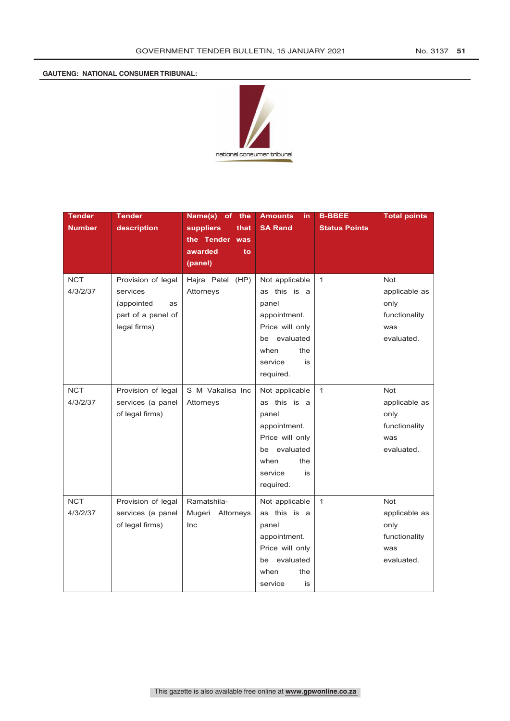# **GAUTENG: NATIONAL CONSUMER TRIBUNAL:**



| <b>Tender</b><br><b>Number</b> | <b>Tender</b><br>description                                                             | Name(s)<br>the<br>of<br><b>suppliers</b><br>that<br>the Tender was<br>awarded<br>to<br>(panel) | <b>Amounts</b><br>in<br><b>SA Rand</b>                                                                                                  | <b>B-BBEE</b><br><b>Status Points</b> | <b>Total points</b>                                                       |
|--------------------------------|------------------------------------------------------------------------------------------|------------------------------------------------------------------------------------------------|-----------------------------------------------------------------------------------------------------------------------------------------|---------------------------------------|---------------------------------------------------------------------------|
| <b>NCT</b><br>4/3/2/37         | Provision of legal<br>services<br>(appointed<br>as<br>part of a panel of<br>legal firms) | Hajra Patel (HP)<br>Attorneys                                                                  | Not applicable<br>as this is a<br>panel<br>appointment.<br>Price will only<br>be evaluated<br>the<br>when<br>service<br>is<br>required. | $\mathbf{1}$                          | <b>Not</b><br>applicable as<br>only<br>functionality<br>was<br>evaluated. |
| <b>NCT</b><br>4/3/2/37         | Provision of legal<br>services (a panel<br>of legal firms)                               | S M Vakalisa Inc<br>Attorneys                                                                  | Not applicable<br>as this is a<br>panel<br>appointment.<br>Price will only<br>be evaluated<br>when<br>the<br>service<br>is<br>required. | $\mathbf{1}$                          | Not<br>applicable as<br>only<br>functionality<br>was<br>evaluated.        |
| <b>NCT</b><br>4/3/2/37         | Provision of legal<br>services (a panel<br>of legal firms)                               | Ramatshila-<br>Mugeri Attorneys<br><b>Inc</b>                                                  | Not applicable<br>as this is a<br>panel<br>appointment.<br>Price will only<br>be evaluated<br>when<br>the<br>is<br>service              | $\mathbf{1}$                          | <b>Not</b><br>applicable as<br>only<br>functionality<br>was<br>evaluated. |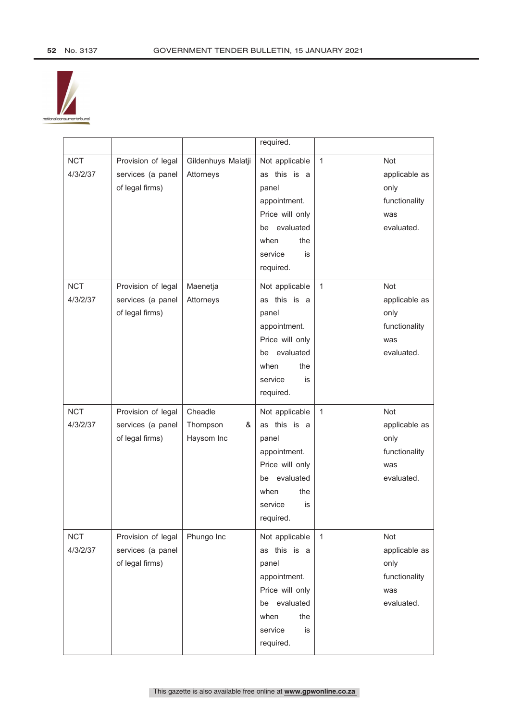

|                        |                                                            |                                        | required.                                                                                                                                  |              |                                                                           |
|------------------------|------------------------------------------------------------|----------------------------------------|--------------------------------------------------------------------------------------------------------------------------------------------|--------------|---------------------------------------------------------------------------|
| <b>NCT</b><br>4/3/2/37 | Provision of legal<br>services (a panel<br>of legal firms) | Gildenhuys Malatji<br>Attorneys        | Not applicable<br>this is a<br>as<br>panel<br>appointment.<br>Price will only<br>be evaluated<br>when<br>the<br>service<br>is<br>required. | $\mathbf{1}$ | <b>Not</b><br>applicable as<br>only<br>functionality<br>was<br>evaluated. |
| <b>NCT</b><br>4/3/2/37 | Provision of legal<br>services (a panel<br>of legal firms) | Maenetja<br>Attorneys                  | Not applicable<br>as this is a<br>panel<br>appointment.<br>Price will only<br>be evaluated<br>when<br>the<br>service<br>is<br>required.    | $\mathbf{1}$ | Not<br>applicable as<br>only<br>functionality<br>was<br>evaluated.        |
| <b>NCT</b><br>4/3/2/37 | Provision of legal<br>services (a panel<br>of legal firms) | Cheadle<br>Thompson<br>&<br>Haysom Inc | Not applicable<br>as this is a<br>panel<br>appointment.<br>Price will only<br>be evaluated<br>when<br>the<br>service<br>is<br>required.    | $\mathbf{1}$ | Not<br>applicable as<br>only<br>functionality<br>was<br>evaluated.        |
| <b>NCT</b><br>4/3/2/37 | Provision of legal<br>services (a panel<br>of legal firms) | Phungo Inc                             | Not applicable<br>as this is a<br>panel<br>appointment.<br>Price will only<br>be evaluated<br>when<br>the<br>service<br>is<br>required.    | $\mathbf{1}$ | <b>Not</b><br>applicable as<br>only<br>functionality<br>was<br>evaluated. |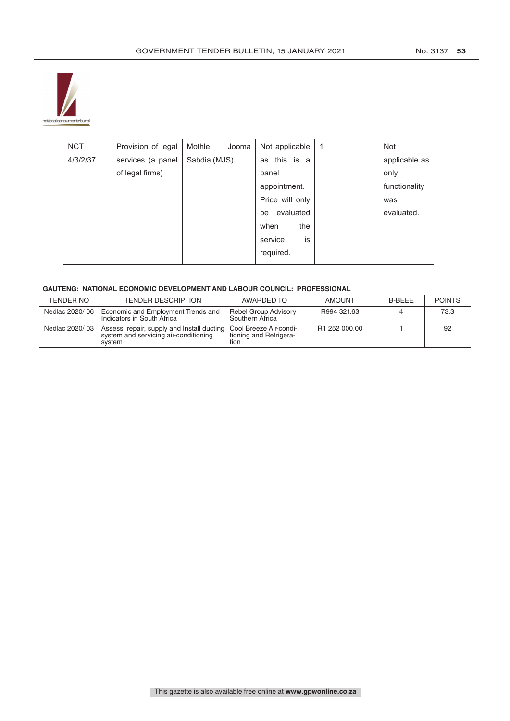

| <b>NCT</b> | Provision of legal | Mothle<br>Jooma | Not applicable  | -1 | <b>Not</b>    |
|------------|--------------------|-----------------|-----------------|----|---------------|
| 4/3/2/37   | services (a panel  | Sabdia (MJS)    | this is a<br>as |    | applicable as |
|            | of legal firms)    |                 | panel           |    | only          |
|            |                    |                 | appointment.    |    | functionality |
|            |                    |                 | Price will only |    | was           |
|            |                    |                 | evaluated<br>be |    | evaluated.    |
|            |                    |                 | the<br>when     |    |               |
|            |                    |                 | is<br>service   |    |               |
|            |                    |                 | required.       |    |               |
|            |                    |                 |                 |    |               |

# **GAUTENG: NATIONAL ECONOMIC DEVELOPMENT AND LABOUR COUNCIL: PROFESSIONAL**

| TENDER NO      | <b>TENDER DESCRIPTION</b>                                                                                              | AWARDED TO                              | <b>AMOUNT</b> | <b>B-BEEE</b> | <b>POINTS</b> |
|----------------|------------------------------------------------------------------------------------------------------------------------|-----------------------------------------|---------------|---------------|---------------|
| Nedlac 2020/06 | Economic and Employment Trends and<br>Indicators in South Africa                                                       | Rebel Group Advisory<br>Southern Africa | R994 321.63   |               | 73.3          |
| Nedlac 2020/03 | Assess, repair, supply and Install ducting   Cool Breeze Air-condi-<br>system and servicing air-conditioning<br>svstem | tioning and Refrigera-<br>tion          | R1 252 000.00 |               | 92            |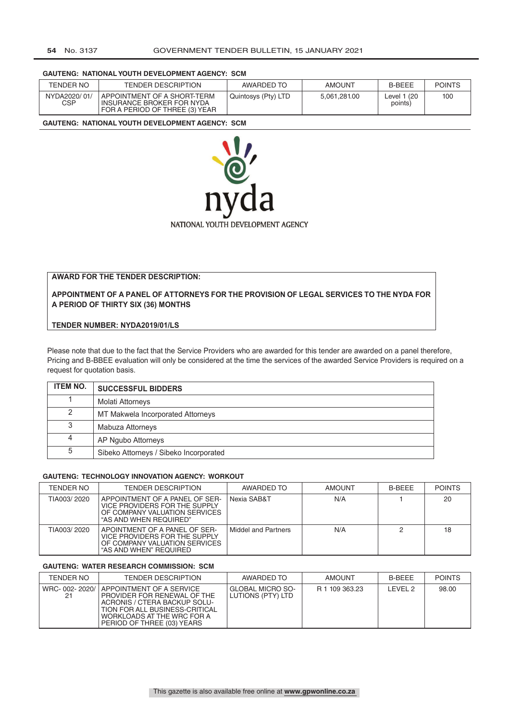#### **GAUTENG: NATIONAL YOUTH DEVELOPMENT AGENCY: SCM**

| <b>TENDER NO</b>           | TENDER DESCRIPTION                                                                         | AWARDED TO          | <b>AMOUNT</b> | <b>B-BEEE</b>          | <b>POINTS</b> |
|----------------------------|--------------------------------------------------------------------------------------------|---------------------|---------------|------------------------|---------------|
| NYDA2020/01/<br><b>CSP</b> | APPOINTMENT OF A SHORT-TERM<br>INSURANCE BROKER FOR NYDA<br>FOR A PERIOD OF THREE (3) YEAR | Quintosys (Pty) LTD | 5.061.281.00  | Level 1 (20<br>points) | 100           |

**GAUTENG: NATIONAL YOUTH DEVELOPMENT AGENCY: SCM**



# **AWARD FOR THE TENDER DESCRIPTION:**

**APPOINTMENT OF A PANEL OF ATTORNEYS FOR THE PROVISION OF LEGAL SERVICES TO THE NYDA FOR A PERIOD OF THIRTY SIX (36) MONTHS**

## **TENDER NUMBER: NYDA2019/01/LS**

Please note that due to the fact that the Service Providers who are awarded for this tender are awarded on a panel therefore, Pricing and B-BBEE evaluation will only be considered at the time the services of the awarded Service Providers is required on a request for quotation basis.

| <b>ITEM NO.</b> | <b>SUCCESSFUL BIDDERS</b>              |
|-----------------|----------------------------------------|
|                 | Molati Attorneys                       |
| 2               | MT Makwela Incorporated Attorneys      |
|                 | Mabuza Attorneys                       |
| 4               | AP Ngubo Attorneys                     |
| 5               | Sibeko Attorneys / Sibeko Incorporated |

#### **GAUTENG: TECHNOLOGY INNOVATION AGENCY: WORKOUT**

| TENDER NO   | <b>TENDER DESCRIPTION</b>                                                                                                  | AWARDED TO                 | <b>AMOUNT</b> | <b>B-BEFF</b> | <b>POINTS</b> |
|-------------|----------------------------------------------------------------------------------------------------------------------------|----------------------------|---------------|---------------|---------------|
| TIA003/2020 | APPOINTMENT OF A PANEL OF SER-<br>VICE PROVIDERS FOR THE SUPPLY<br>OF COMPANY VALUATION SERVICES<br>"AS AND WHEN REQUIRED" | Nexia SAB&T                | N/A           |               | 20            |
| TIA003/2020 | APOINTMENT OF A PANEL OF SER-<br>VICE PROVIDERS FOR THE SUPPLY<br>OF COMPANY VALUATION SERVICES<br>"AS AND WHEN" REQUIRED  | <b>Middel and Partners</b> | N/A           |               | 18            |

#### **GAUTENG: WATER RESEARCH COMMISSION: SCM**

| TENDER NO           | <b>TENDER DESCRIPTION</b>                                                                                                                                                             | AWARDED TO                                   | <b>AMOUNT</b>  | <b>B-BEEE</b> | <b>POINTS</b> |
|---------------------|---------------------------------------------------------------------------------------------------------------------------------------------------------------------------------------|----------------------------------------------|----------------|---------------|---------------|
| WRC-002-2020/<br>21 | APPOINTMENT OF A SERVICE<br>PROVIDER FOR RENEWAL OF THE<br>ACRONIS / CTERA BACKUP SOLU-<br>TION FOR ALL BUSINESS-CRITICAL<br>WORKLOADS AT THE WRC FOR A<br>PERIOD OF THREE (03) YEARS | <b>GLOBAL MICRO SO-</b><br>LUTIONS (PTY) LTD | R 1 109 363.23 | LEVEL 2       | 98.00         |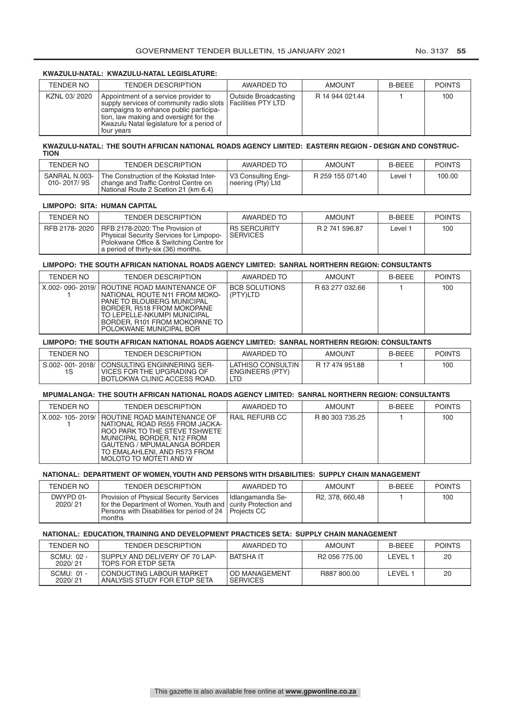#### **KWAZULU-NATAL: KWAZULU-NATAL LEGISLATURE:**

| TENDER NO    | <b>TENDER DESCRIPTION</b>                                                                                                                                                                                                       | AWARDED TO                                 | <b>AMOUNT</b>   | B-BEEE | <b>POINTS</b> |
|--------------|---------------------------------------------------------------------------------------------------------------------------------------------------------------------------------------------------------------------------------|--------------------------------------------|-----------------|--------|---------------|
| KZNL 03/2020 | Appointment of a service provider to<br>supply services of community radio slots<br>campaigns to enhance public participa-<br>tion, law making and oversight for the<br>Kwazulu Natal legislature for a period of<br>four years | Outside Broadcasting<br>Facilities PTY LTD | R 14 944 021.44 |        | 100           |

#### **KWAZULU-NATAL: THE SOUTH AFRICAN NATIONAL ROADS AGENCY LIMITED: EASTERN REGION - DESIGN AND CONSTRUC-TION**

| TENDER NO                    | TENDER DESCRIPTION                                                                                                     | AWARDED TO                               | <b>AMOUNT</b>    | <b>B-BEEE</b> | <b>POINTS</b> |
|------------------------------|------------------------------------------------------------------------------------------------------------------------|------------------------------------------|------------------|---------------|---------------|
| SANRAL N.003-<br>010-2017/9S | The Construction of the Kokstad Inter-<br>change and Traffic Control Centre on<br>National Route 2 Scetion 21 (km 6.4) | V3 Consulting Engi-<br>neering (Pty) Ltd | R 259 155 071.40 | ∟evel 1       | 100.00        |

## **LIMPOPO: SITA: HUMAN CAPITAL**

| TENDER NO     | <b>TENDER DESCRIPTION</b>                                                                                                                                           | AWARDED TO                             | <b>AMOUNT</b>  | <b>B-BEEE</b> | <b>POINTS</b> |
|---------------|---------------------------------------------------------------------------------------------------------------------------------------------------------------------|----------------------------------------|----------------|---------------|---------------|
| RFB 2178-2020 | RFB 2178-2020: The Provision of<br><b>Physical Security Services for Limpopo-</b><br>Polokwane Office & Switching Centre for<br>a period of thirty-six (36) months. | <b>R5 SERCURITY</b><br><b>SERVICES</b> | R 2 741 596.87 | Level         | 100           |

#### **LIMPOPO: THE SOUTH AFRICAN NATIONAL ROADS AGENCY LIMITED: SANRAL NORTHERN REGION: CONSULTANTS**

| TENDER NO         | TENDER DESCRIPTION                                                                                                                                                                                                  | AWARDED TO                       | <b>AMOUNT</b>   | <b>B-BEEE</b> | <b>POINTS</b> |
|-------------------|---------------------------------------------------------------------------------------------------------------------------------------------------------------------------------------------------------------------|----------------------------------|-----------------|---------------|---------------|
| X.002- 090- 2019/ | ROUTINE ROAD MAINTENANCE OF<br>NATIONAL ROUTE N11 FROM MOKO-<br>PANE TO BLOUBERG MUNICIPAL<br>BORDER, R518 FROM MOKOPANE<br>TO LEPELLE-NKUMPI MUNICIPAL<br>BORDER, R101 FROM MOKOPANE TO<br>POLOKWANE MUNICIPAL BOR | <b>BCB SOLUTIONS</b><br>(PTY)LTD | R 63 277 032.66 |               | 100           |

# **LIMPOPO: THE SOUTH AFRICAN NATIONAL ROADS AGENCY LIMITED: SANRAL NORTHERN REGION: CONSULTANTS**

| TENDER NO       | <b>TENDER DESCRIPTION</b>                                                                 | AWARDED TO                                          | AMOUNT          | <b>B-BEEE</b> | <b>POINTS</b> |
|-----------------|-------------------------------------------------------------------------------------------|-----------------------------------------------------|-----------------|---------------|---------------|
| S.002-001-2018/ | CONSULTING ENGINNERING SER-<br>VICES FOR THE UPGRADING OF<br>BOTLOKWA CLINIC ACCESS ROAD. | LATHISO CONSULTIN<br><b>ENGINEERS (PTY)</b><br>LTD. | R 17 474 951.88 |               | 100           |

# **MPUMALANGA: THE SOUTH AFRICAN NATIONAL ROADS AGENCY LIMITED: SANRAL NORTHERN REGION: CONSULTANTS**

| TENDER NO       | <b>TENDER DESCRIPTION</b>                                                                                                                                                                                             | AWARDED TO            | <b>AMOUNT</b>   | <b>B-BEEE</b> | <b>POINTS</b> |
|-----------------|-----------------------------------------------------------------------------------------------------------------------------------------------------------------------------------------------------------------------|-----------------------|-----------------|---------------|---------------|
| X.002-105-2019/ | ROUTINE ROAD MAINTENANCE OF<br>NATIONAL ROAD R555 FROM JACKA-<br>ROO PARK TO THE STEVE TSHWETE<br>MUNICIPAL BORDER, N12 FROM<br>GAUTENG / MPUMALANGA BORDER<br>TO EMALAHLENI. AND R573 FROM<br>MOLOTO TO MOTETI AND W | <b>RAIL REFURB CC</b> | R 80 303 735.25 |               | 100           |

# **NATIONAL: DEPARTMENT OF WOMEN, YOUTH AND PERSONS WITH DISABILITIES: SUPPLY CHAIN MANAGEMENT**

| TENDER NO            | <b>TENDER DESCRIPTION</b>                                                                                                                                                              | AWARDED TO          | <b>AMOUNT</b>                | <b>B-BEEE</b> | <b>POINTS</b> |
|----------------------|----------------------------------------------------------------------------------------------------------------------------------------------------------------------------------------|---------------------|------------------------------|---------------|---------------|
| DWYPD 01-<br>2020/21 | <b>Provision of Physical Security Services</b><br>for the Department of Women, Youth and   curity Protection and<br>Persons with Disabilities for period of 24   Projects CC<br>months | l Idlangamandla Se- | R <sub>2</sub> . 378, 660.48 |               | 100           |

# **NATIONAL: EDUCATION, TRAINING AND DEVELOPMENT PRACTICES SETA: SUPPLY CHAIN MANAGEMENT**

| <b>TENDER NO</b>      | <b>TENDER DESCRIPTION</b>                                | AWARDED TO                         | AMOUNT                    | <b>B-BFFF</b> | <b>POINTS</b> |
|-----------------------|----------------------------------------------------------|------------------------------------|---------------------------|---------------|---------------|
| SCMU: 02 -<br>2020/21 | SUPPLY AND DELIVERY OF 70 LAP-<br>TOPS FOR ETDP SETA     | BATSHA IT                          | R <sub>2</sub> 056 775.00 | I FVFI        | 20            |
| SCMU: 01 -<br>2020/21 | CONDUCTING LABOUR MARKET<br>ANALYSIS STUDY FOR ETDP SETA | I OD MANAGEMENT<br><b>SERVICES</b> | R887 800.00               | I FVFI        | 20            |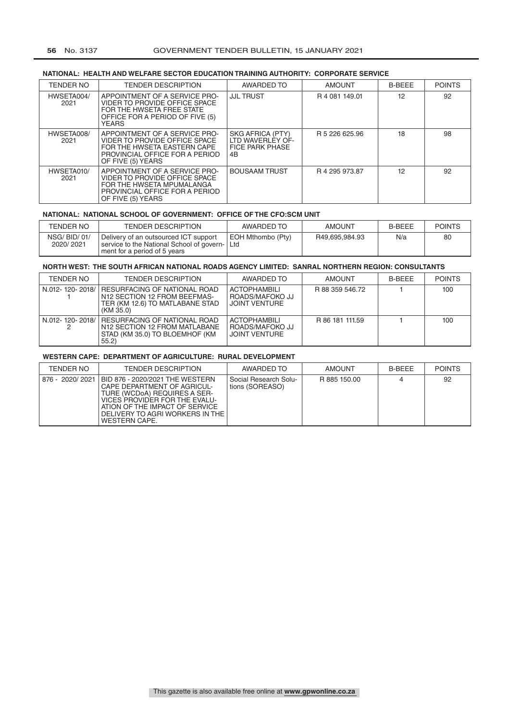# **56** No. 3137 GOVERNMENT TENDER BULLETIN, 15 JANUARY 2021

# **NATIONAL: HEALTH AND WELFARE SECTOR EDUCATION TRAINING AUTHORITY: CORPORATE SERVICE**

| TENDER NO          | <b>TENDER DESCRIPTION</b>                                                                                                                            | AWARDED TO                                                           | <b>AMOUNT</b>  | <b>B-BEEE</b> | <b>POINTS</b> |
|--------------------|------------------------------------------------------------------------------------------------------------------------------------------------------|----------------------------------------------------------------------|----------------|---------------|---------------|
| HWSETA004/<br>2021 | APPOINTMENT OF A SERVICE PRO-<br>VIDER TO PROVIDE OFFICE SPACE.<br>FOR THE HWSETA FREE STATE<br>OFFICE FOR A PERIOD OF FIVE (5)<br><b>YEARS</b>      | <b>JJL TRUST</b>                                                     | R 4 081 149.01 | 12            | 92            |
| HWSETA008/<br>2021 | APPOINTMENT OF A SERVICE PRO-<br>VIDER TO PROVIDE OFFICE SPACE<br>FOR THE HWSETA EASTERN CAPE<br>PROVINCIAL OFFICE FOR A PERIOD<br>OF FIVE (5) YEARS | SKG AFRICA (PTY)<br>LTD WAVERLEY OF-<br><b>FICE PARK PHASE</b><br>4B | R 5 226 625.96 | 18            | 98            |
| HWSETA010/<br>2021 | APPOINTMENT OF A SERVICE PRO-<br>VIDER TO PROVIDE OFFICE SPACE<br>FOR THE HWSETA MPUMALANGA<br>PROVINCIAL OFFICE FOR A PERIOD<br>OF FIVE (5) YEARS   | <b>BOUSAAM TRUST</b>                                                 | R 4 295 973.87 | 12            | 92            |

## **NATIONAL: NATIONAL SCHOOL OF GOVERNMENT: OFFICE OF THE CFO:SCM UNIT**

| TENDER NO                       | <b>TENDER DESCRIPTION</b>                                                                                                | AWARDED TO        | <b>AMOUNT</b>  | <b>B-BEEE</b> | <b>POINTS</b> |
|---------------------------------|--------------------------------------------------------------------------------------------------------------------------|-------------------|----------------|---------------|---------------|
| <b>NSG/BID/01/</b><br>2020/2021 | Delivery of an outsourced ICT support<br>service to the National School of govern-   Ltd<br>ment for a period of 5 years | EOH Mthombo (Ptv) | R49.695.984.93 | N/a           | 80            |

#### **NORTH WEST: THE SOUTH AFRICAN NATIONAL ROADS AGENCY LIMITED: SANRAL NORTHERN REGION: CONSULTANTS**

| <b>TENDER NO</b> | <b>TENDER DESCRIPTION</b>                                                                                           | AWARDED TO                                                     | <b>AMOUNT</b>   | <b>B-BFFF</b> | <b>POINTS</b> |
|------------------|---------------------------------------------------------------------------------------------------------------------|----------------------------------------------------------------|-----------------|---------------|---------------|
| N.012-120-2018/  | <b>RESURFACING OF NATIONAL ROAD</b><br>N12 SECTION 12 FROM BEEFMAS-<br>TER (KM 12.6) TO MATLABANE STAD<br>(KM 35.0) | <b>ACTOPHAMBILI</b><br>ROADS/MAFOKO JJ<br>JOINT VENTURE        | R 88 359 546.72 |               | 100           |
| N.012-120-2018/  | RESURFACING OF NATIONAL ROAD<br>N12 SECTION 12 FROM MATLABANE<br>STAD (KM 35.0) TO BLOEMHOF (KM<br>55.2             | <b>ACTOPHAMBILI</b><br>ROADS/MAFOKO JJ<br><b>JOINT VENTURE</b> | R 86 181 111.59 |               | 100           |

#### **WESTERN CAPE: DEPARTMENT OF AGRICULTURE: RURAL DEVELOPMENT**

| TENDER NO        | TENDER DESCRIPTION                                                                                                                                                                                                           | AWARDED TO                               | <b>AMOUNT</b> | <b>B-BEEE</b> | <b>POINTS</b> |
|------------------|------------------------------------------------------------------------------------------------------------------------------------------------------------------------------------------------------------------------------|------------------------------------------|---------------|---------------|---------------|
| 876 - 2020/ 2021 | BID 876 - 2020/2021 THE WESTERN<br>CAPE DEPARTMENT OF AGRICUL-<br>TURE (WCDoA) REQUIRES A SER-<br>VICES PROVIDER FOR THE EVALU-<br>ATION OF THE IMPACT OF SERVICE<br>DELIVERY TO AGRI WORKERS IN THE<br><b>WESTERN CAPE.</b> | Social Research Solu-<br>tions (SOREASO) | R 885 150.00  |               | 92            |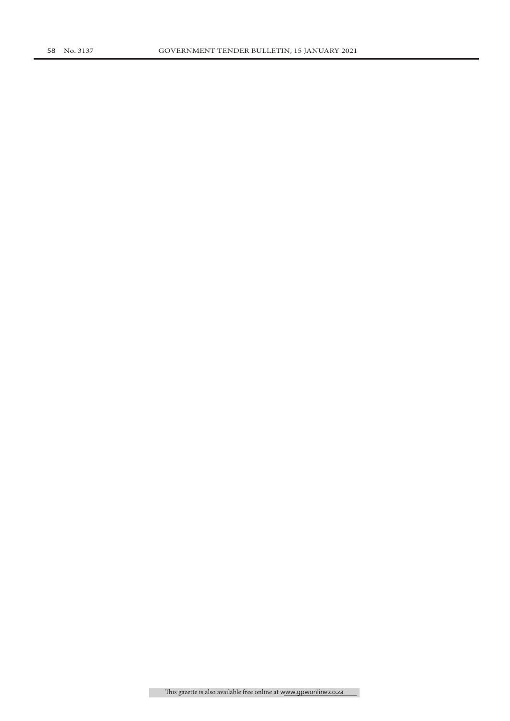This gazette is also available free online at www.gpwonline.co.za